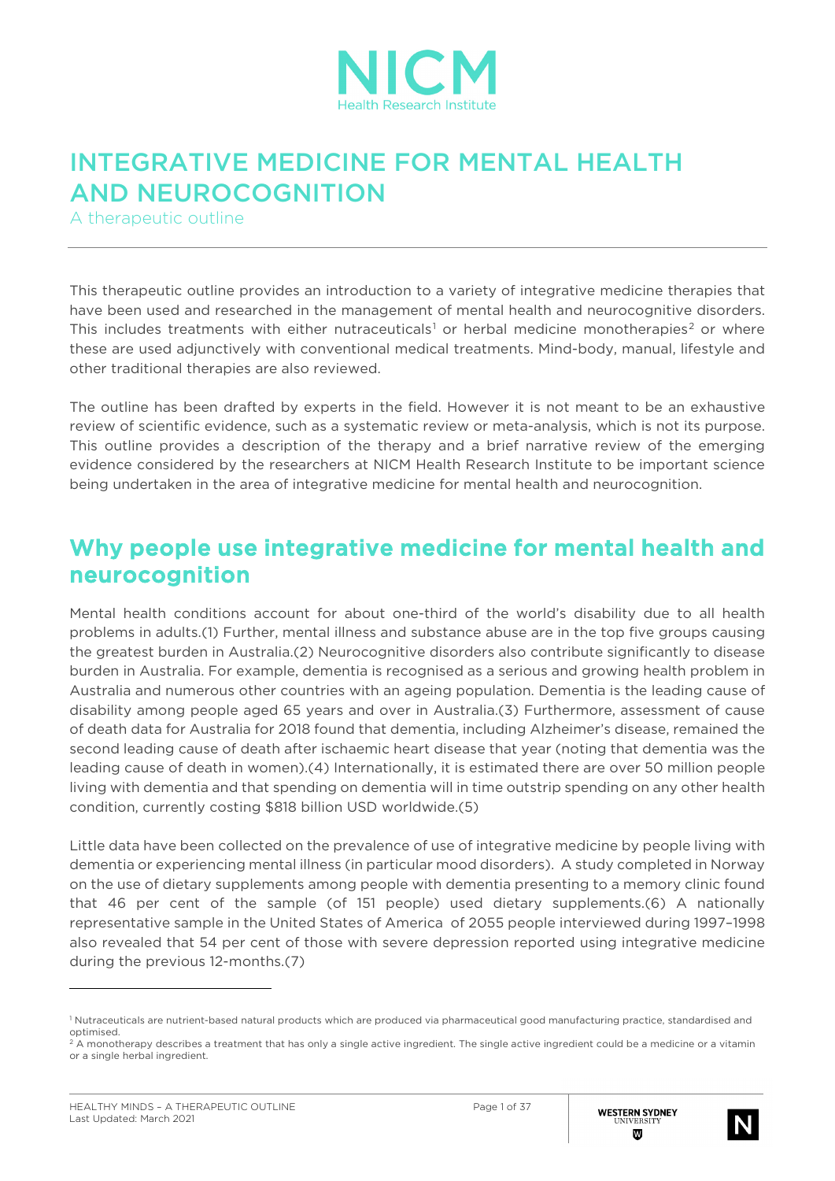

# INTEGRATIVE MEDICINE FOR MENTAL HEALTH AND NEUROCOGNITION

A therapeutic outline

This therapeutic outline provides an introduction to a variety of integrative medicine therapies that have been used and researched in the management of mental health and neurocognitive disorders. This includes treatments with either nutraceuticals<sup>[1](#page-0-0)</sup> or herbal medicine monotherapies<sup>[2](#page-0-1)</sup> or where these are used adjunctively with conventional medical treatments. Mind-body, manual, lifestyle and other traditional therapies are also reviewed.

The outline has been drafted by experts in the field. However it is not meant to be an exhaustive review of scientific evidence, such as a systematic review or meta-analysis, which is not its purpose. This outline provides a description of the therapy and a brief narrative review of the emerging evidence considered by the researchers at NICM Health Research Institute to be important science being undertaken in the area of integrative medicine for mental health and neurocognition.

### Why people use integrative medicine for mental health and neurocognition

Mental health conditions account for about one-third of the world's disability due to all health problems in adults.(1) Further, mental illness and substance abuse are in the top five groups causing the greatest burden in Australia.(2) Neurocognitive disorders also contribute significantly to disease burden in Australia. For example, dementia is recognised as a serious and growing health problem in Australia and numerous other countries with an ageing population. Dementia is the leading cause of disability among people aged 65 years and over in Australia.(3) Furthermore, assessment of cause of death data for Australia for 2018 found that dementia, including Alzheimer's disease, remained the second leading cause of death after ischaemic heart disease that year (noting that dementia was the leading cause of death in women).(4) Internationally, it is estimated there are over 50 million people living with dementia and that spending on dementia will in time outstrip spending on any other health condition, currently costing \$818 billion USD worldwide.(5)

Little data have been collected on the prevalence of use of integrative medicine by people living with dementia or experiencing mental illness (in particular mood disorders). A study completed in Norway on the use of dietary supplements among people with dementia presenting to a memory clinic found that 46 per cent of the sample (of 151 people) used dietary supplements.(6) A nationally representative sample in the United States of America of 2055 people interviewed during 1997–1998 also revealed that 54 per cent of those with severe depression reported using integrative medicine during the previous 12-months.(7)



<span id="page-0-0"></span><sup>1</sup> Nutraceuticals are nutrient-based natural products which are produced via pharmaceutical good manufacturing practice, standardised and optimised.

<span id="page-0-1"></span><sup>&</sup>lt;sup>2</sup> A monotherapy describes a treatment that has only a single active ingredient. The single active ingredient could be a medicine or a vitamin or a single herbal ingredient.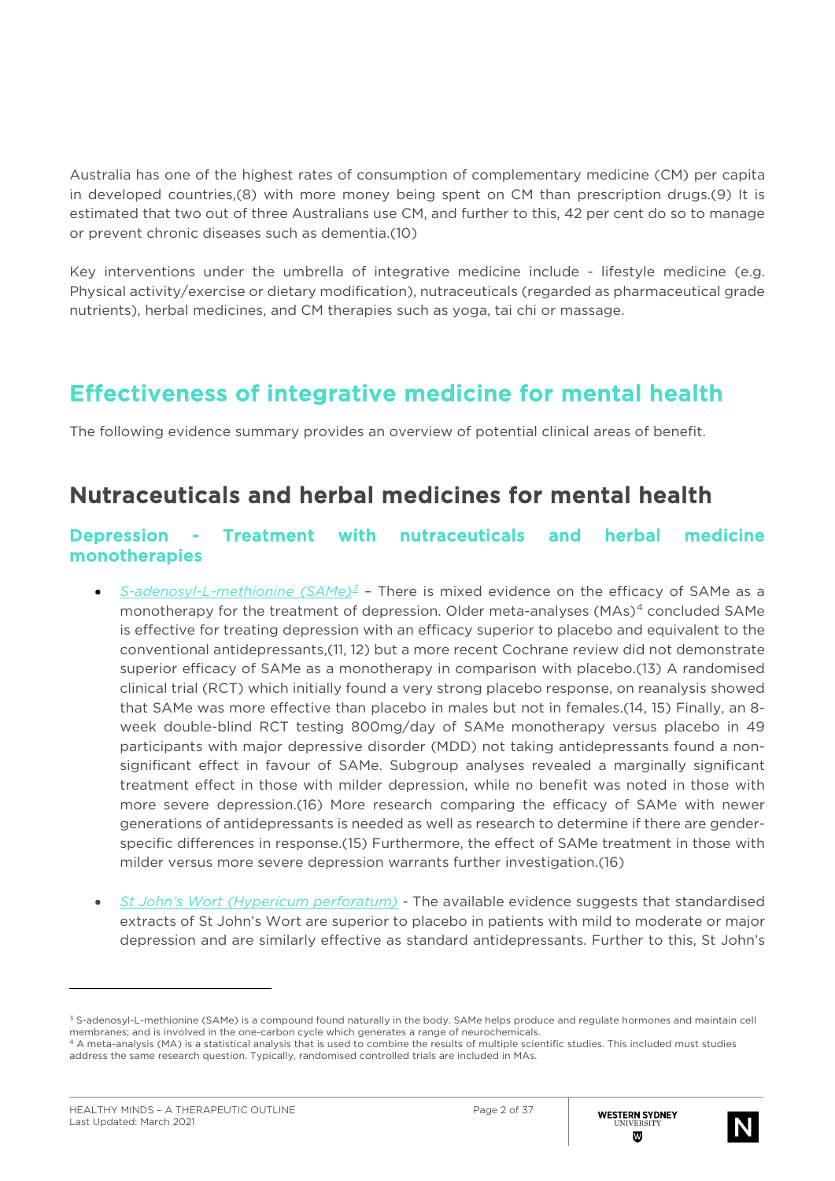Australia has one of the highest rates of consumption of complementary medicine (CM) per capita in developed countries,(8) with more money being spent on CM than prescription drugs.(9) It is estimated that two out of three Australians use CM, and further to this, 42 per cent do so to manage or prevent chronic diseases such as dementia.(10)

Key interventions under the umbrella of integrative medicine include - lifestyle medicine (e.g. Physical activity/exercise or dietary modification), nutraceuticals (regarded as pharmaceutical grade nutrients), herbal medicines, and CM therapies such as yoga, tai chi or massage.

## Effectiveness of integrative medicine for mental health

The following evidence summary provides an overview of potential clinical areas of benefit.

## Nutraceuticals and herbal medicines for mental health

#### Depression - Treatment with nutraceuticals and herbal medicine monotherapies

- *S-adenosyl-L-methionine (SAMe)[3](#page-1-0) –* There is mixed evidence on the efficacy of SAMe as a monotherapy for the treatment of depression. Older meta-analyses (MAs)<sup>[4](#page-1-1)</sup> concluded SAMe is effective for treating depression with an efficacy superior to placebo and equivalent to the conventional antidepressants,(11, 12) but a more recent Cochrane review did not demonstrate superior efficacy of SAMe as a monotherapy in comparison with placebo.(13) A randomised clinical trial (RCT) which initially found a very strong placebo response, on reanalysis showed that SAMe was more effective than placebo in males but not in females.(14, 15) Finally, an 8 week double-blind RCT testing 800mg/day of SAMe monotherapy versus placebo in 49 participants with major depressive disorder (MDD) not taking antidepressants found a nonsignificant effect in favour of SAMe. Subgroup analyses revealed a marginally significant treatment effect in those with milder depression, while no benefit was noted in those with more severe depression.(16) More research comparing the efficacy of SAMe with newer generations of antidepressants is needed as well as research to determine if there are genderspecific differences in response.(15) Furthermore, the effect of SAMe treatment in those with milder versus more severe depression warrants further investigation.(16)
- *St John's Wort (Hypericum perforatum) -* The available evidence suggests that standardised extracts of St John's Wort are superior to placebo in patients with mild to moderate or major depression and are similarly effective as standard antidepressants. Further to this, St John's



<span id="page-1-0"></span><sup>3</sup> S-adenosyl-L-methionine (SAMe) is a compound found naturally in the body. SAMe helps produce and regulate hormones and maintain cell membranes; and is involved in the one-carbon cycle which generates a range of neurochemicals.

<span id="page-1-1"></span><sup>4</sup> A meta-analysis (MA) is a statistical analysis that is used to combine the results of multiple scientific studies. This included must studies address the same research question. Typically, randomised controlled trials are included in MAs.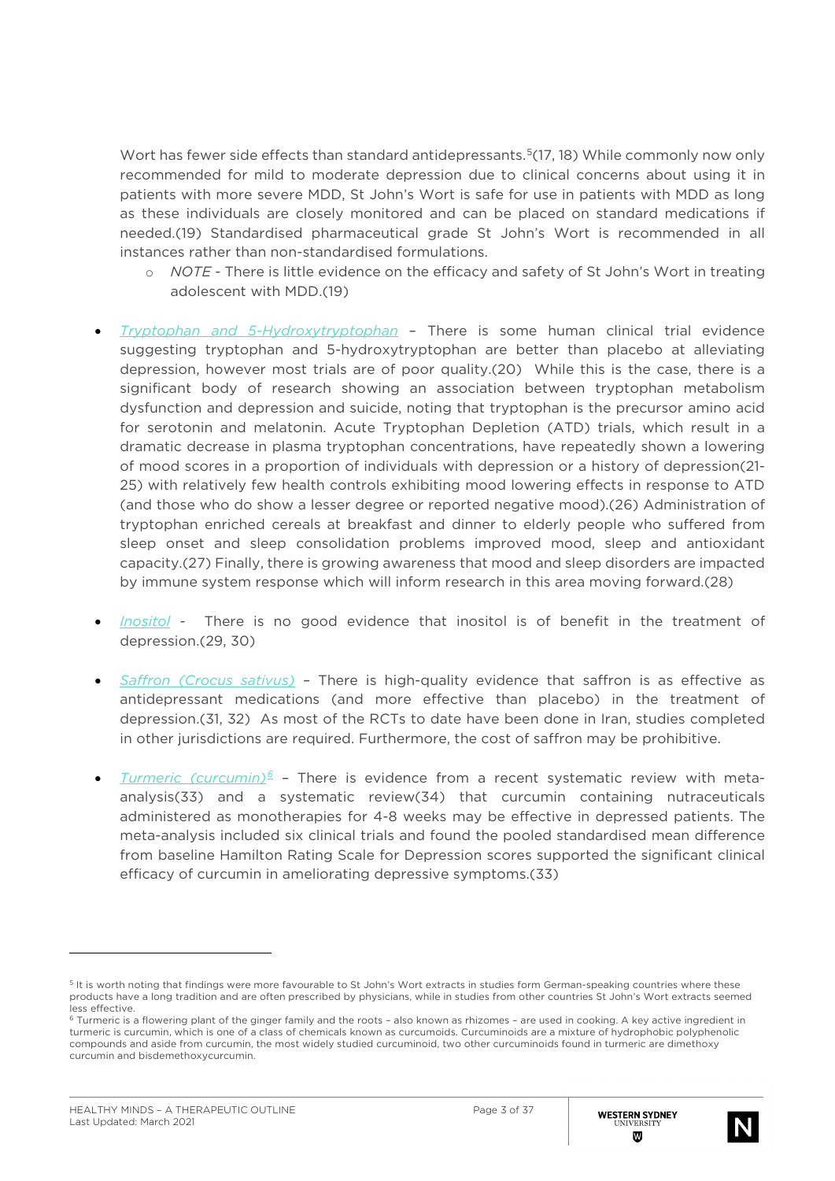Wort has fewer side effects than standard antidepressants.<sup>5</sup>(17, 18) While commonly now only recommended for mild to moderate depression due to clinical concerns about using it in patients with more severe MDD, St John's Wort is safe for use in patients with MDD as long as these individuals are closely monitored and can be placed on standard medications if needed.(19) Standardised pharmaceutical grade St John's Wort is recommended in all instances rather than non-standardised formulations.

- o *NOTE -* There is little evidence on the efficacy and safety of St John's Wort in treating adolescent with MDD.(19)
- *Tryptophan and 5-Hydroxytryptophan* There is some human clinical trial evidence suggesting tryptophan and 5-hydroxytryptophan are better than placebo at alleviating depression, however most trials are of poor quality.(20) While this is the case, there is a significant body of research showing an association between tryptophan metabolism dysfunction and depression and suicide, noting that tryptophan is the precursor amino acid for serotonin and melatonin. Acute Tryptophan Depletion (ATD) trials, which result in a dramatic decrease in plasma tryptophan concentrations, have repeatedly shown a lowering of mood scores in a proportion of individuals with depression or a history of depression(21- 25) with relatively few health controls exhibiting mood lowering effects in response to ATD (and those who do show a lesser degree or reported negative mood).(26) Administration of tryptophan enriched cereals at breakfast and dinner to elderly people who suffered from sleep onset and sleep consolidation problems improved mood, sleep and antioxidant capacity.(27) Finally, there is growing awareness that mood and sleep disorders are impacted by immune system response which will inform research in this area moving forward.(28)
- *Inositol* There is no good evidence that inositol is of benefit in the treatment of depression.(29, 30)
- *Saffron (Crocus sativus) –* There is high-quality evidence that saffron is as effective as antidepressant medications (and more effective than placebo) in the treatment of depression.(31, 32) As most of the RCTs to date have been done in Iran, studies completed in other jurisdictions are required. Furthermore, the cost of saffron may be prohibitive.
- *Turmeric (curcumin)[6](#page-2-1) –* There is evidence from a recent systematic review with metaanalysis(33) and a systematic review(34) that curcumin containing nutraceuticals administered as monotherapies for 4-8 weeks may be effective in depressed patients. The meta-analysis included six clinical trials and found the pooled standardised mean difference from baseline Hamilton Rating Scale for Depression scores supported the significant clinical efficacy of curcumin in ameliorating depressive symptoms.(33)



<span id="page-2-0"></span><sup>&</sup>lt;sup>5</sup> It is worth noting that findings were more favourable to St John's Wort extracts in studies form German-speaking countries where these products have a long tradition and are often prescribed by physicians, while in studies from other countries St John's Wort extracts seemed less effective.

<span id="page-2-1"></span><sup>6</sup> Turmeric is a flowering plant of the ginger family and the roots – also known as rhizomes – are used in cooking. A key active ingredient in turmeric is curcumin, which is one of a class of chemicals known as curcumoids. Curcuminoids are a mixture of hydrophobic polyphenolic compounds and aside from curcumin, the most widely studied curcuminoid, two other curcuminoids found in turmeric are dimethoxy curcumin and bisdemethoxycurcumin.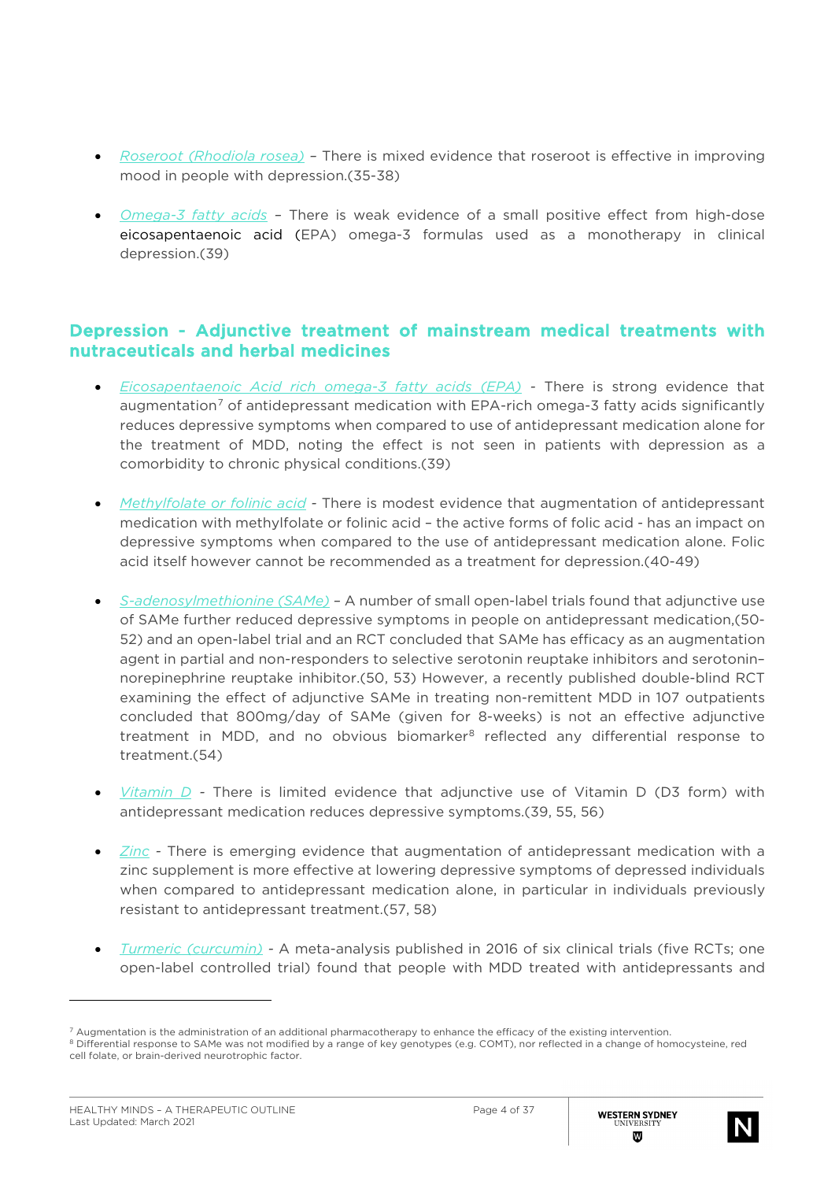- *Roseroot (Rhodiola rosea) –* There is mixed evidence that roseroot is effective in improving mood in people with depression.(35-38)
- *Omega-3 fatty acids –* There is weak evidence of a small positive effect from high-dose eicosapentaenoic acid (EPA) omega-3 formulas used as a monotherapy in clinical depression.(39)

#### Depression - Adjunctive treatment of mainstream medical treatments with nutraceuticals and herbal medicines

- *Eicosapentaenoic Acid rich omega-3 fatty acids (EPA) -* There is strong evidence that augmentation<sup>[7](#page-3-0)</sup> of antidepressant medication with EPA-rich omega-3 fatty acids significantly reduces depressive symptoms when compared to use of antidepressant medication alone for the treatment of MDD, noting the effect is not seen in patients with depression as a comorbidity to chronic physical conditions.(39)
- *Methylfolate or folinic acid -* There is modest evidence that augmentation of antidepressant medication with methylfolate or folinic acid – the active forms of folic acid - has an impact on depressive symptoms when compared to the use of antidepressant medication alone. Folic acid itself however cannot be recommended as a treatment for depression.(40-49)
- *S-adenosylmethionine (SAMe) –* A number of small open-label trials found that adjunctive use of SAMe further reduced depressive symptoms in people on antidepressant medication,(50- 52) and an open-label trial and an RCT concluded that SAMe has efficacy as an augmentation agent in partial and non-responders to selective serotonin reuptake inhibitors and serotonin– norepinephrine reuptake inhibitor.(50, 53) However, a recently published double-blind RCT examining the effect of adjunctive SAMe in treating non-remittent MDD in 107 outpatients concluded that 800mg/day of SAMe (given for 8-weeks) is not an effective adjunctive treatment in MDD, and no obvious biomarker<sup>[8](#page-3-1)</sup> reflected any differential response to treatment.(54)
- *Vitamin D -* There is limited evidence that adjunctive use of Vitamin D (D3 form) with antidepressant medication reduces depressive symptoms.(39, 55, 56)
- *Zinc -* There is emerging evidence that augmentation of antidepressant medication with a zinc supplement is more effective at lowering depressive symptoms of depressed individuals when compared to antidepressant medication alone, in particular in individuals previously resistant to antidepressant treatment.(57, 58)
- *Turmeric (curcumin) -* A meta-analysis published in 2016 of six clinical trials (five RCTs; one open-label controlled trial) found that people with MDD treated with antidepressants and



<span id="page-3-0"></span><sup>7</sup> Augmentation is the administration of an additional pharmacotherapy to enhance the efficacy of the existing intervention.

<span id="page-3-1"></span><sup>8</sup> Differential response to SAMe was not modified by a range of key genotypes (e.g. COMT), nor reflected in a change of homocysteine, red cell folate, or brain-derived neurotrophic factor.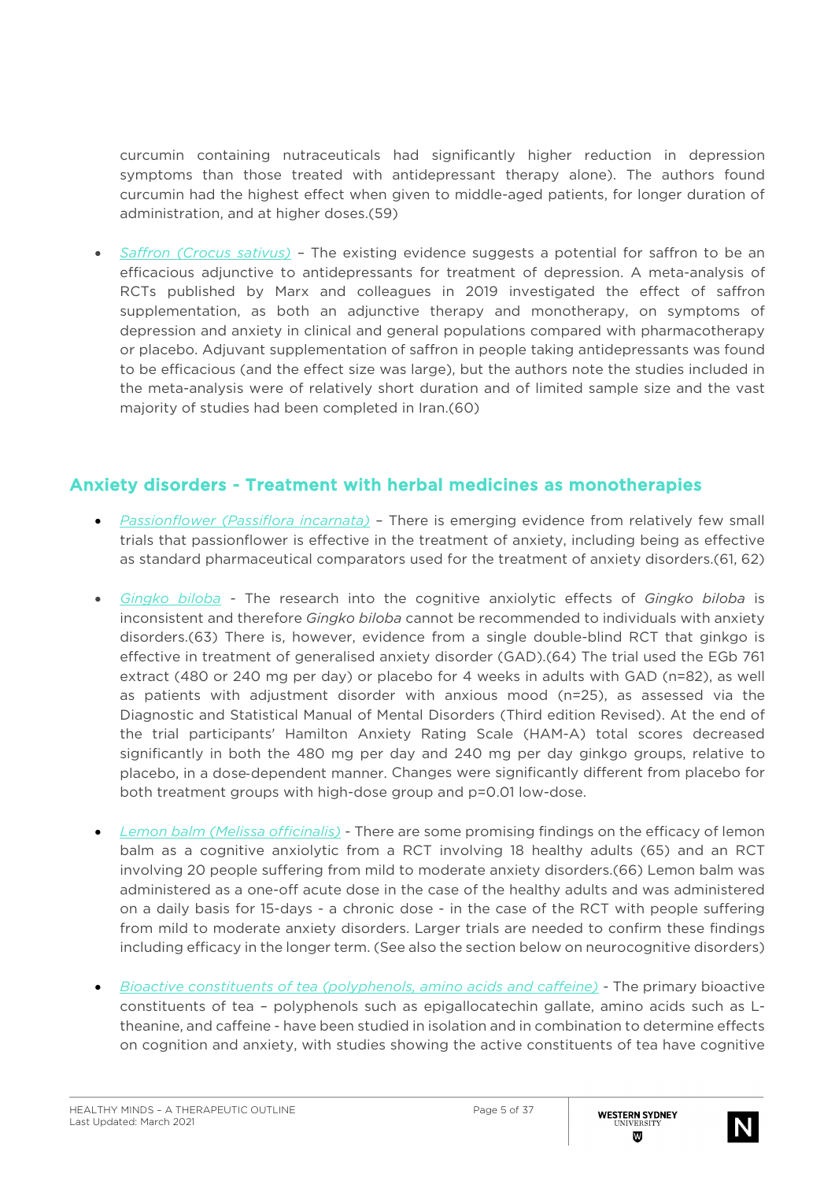curcumin containing nutraceuticals had significantly higher reduction in depression symptoms than those treated with antidepressant therapy alone). The authors found curcumin had the highest effect when given to middle-aged patients, for longer duration of administration, and at higher doses.(59)

• *Saffron (Crocus sativus)* – The existing evidence suggests a potential for saffron to be an efficacious adjunctive to antidepressants for treatment of depression. A meta-analysis of RCTs published by Marx and colleagues in 2019 investigated the effect of saffron supplementation, as both an adjunctive therapy and monotherapy, on symptoms of depression and anxiety in clinical and general populations compared with pharmacotherapy or placebo. Adjuvant supplementation of saffron in people taking antidepressants was found to be efficacious (and the effect size was large), but the authors note the studies included in the meta-analysis were of relatively short duration and of limited sample size and the vast majority of studies had been completed in Iran.(60)

### Anxiety disorders - Treatment with herbal medicines as monotherapies

- *Passionflower (Passiflora incarnata)* There is emerging evidence from relatively few small trials that passionflower is effective in the treatment of anxiety, including being as effective as standard pharmaceutical comparators used for the treatment of anxiety disorders.(61, 62)
- *Gingko biloba -* The research into the cognitive anxiolytic effects of *Gingko biloba* is inconsistent and therefore *Gingko biloba* cannot be recommended to individuals with anxiety disorders.(63) There is, however, evidence from a single double-blind RCT that ginkgo is effective in treatment of generalised anxiety disorder (GAD).(64) The trial used the EGb 761 extract (480 or 240 mg per day) or placebo for 4 weeks in adults with GAD (n=82), as well as patients with adjustment disorder with anxious mood (n=25), as assessed via the Diagnostic and Statistical Manual of Mental Disorders (Third edition Revised). At the end of the trial participants' Hamilton Anxiety Rating Scale (HAM-A) total scores decreased significantly in both the 480 mg per day and 240 mg per day ginkgo groups, relative to placebo, in a dose‐dependent manner. Changes were significantly different from placebo for both treatment groups with high-dose group and p=0.01 low-dose.
- *Lemon balm (Melissa officinalis) -* There are some promising findings on the efficacy of lemon balm as a cognitive anxiolytic from a RCT involving 18 healthy adults (65) and an RCT involving 20 people suffering from mild to moderate anxiety disorders.(66) Lemon balm was administered as a one-off acute dose in the case of the healthy adults and was administered on a daily basis for 15-days - a chronic dose - in the case of the RCT with people suffering from mild to moderate anxiety disorders. Larger trials are needed to confirm these findings including efficacy in the longer term. (See also the section below on neurocognitive disorders)
- *Bioactive constituents of tea (polyphenols, amino acids and caffeine) -* The primary bioactive constituents of tea – polyphenols such as epigallocatechin gallate, amino acids such as Ltheanine, and caffeine - have been studied in isolation and in combination to determine effects on cognition and anxiety, with studies showing the active constituents of tea have cognitive

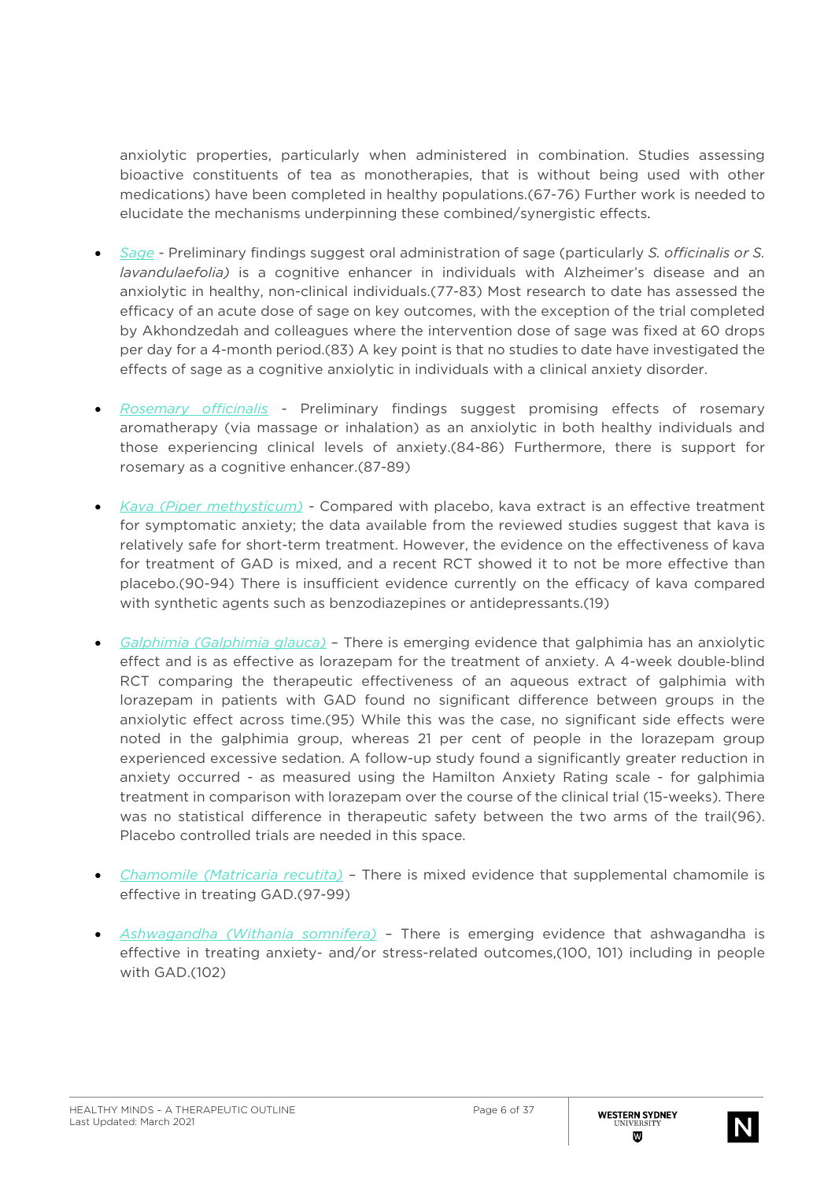anxiolytic properties, particularly when administered in combination. Studies assessing bioactive constituents of tea as monotherapies, that is without being used with other medications) have been completed in healthy populations.(67-76) Further work is needed to elucidate the mechanisms underpinning these combined/synergistic effects.

- *Sage -* Preliminary findings suggest oral administration of sage (particularly *S. officinalis or S. lavandulaefolia)* is a cognitive enhancer in individuals with Alzheimer's disease and an anxiolytic in healthy, non-clinical individuals.(77-83) Most research to date has assessed the efficacy of an acute dose of sage on key outcomes, with the exception of the trial completed by Akhondzedah and colleagues where the intervention dose of sage was fixed at 60 drops per day for a 4-month period.(83) A key point is that no studies to date have investigated the effects of sage as a cognitive anxiolytic in individuals with a clinical anxiety disorder.
- *Rosemary officinalis -* Preliminary findings suggest promising effects of rosemary aromatherapy (via massage or inhalation) as an anxiolytic in both healthy individuals and those experiencing clinical levels of anxiety.(84-86) Furthermore, there is support for rosemary as a cognitive enhancer.(87-89)
- *Kava (Piper methysticum) -* Compared with placebo, kava extract is an effective treatment for symptomatic anxiety; the data available from the reviewed studies suggest that kava is relatively safe for short-term treatment. However, the evidence on the effectiveness of kava for treatment of GAD is mixed, and a recent RCT showed it to not be more effective than placebo.(90-94) There is insufficient evidence currently on the efficacy of kava compared with synthetic agents such as benzodiazepines or antidepressants.(19)
- *Galphimia (Galphimia glauca)* There is emerging evidence that galphimia has an anxiolytic effect and is as effective as lorazepam for the treatment of anxiety. A 4-week double-blind RCT comparing the therapeutic effectiveness of an aqueous extract of galphimia with lorazepam in patients with GAD found no significant difference between groups in the anxiolytic effect across time.(95) While this was the case, no significant side effects were noted in the galphimia group, whereas 21 per cent of people in the lorazepam group experienced excessive sedation. A follow-up study found a significantly greater reduction in anxiety occurred - as measured using the Hamilton Anxiety Rating scale - for galphimia treatment in comparison with lorazepam over the course of the clinical trial (15-weeks). There was no statistical difference in therapeutic safety between the two arms of the trail(96). Placebo controlled trials are needed in this space.
- *Chamomile (Matricaria recutita)* There is mixed evidence that supplemental chamomile is effective in treating GAD.(97-99)
- *Ashwagandha (Withania somnifera)* There is emerging evidence that ashwagandha is effective in treating anxiety- and/or stress-related outcomes,(100, 101) including in people with GAD.(102)

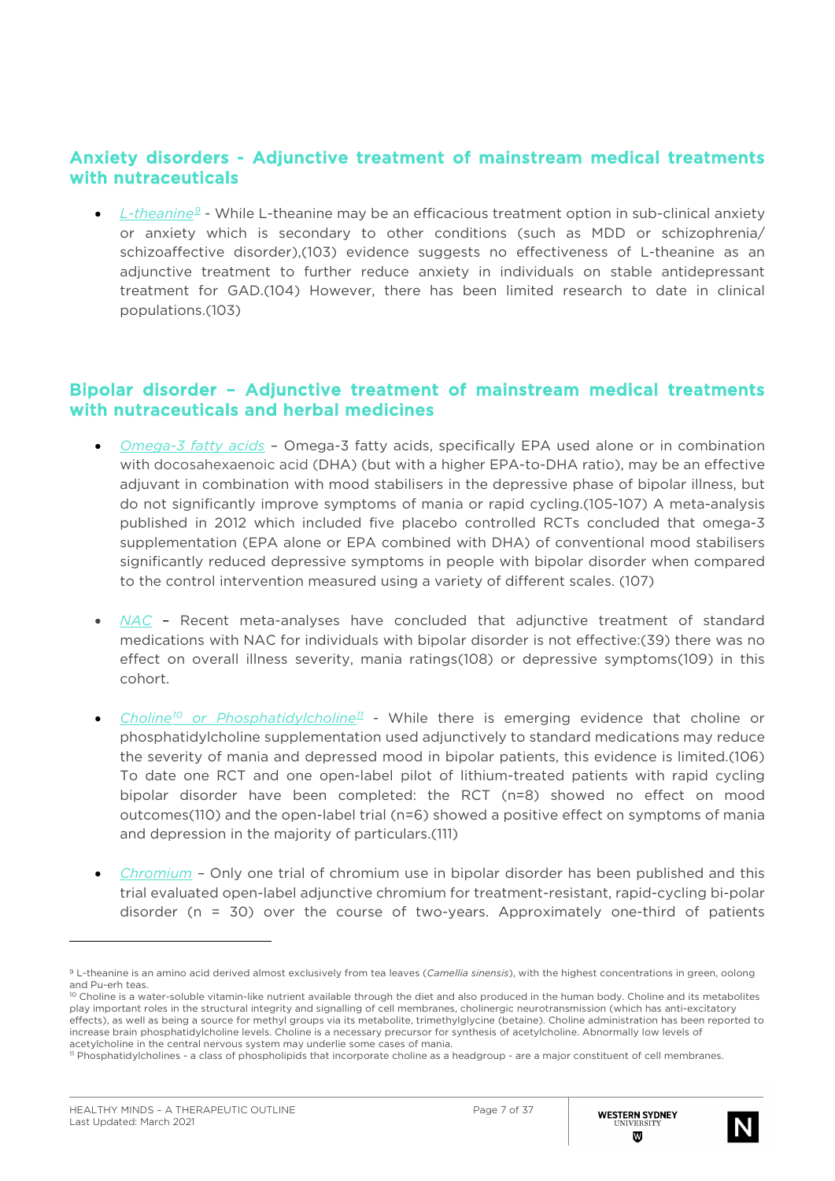### Anxiety disorders - Adjunctive treatment of mainstream medical treatments with nutraceuticals

• *L-theanine[9](#page-6-0)* - While L-theanine may be an efficacious treatment option in sub-clinical anxiety or anxiety which is secondary to other conditions (such as MDD or schizophrenia/ schizoaffective disorder),(103) evidence suggests no effectiveness of L-theanine as an adjunctive treatment to further reduce anxiety in individuals on stable antidepressant treatment for GAD.(104) However, there has been limited research to date in clinical populations.(103)

#### Bipolar disorder – Adjunctive treatment of mainstream medical treatments with nutraceuticals and herbal medicines

- *Omega-3 fatty acids* Omega-3 fatty acids, specifically EPA used alone or in combination with docosahexaenoic acid (DHA) (but with a higher EPA-to-DHA ratio), may be an effective adjuvant in combination with mood stabilisers in the depressive phase of bipolar illness, but do not significantly improve symptoms of mania or rapid cycling.(105-107) A meta-analysis published in 2012 which included five placebo controlled RCTs concluded that omega-3 supplementation (EPA alone or EPA combined with DHA) of conventional mood stabilisers significantly reduced depressive symptoms in people with bipolar disorder when compared to the control intervention measured using a variety of different scales. (107)
- *NAC* Recent meta-analyses have concluded that adjunctive treatment of standard medications with NAC for individuals with bipolar disorder is not effective:(39) there was no effect on overall illness severity, mania ratings(108) or depressive symptoms(109) in this cohort.
- *Choline[10](#page-6-1) or Phosphatidylcholine[11](#page-6-2) -* While there is emerging evidence that choline or phosphatidylcholine supplementation used adjunctively to standard medications may reduce the severity of mania and depressed mood in bipolar patients, this evidence is limited.(106) To date one RCT and one open-label pilot of lithium-treated patients with rapid cycling bipolar disorder have been completed: the RCT (n=8) showed no effect on mood outcomes(110) and the open-label trial (n=6) showed a positive effect on symptoms of mania and depression in the majority of particulars.(111)
- *Chromium –* Only one trial of chromium use in bipolar disorder has been published and this trial evaluated open-label adjunctive chromium for treatment-resistant, rapid-cycling bi-polar disorder (n = 30) over the course of two-years. Approximately one-third of patients



<span id="page-6-0"></span><sup>9</sup> L-theanine is an amino acid derived almost exclusively from tea leaves (*Camellia sinensis*), with the highest concentrations in green, oolong and Pu-erh teas.<br><sup>10</sup> Choline is a water-soluble vitamin-like nutrient available through the diet and also produced in the human body. Choline and its metabolites

<span id="page-6-1"></span>play important roles in the structural integrity and signalling of cell membranes, cholinergic neurotransmission (which has anti-excitatory effects), as well as being a source for methyl groups via its metabolite, trimethylglycine (betaine). Choline administration has been reported to increase brain phosphatidylcholine levels. Choline is a necessary precursor for synthesis of acetylcholine. Abnormally low levels of acetylcholine in the central nervous system may underlie some cases of mania.

<span id="page-6-2"></span><sup>11</sup> Phosphatidylcholines - a class of phospholipids that incorporate choline as a headgroup - are a major constituent of cell membranes.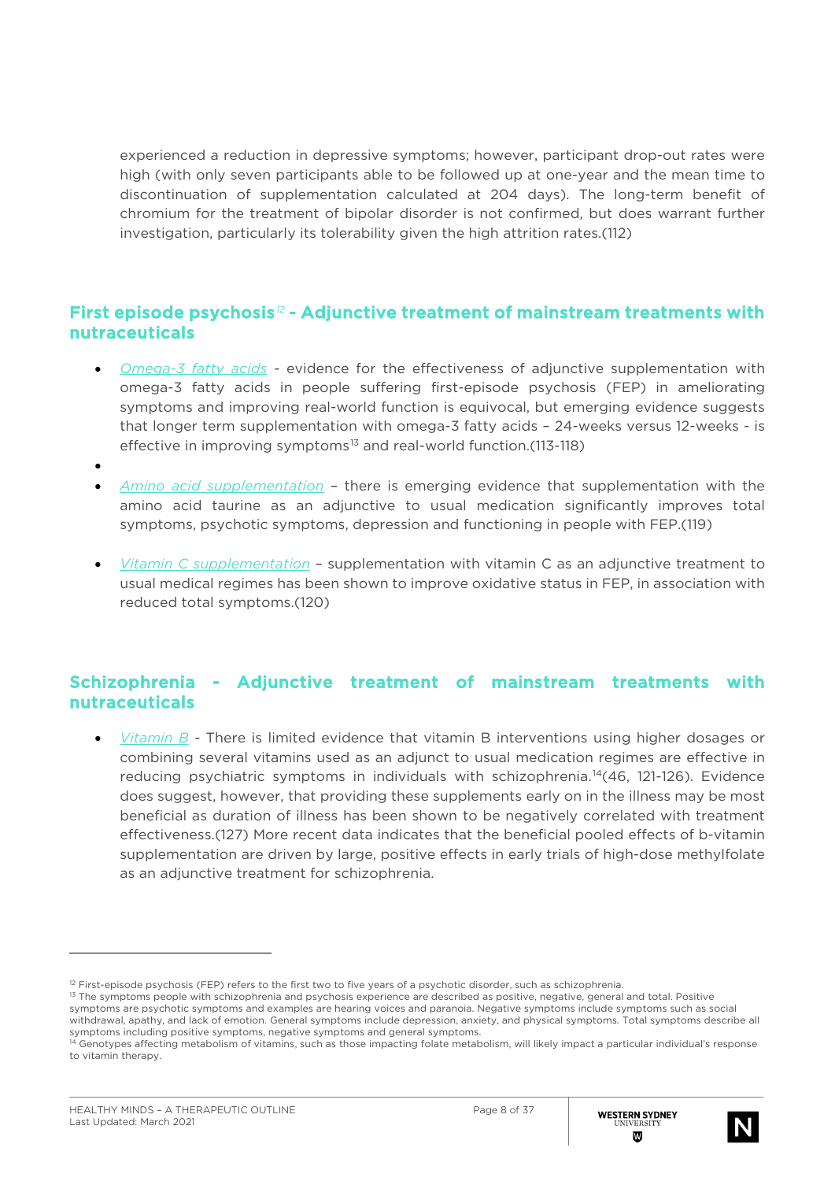experienced a reduction in depressive symptoms; however, participant drop-out rates were high (with only seven participants able to be followed up at one-year and the mean time to discontinuation of supplementation calculated at 204 days). The long-term benefit of chromium for the treatment of bipolar disorder is not confirmed, but does warrant further investigation, particularly its tolerability given the high attrition rates.(112)

### First episode psychosis*[12](#page-7-0)* - Adjunctive treatment of mainstream treatments with nutraceuticals

- *Omega-3 fatty acids -* evidence for the effectiveness of adjunctive supplementation with omega-3 fatty acids in people suffering first-episode psychosis (FEP) in ameliorating symptoms and improving real-world function is equivocal, but emerging evidence suggests that longer term supplementation with omega-3 fatty acids – 24-weeks versus 12-weeks - is effective in improving symptoms $13$  and real-world function.(113-118)
- •

l

- *Amino acid supplementation* there is emerging evidence that supplementation with the amino acid taurine as an adjunctive to usual medication significantly improves total symptoms, psychotic symptoms, depression and functioning in people with FEP.(119)
- *Vitamin C supplementation* supplementation with vitamin C as an adjunctive treatment to usual medical regimes has been shown to improve oxidative status in FEP, in association with reduced total symptoms.(120)

### Schizophrenia - Adjunctive treatment of mainstream treatments with nutraceuticals

• *Vitamin B -* There is limited evidence that vitamin B interventions using higher dosages or combining several vitamins used as an adjunct to usual medication regimes are effective in reducing psychiatric symptoms in individuals with schizophrenia.<sup>[14](#page-7-2)</sup>(46, 121-126). Evidence does suggest, however, that providing these supplements early on in the illness may be most beneficial as duration of illness has been shown to be negatively correlated with treatment effectiveness.(127) More recent data indicates that the beneficial pooled effects of b-vitamin supplementation are driven by large, positive effects in early trials of high-dose methylfolate as an adjunctive treatment for schizophrenia.



<span id="page-7-0"></span> $12$  First-episode psychosis (FEP) refers to the first two to five years of a psychotic disorder, such as schizophrenia.

<span id="page-7-1"></span><sup>&</sup>lt;sup>13</sup> The symptoms people with schizophrenia and psychosis experience are described as positive, negative, general and total. Positive symptoms are psychotic symptoms and examples are hearing voices and paranoia. Negative symptoms include symptoms such as social withdrawal, apathy, and lack of emotion. General symptoms include depression, anxiety, and physical symptoms. Total symptoms describe all symptoms including positive symptoms, negative symptoms and general symptoms.

<span id="page-7-2"></span><sup>&</sup>lt;sup>14</sup> Genotypes affecting metabolism of vitamins, such as those impacting folate metabolism, will likely impact a particular individual's response to vitamin therapy.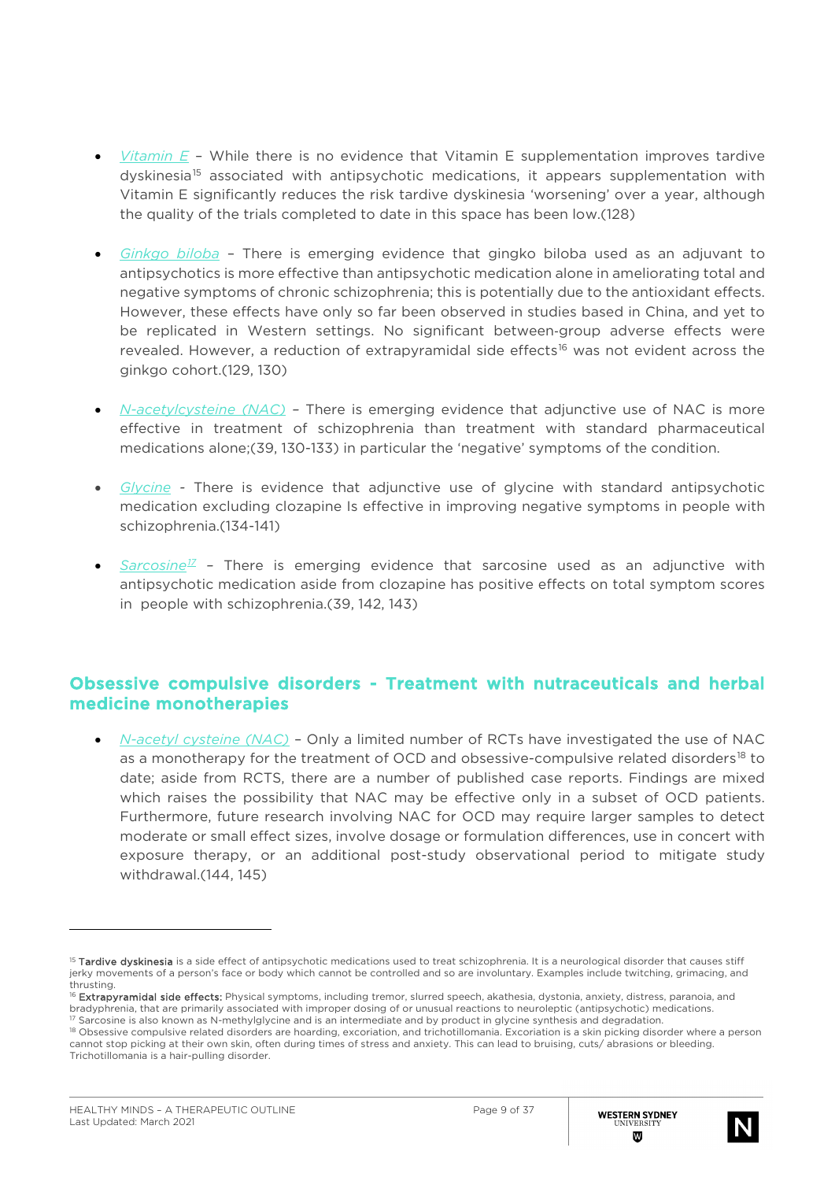- *Vitamin E* While there is no evidence that Vitamin E supplementation improves tardive dyskinesia<sup>[15](#page-8-0)</sup> associated with antipsychotic medications, it appears supplementation with Vitamin E significantly reduces the risk tardive dyskinesia 'worsening' over a year, although the quality of the trials completed to date in this space has been low.(128)
- *Ginkgo biloba* There is emerging evidence that gingko biloba used as an adjuvant to antipsychotics is more effective than antipsychotic medication alone in ameliorating total and negative symptoms of chronic schizophrenia; this is potentially due to the antioxidant effects. However, these effects have only so far been observed in studies based in China, and yet to be replicated in Western settings. No significant between-group adverse effects were revealed. However, a reduction of extrapyramidal side effects<sup>[16](#page-8-1)</sup> was not evident across the ginkgo cohort.(129, 130)
- *N-acetylcysteine (NAC) –* There is emerging evidence that adjunctive use of NAC is more effective in treatment of schizophrenia than treatment with standard pharmaceutical medications alone;(39, 130-133) in particular the 'negative' symptoms of the condition.
- *Glycine -* There is evidence that adjunctive use of glycine with standard antipsychotic medication excluding clozapine Is effective in improving negative symptoms in people with schizophrenia.(134-141)
- *Sarcosine[17](#page-8-2) –* There is emerging evidence that sarcosine used as an adjunctive with antipsychotic medication aside from clozapine has positive effects on total symptom scores in people with schizophrenia.(39, 142, 143)

### Obsessive compulsive disorders - Treatment with nutraceuticals and herbal medicine monotherapies

• *N-acetyl cysteine (NAC)* – Only a limited number of RCTs have investigated the use of NAC as a monotherapy for the treatment of OCD and obsessive-compulsive related disorders<sup>[18](#page-8-3)</sup> to date; aside from RCTS, there are a number of published case reports. Findings are mixed which raises the possibility that NAC may be effective only in a subset of OCD patients. Furthermore, future research involving NAC for OCD may require larger samples to detect moderate or small effect sizes, involve dosage or formulation differences, use in concert with exposure therapy, or an additional post-study observational period to mitigate study withdrawal.(144, 145)



<span id="page-8-0"></span><sup>&</sup>lt;sup>15</sup> Tardive dyskinesia is a side effect of antipsychotic medications used to treat schizophrenia. It is a neurological disorder that causes stiff jerky movements of a person's face or body which cannot be controlled and so are involuntary. Examples include twitching, grimacing, and thrusting.

<span id="page-8-1"></span><sup>&</sup>lt;sup>16</sup> Extrapyramidal side effects: Physical symptoms, including tremor, slurred speech, akathesia, dystonia, anxiety, distress, paranoia, and bradyphrenia, that are primarily associated with improper dosing of or unusual reactions to neuroleptic (antipsychotic) medications.

<span id="page-8-2"></span> $17$  Sarcosine is also known as N-methylglycine and is an intermediate and by product in glycine synthesis and degradation.

<span id="page-8-3"></span><sup>&</sup>lt;sup>18</sup> Obsessive compulsive related disorders are hoarding, excoriation, and trichotillomania. Excoriation is a skin picking disorder where a person cannot stop picking at their own skin, often during times of stress and anxiety. This can lead to bruising, cuts/ abrasions or bleeding. Trichotillomania is a hair-pulling disorder.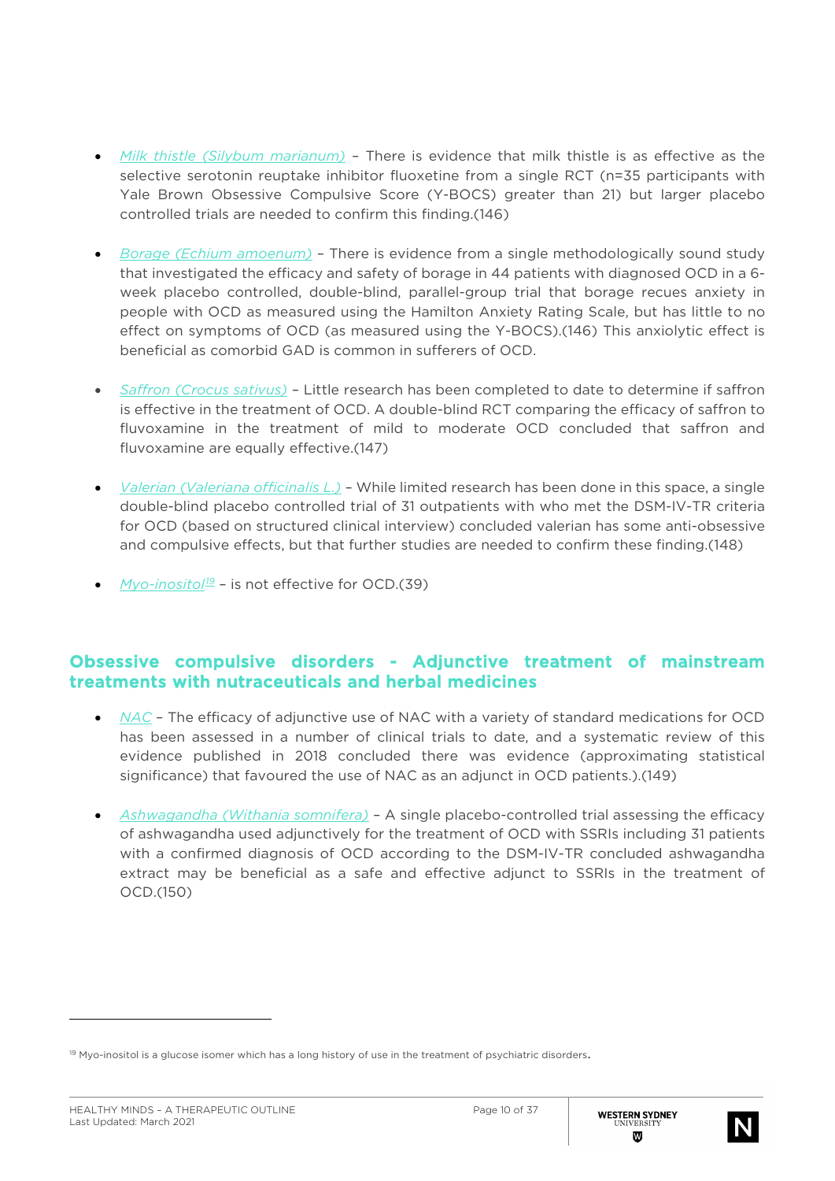- *Milk thistle (Silybum marianum)* There is evidence that milk thistle is as effective as the selective serotonin reuptake inhibitor fluoxetine from a single RCT (n=35 participants with Yale Brown Obsessive Compulsive Score (Y-BOCS) greater than 21) but larger placebo controlled trials are needed to confirm this finding.(146)
- *Borage (Echium amoenum)* There is evidence from a single methodologically sound study that investigated the efficacy and safety of borage in 44 patients with diagnosed OCD in a 6 week placebo controlled, double-blind, parallel-group trial that borage recues anxiety in people with OCD as measured using the Hamilton Anxiety Rating Scale, but has little to no effect on symptoms of OCD (as measured using the Y-BOCS).(146) This anxiolytic effect is beneficial as comorbid GAD is common in sufferers of OCD.
- *Saffron (Crocus sativus)* Little research has been completed to date to determine if saffron is effective in the treatment of OCD. A double-blind RCT comparing the efficacy of saffron to fluvoxamine in the treatment of mild to moderate OCD concluded that saffron and fluvoxamine are equally effective.(147)
- *Valerian (Valeriana officinalis L.)* While limited research has been done in this space, a single double-blind placebo controlled trial of 31 outpatients with who met the DSM-IV-TR criteria for OCD (based on structured clinical interview) concluded valerian has some anti-obsessive and compulsive effects, but that further studies are needed to confirm these finding.(148)
- *Myo-inositol<sup>[19](#page-9-0)</sup>* is not effective for OCD.(39)

### Obsessive compulsive disorders - Adjunctive treatment of mainstream treatments with nutraceuticals and herbal medicines

- *NAC* The efficacy of adjunctive use of NAC with a variety of standard medications for OCD has been assessed in a number of clinical trials to date, and a systematic review of this evidence published in 2018 concluded there was evidence (approximating statistical significance) that favoured the use of NAC as an adjunct in OCD patients.).(149)
- *Ashwagandha (Withania somnifera)* A single placebo-controlled trial assessing the efficacy of ashwagandha used adjunctively for the treatment of OCD with SSRIs including 31 patients with a confirmed diagnosis of OCD according to the DSM-IV-TR concluded ashwagandha extract may be beneficial as a safe and effective adjunct to SSRIs in the treatment of OCD.(150)



<span id="page-9-0"></span> $19$  Myo-inositol is a glucose isomer which has a long history of use in the treatment of psychiatric disorders.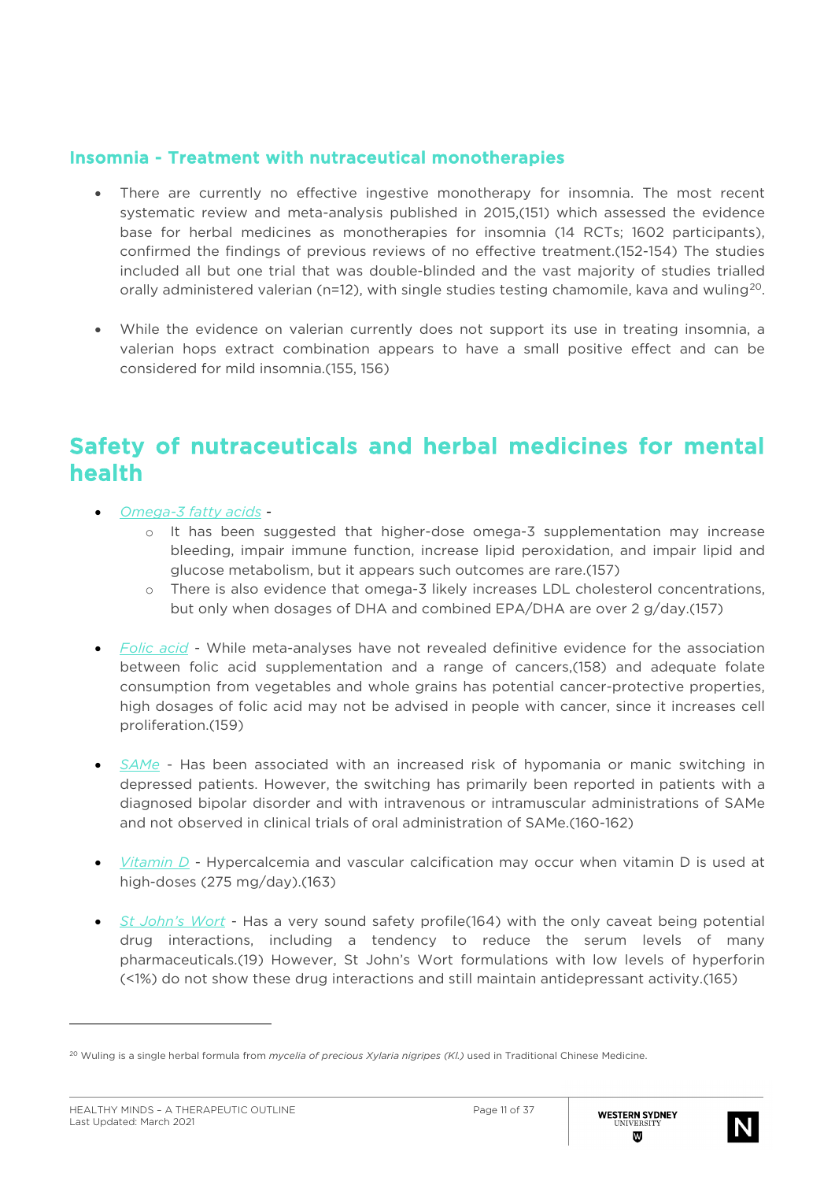### Insomnia - Treatment with nutraceutical monotherapies

- There are currently no effective ingestive monotherapy for insomnia. The most recent systematic review and meta-analysis published in 2015,(151) which assessed the evidence base for herbal medicines as monotherapies for insomnia (14 RCTs; 1602 participants), confirmed the findings of previous reviews of no effective treatment.(152-154) The studies included all but one trial that was double-blinded and the vast majority of studies trialled orally administered valerian (n=12), with single studies testing chamomile, kava and wuling<sup>[20](#page-10-0)</sup>.
- While the evidence on valerian currently does not support its use in treating insomnia, a valerian hops extract combination appears to have a small positive effect and can be considered for mild insomnia.(155, 156)

### Safety of nutraceuticals and herbal medicines for mental health

- *Omega-3 fatty acids* 
	- o It has been suggested that higher-dose omega-3 supplementation may increase bleeding, impair immune function, increase lipid peroxidation, and impair lipid and glucose metabolism, but it appears such outcomes are rare.(157)
	- o There is also evidence that omega-3 likely increases LDL cholesterol concentrations, but only when dosages of DHA and combined EPA/DHA are over 2 g/day.(157)
- *Folic acid* While meta-analyses have not revealed definitive evidence for the association between folic acid supplementation and a range of cancers,(158) and adequate folate consumption from vegetables and whole grains has potential cancer-protective properties, high dosages of folic acid may not be advised in people with cancer, since it increases cell proliferation.(159)
- *SAMe* Has been associated with an increased risk of hypomania or manic switching in depressed patients. However, the switching has primarily been reported in patients with a diagnosed bipolar disorder and with intravenous or intramuscular administrations of SAMe and not observed in clinical trials of oral administration of SAMe.(160-162)
- *Vitamin D* Hypercalcemia and vascular calcification may occur when vitamin D is used at high-doses (275 mg/day).(163)
- *St John's Wort* Has a very sound safety profile(164) with the only caveat being potential drug interactions, including a tendency to reduce the serum levels of many pharmaceuticals.(19) However, St John's Wort formulations with low levels of hyperforin (<1%) do not show these drug interactions and still maintain antidepressant activity.(165)



<span id="page-10-0"></span><sup>20</sup> Wuling is a single herbal formula from *mycelia of precious Xylaria nigripes (Kl.)* used in Traditional Chinese Medicine.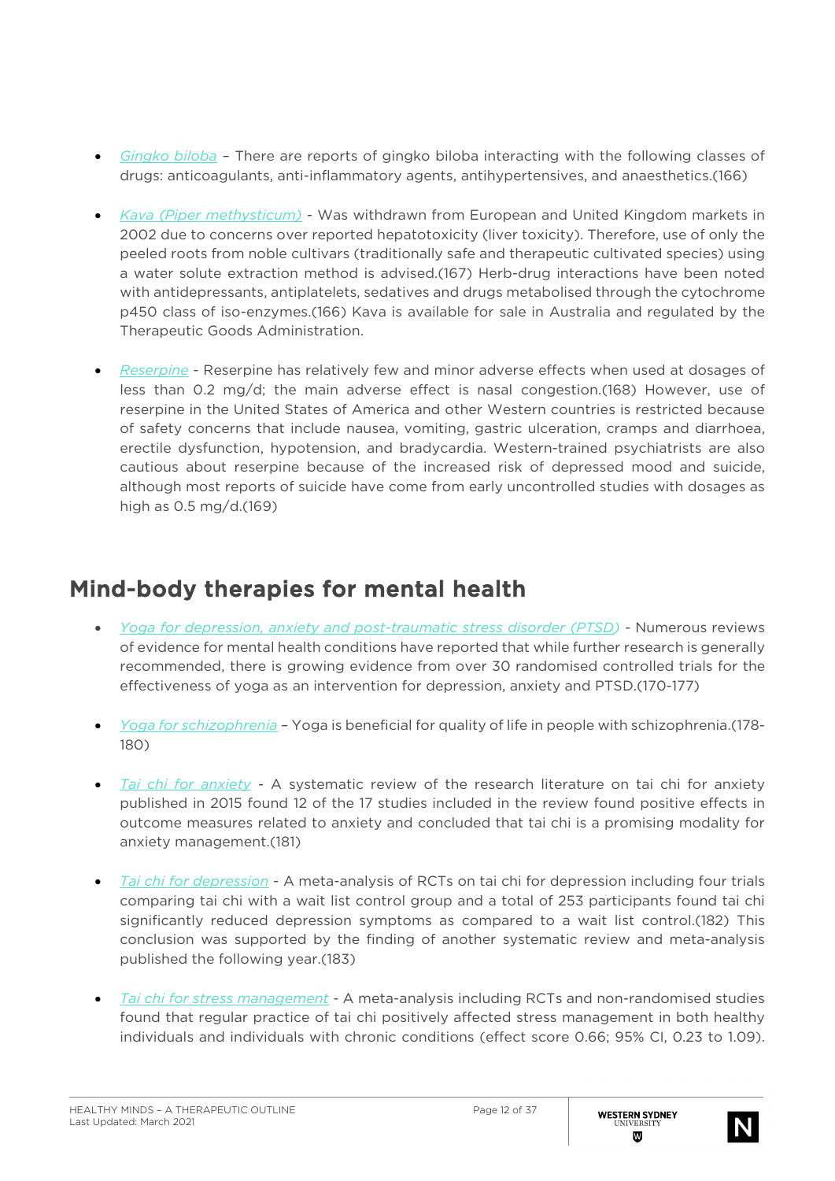- *Gingko biloba* There are reports of gingko biloba interacting with the following classes of drugs: anticoagulants, anti-inflammatory agents, antihypertensives, and anaesthetics.(166)
- *Kava (Piper methysticum)* Was withdrawn from European and United Kingdom markets in 2002 due to concerns over reported hepatotoxicity (liver toxicity). Therefore, use of only the peeled roots from noble cultivars (traditionally safe and therapeutic cultivated species) using a water solute extraction method is advised.(167) Herb-drug interactions have been noted with antidepressants, antiplatelets, sedatives and drugs metabolised through the cytochrome p450 class of iso-enzymes.(166) Kava is available for sale in Australia and regulated by the Therapeutic Goods Administration.
- *Reserpine* Reserpine has relatively few and minor adverse effects when used at dosages of less than 0.2 mg/d; the main adverse effect is nasal congestion.(168) However, use of reserpine in the United States of America and other Western countries is restricted because of safety concerns that include nausea, vomiting, gastric ulceration, cramps and diarrhoea, erectile dysfunction, hypotension, and bradycardia. Western-trained psychiatrists are also cautious about reserpine because of the increased risk of depressed mood and suicide, although most reports of suicide have come from early uncontrolled studies with dosages as high as 0.5 mg/d.(169)

## Mind-body therapies for mental health

- *Yoga for depression, anxiety and post-traumatic stress disorder (PTSD) -* Numerous reviews of evidence for mental health conditions have reported that while further research is generally recommended, there is growing evidence from over 30 randomised controlled trials for the effectiveness of yoga as an intervention for depression, anxiety and PTSD.(170-177)
- *Yoga for schizophrenia –* Yoga is beneficial for quality of life in people with schizophrenia.(178- 180)
- *Tai chi for anxiety -* A systematic review of the research literature on tai chi for anxiety published in 2015 found 12 of the 17 studies included in the review found positive effects in outcome measures related to anxiety and concluded that tai chi is a promising modality for anxiety management.(181)
- *Tai chi for depression -* A meta-analysis of RCTs on tai chi for depression including four trials comparing tai chi with a wait list control group and a total of 253 participants found tai chi significantly reduced depression symptoms as compared to a wait list control.(182) This conclusion was supported by the finding of another systematic review and meta-analysis published the following year.(183)
- *Tai chi for stress management -* A meta-analysis including RCTs and non-randomised studies found that regular practice of tai chi positively affected stress management in both healthy individuals and individuals with chronic conditions (effect score 0.66; 95% CI, 0.23 to 1.09).

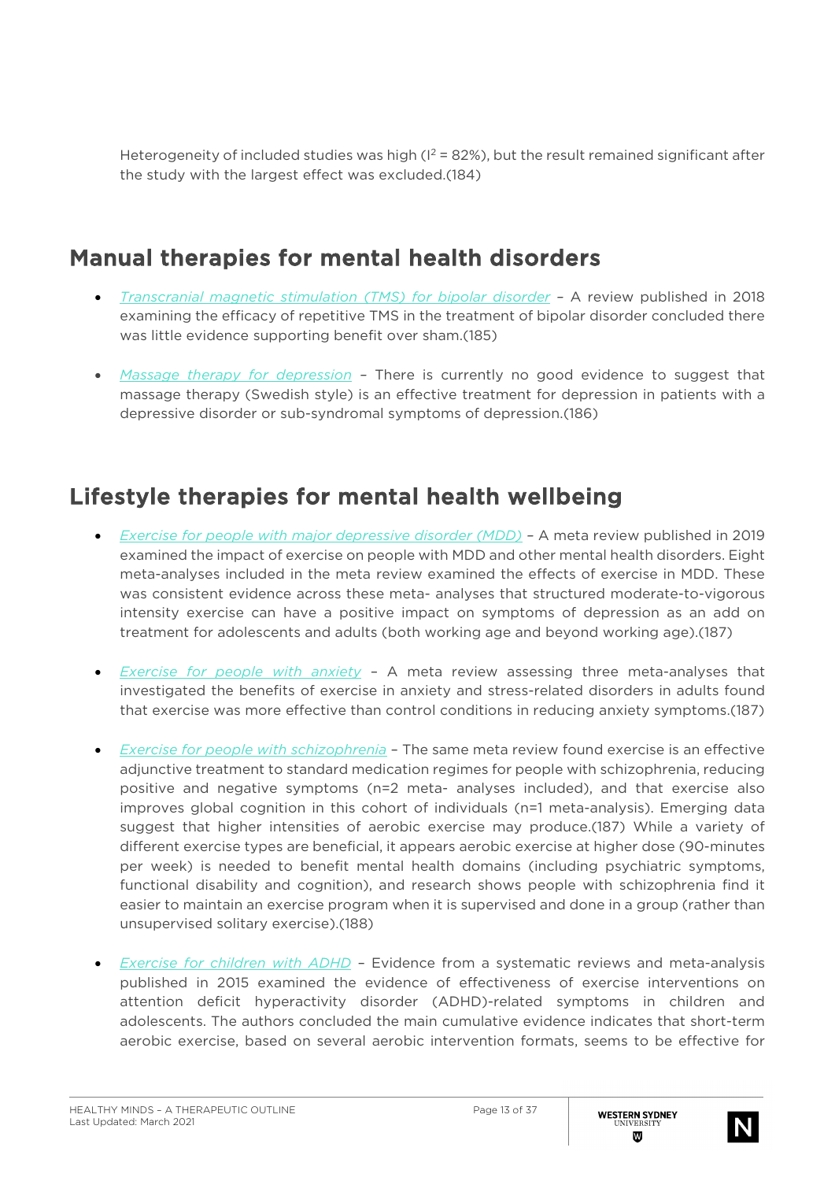Heterogeneity of included studies was high ( $1^2$  = 82%), but the result remained significant after the study with the largest effect was excluded.(184)

## Manual therapies for mental health disorders

- *Transcranial magnetic stimulation (TMS) for bipolar disorder –* A review published in 2018 examining the efficacy of repetitive TMS in the treatment of bipolar disorder concluded there was little evidence supporting benefit over sham.(185)
- *Massage therapy for depression –* There is currently no good evidence to suggest that massage therapy (Swedish style) is an effective treatment for depression in patients with a depressive disorder or sub-syndromal symptoms of depression.(186)

## Lifestyle therapies for mental health wellbeing

- *Exercise for people with major depressive disorder (MDD) –* A meta review published in 2019 examined the impact of exercise on people with MDD and other mental health disorders. Eight meta-analyses included in the meta review examined the effects of exercise in MDD. These was consistent evidence across these meta- analyses that structured moderate-to-vigorous intensity exercise can have a positive impact on symptoms of depression as an add on treatment for adolescents and adults (both working age and beyond working age).(187)
- *Exercise for people with anxiety* A meta review assessing three meta-analyses that investigated the benefits of exercise in anxiety and stress-related disorders in adults found that exercise was more effective than control conditions in reducing anxiety symptoms.(187)
- *Exercise for people with schizophrenia* The same meta review found exercise is an effective adjunctive treatment to standard medication regimes for people with schizophrenia, reducing positive and negative symptoms (n=2 meta- analyses included), and that exercise also improves global cognition in this cohort of individuals (n=1 meta-analysis). Emerging data suggest that higher intensities of aerobic exercise may produce.(187) While a variety of different exercise types are beneficial, it appears aerobic exercise at higher dose (90-minutes per week) is needed to benefit mental health domains (including psychiatric symptoms, functional disability and cognition), and research shows people with schizophrenia find it easier to maintain an exercise program when it is supervised and done in a group (rather than unsupervised solitary exercise).(188)
- *Exercise for children with ADHD* Evidence from a systematic reviews and meta-analysis published in 2015 examined the evidence of effectiveness of exercise interventions on attention deficit hyperactivity disorder (ADHD)-related symptoms in children and adolescents. The authors concluded the main cumulative evidence indicates that short-term aerobic exercise, based on several aerobic intervention formats, seems to be effective for

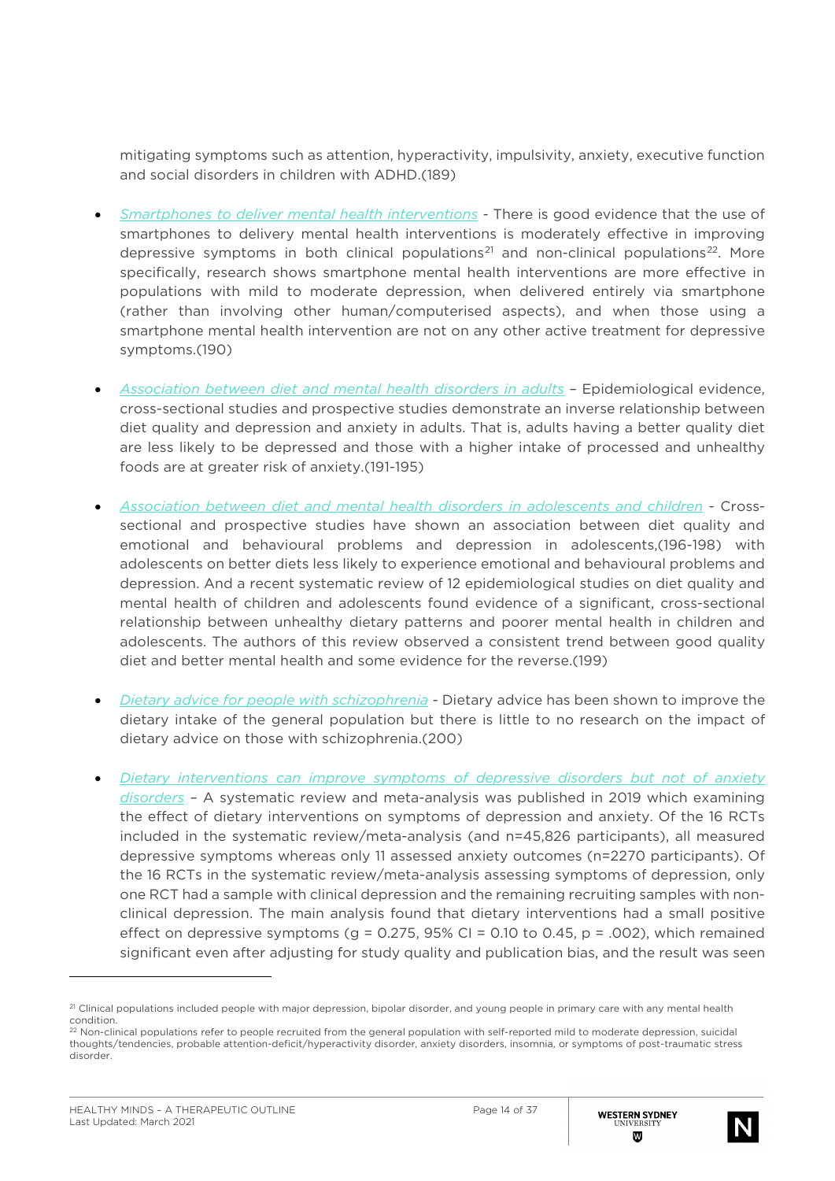mitigating symptoms such as attention, hyperactivity, impulsivity, anxiety, executive function and social disorders in children with ADHD.(189)

- *Smartphones to deliver mental health interventions -* There is good evidence that the use of smartphones to delivery mental health interventions is moderately effective in improving depressive symptoms in both clinical populations<sup>[21](#page-13-0)</sup> and non-clinical populations<sup>22</sup>. More specifically, research shows smartphone mental health interventions are more effective in populations with mild to moderate depression, when delivered entirely via smartphone (rather than involving other human/computerised aspects), and when those using a smartphone mental health intervention are not on any other active treatment for depressive symptoms.(190)
- *Association between diet and mental health disorders in adults –* Epidemiological evidence, cross-sectional studies and prospective studies demonstrate an inverse relationship between diet quality and depression and anxiety in adults. That is, adults having a better quality diet are less likely to be depressed and those with a higher intake of processed and unhealthy foods are at greater risk of anxiety.(191-195)
- *Association between diet and mental health disorders in adolescents and children* Crosssectional and prospective studies have shown an association between diet quality and emotional and behavioural problems and depression in adolescents,(196-198) with adolescents on better diets less likely to experience emotional and behavioural problems and depression. And a recent systematic review of 12 epidemiological studies on diet quality and mental health of children and adolescents found evidence of a significant, cross-sectional relationship between unhealthy dietary patterns and poorer mental health in children and adolescents. The authors of this review observed a consistent trend between good quality diet and better mental health and some evidence for the reverse.(199)
- *Dietary advice for people with schizophrenia -* Dietary advice has been shown to improve the dietary intake of the general population but there is little to no research on the impact of dietary advice on those with schizophrenia.(200)
- *Dietary interventions can improve symptoms of depressive disorders but not of anxiety disorders –* A systematic review and meta-analysis was published in 2019 which examining the effect of dietary interventions on symptoms of depression and anxiety. Of the 16 RCTs included in the systematic review/meta-analysis (and n=45,826 participants), all measured depressive symptoms whereas only 11 assessed anxiety outcomes (n=2270 participants). Of the 16 RCTs in the systematic review/meta-analysis assessing symptoms of depression, only one RCT had a sample with clinical depression and the remaining recruiting samples with nonclinical depression. The main analysis found that dietary interventions had a small positive effect on depressive symptoms (g =  $0.275$ , 95% CI = 0.10 to 0.45, p = .002), which remained significant even after adjusting for study quality and publication bias, and the result was seen



<span id="page-13-0"></span><sup>&</sup>lt;sup>21</sup> Clinical populations included people with major depression, bipolar disorder, and young people in primary care with any mental health condition.

<span id="page-13-1"></span><sup>&</sup>lt;sup>22</sup> Non-clinical populations refer to people recruited from the general population with self-reported mild to moderate depression, suicidal thoughts/tendencies, probable attention-deficit/hyperactivity disorder, anxiety disorders, insomnia, or symptoms of post-traumatic stress disorder.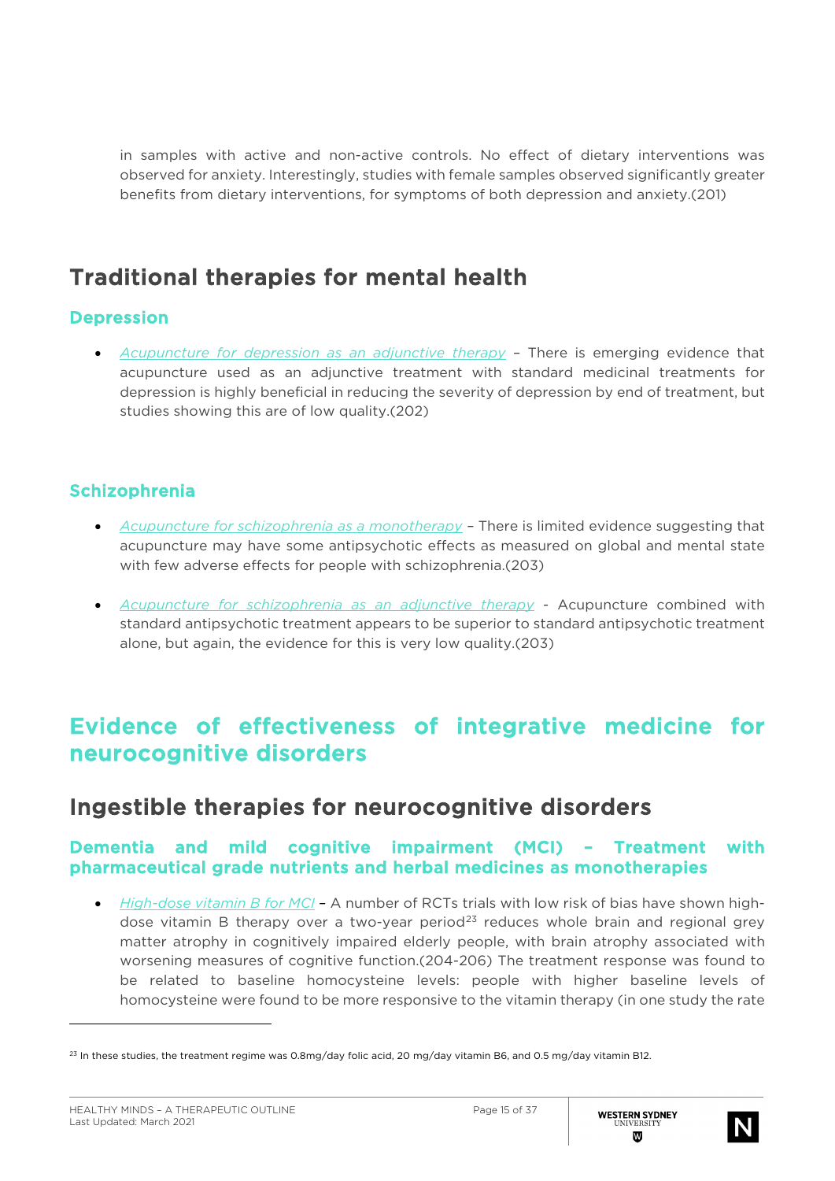in samples with active and non-active controls. No effect of dietary interventions was observed for anxiety. Interestingly, studies with female samples observed significantly greater benefits from dietary interventions, for symptoms of both depression and anxiety.(201)

# Traditional therapies for mental health

### Depression

• *Acupuncture for depression as an adjunctive therapy –* There is emerging evidence that acupuncture used as an adjunctive treatment with standard medicinal treatments for depression is highly beneficial in reducing the severity of depression by end of treatment, but studies showing this are of low quality.(202)

### Schizophrenia

- *Acupuncture for schizophrenia as a monotherapy –* There is limited evidence suggesting that acupuncture may have some antipsychotic effects as measured on global and mental state with few adverse effects for people with schizophrenia.(203)
- *Acupuncture for schizophrenia as an adjunctive therapy -* Acupuncture combined with standard antipsychotic treatment appears to be superior to standard antipsychotic treatment alone, but again, the evidence for this is very low quality.(203)

## Evidence of effectiveness of integrative medicine for neurocognitive disorders

## Ingestible therapies for neurocognitive disorders

### Dementia and mild cognitive impairment (MCI) – Treatment with pharmaceutical grade nutrients and herbal medicines as monotherapies

• *High-dose vitamin B for MCI* – A number of RCTs trials with low risk of bias have shown high-dose vitamin B therapy over a two-year period<sup>[23](#page-14-0)</sup> reduces whole brain and regional grey matter atrophy in cognitively impaired elderly people, with brain atrophy associated with worsening measures of cognitive function.(204-206) The treatment response was found to be related to baseline homocysteine levels: people with higher baseline levels of homocysteine were found to be more responsive to the vitamin therapy (in one study the rate



<span id="page-14-0"></span><sup>&</sup>lt;sup>23</sup> In these studies, the treatment regime was 0.8mg/day folic acid, 20 mg/day vitamin B6, and 0.5 mg/day vitamin B12.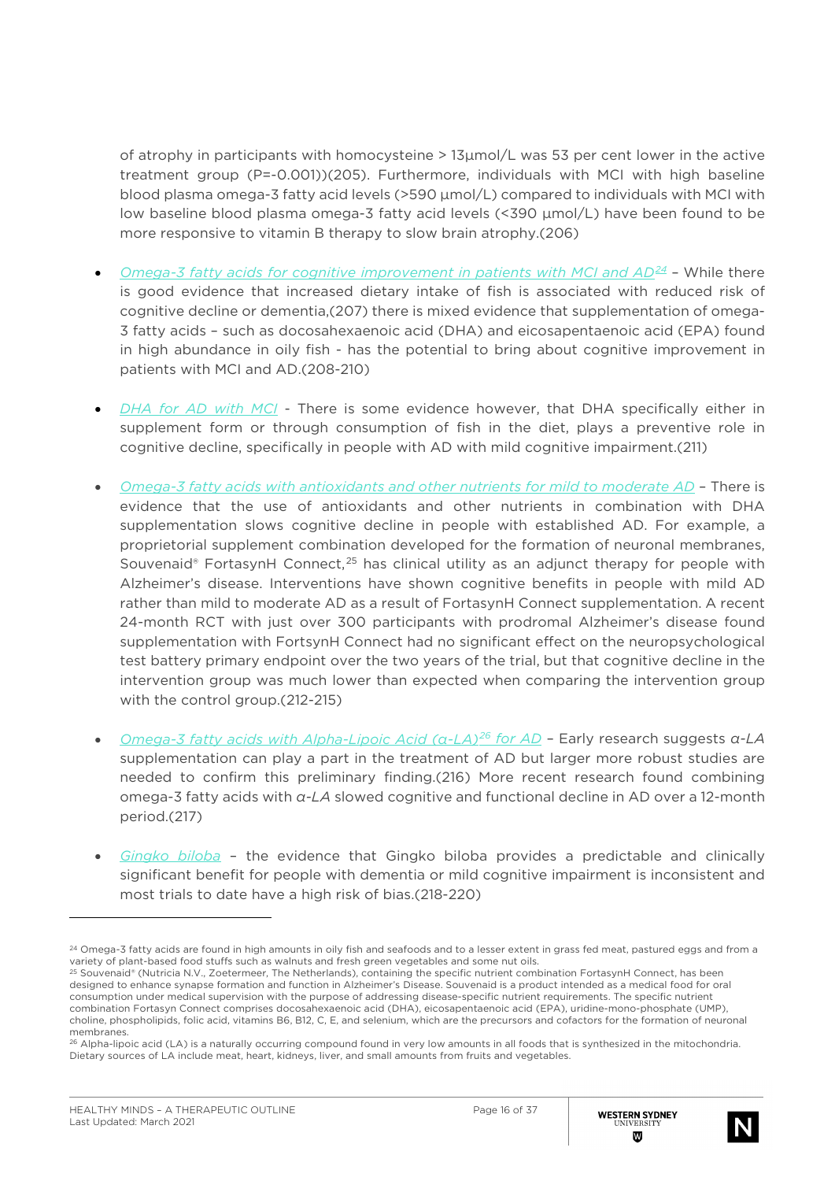of atrophy in participants with homocysteine > 13μmol/L was 53 per cent lower in the active treatment group (P=-0.001))(205). Furthermore, individuals with MCI with high baseline blood plasma omega-3 fatty acid levels (>590 μmol/L) compared to individuals with MCI with low baseline blood plasma omega-3 fatty acid levels (<390 μmol/L) have been found to be more responsive to vitamin B therapy to slow brain atrophy.(206)

- *Omega-3 fatty acids for cognitive improvement in patients with MCI and AD[24](#page-15-0)* While there is good evidence that increased dietary intake of fish is associated with reduced risk of cognitive decline or dementia,(207) there is mixed evidence that supplementation of omega-3 fatty acids – such as docosahexaenoic acid (DHA) and eicosapentaenoic acid (EPA) found in high abundance in oily fish - has the potential to bring about cognitive improvement in patients with MCI and AD.(208-210)
- *DHA for AD with MCI* There is some evidence however, that DHA specifically either in supplement form or through consumption of fish in the diet, plays a preventive role in cognitive decline, specifically in people with AD with mild cognitive impairment.(211)
- *Omega-3 fatty acids with antioxidants and other nutrients for mild to moderate AD* There is evidence that the use of antioxidants and other nutrients in combination with DHA supplementation slows cognitive decline in people with established AD. For example, a proprietorial supplement combination developed for the formation of neuronal membranes, Souvenaid® FortasynH Connect,<sup>[25](#page-15-1)</sup> has clinical utility as an adjunct therapy for people with Alzheimer's disease. Interventions have shown cognitive benefits in people with mild AD rather than mild to moderate AD as a result of FortasynH Connect supplementation. A recent 24-month RCT with just over 300 participants with prodromal Alzheimer's disease found supplementation with FortsynH Connect had no significant effect on the neuropsychological test battery primary endpoint over the two years of the trial, but that cognitive decline in the intervention group was much lower than expected when comparing the intervention group with the control group.(212-215)
- *Omega-3 fatty acids with Alpha-Lipoic Acid (α-LA)[26](#page-15-2) for AD* Early research suggests *α-LA* supplementation can play a part in the treatment of AD but larger more robust studies are needed to confirm this preliminary finding.(216) More recent research found combining omega-3 fatty acids with *α-LA* slowed cognitive and functional decline in AD over a 12-month period.(217)
- *Gingko biloba* the evidence that Gingko biloba provides a predictable and clinically significant benefit for people with dementia or mild cognitive impairment is inconsistent and most trials to date have a high risk of bias.(218-220)



<span id="page-15-0"></span><sup>&</sup>lt;sup>24</sup> Omega-3 fatty acids are found in high amounts in oily fish and seafoods and to a lesser extent in grass fed meat, pastured eggs and from a variety of plant-based food stuffs such as walnuts and fresh green vegetables and some nut oils.

<span id="page-15-1"></span><sup>&</sup>lt;sup>25</sup> Souvenaid® (Nutricia N.V., Zoetermeer, The Netherlands), containing the specific nutrient combination FortasynH Connect, has been designed to enhance synapse formation and function in Alzheimer's Disease. Souvenaid is a product intended as a medical food for oral consumption under medical supervision with the purpose of addressing disease-specific nutrient requirements. The specific nutrient combination Fortasyn Connect comprises docosahexaenoic acid (DHA), eicosapentaenoic acid (EPA), uridine-mono-phosphate (UMP), choline, phospholipids, folic acid, vitamins B6, B12, C, E, and selenium, which are the precursors and cofactors for the formation of neuronal membranes.

<span id="page-15-2"></span><sup>26</sup> Alpha-lipoic acid (LA) is a naturally occurring compound found in very low amounts in all foods that is synthesized in the mitochondria. Dietary sources of LA include meat, heart, kidneys, liver, and small amounts from fruits and vegetables.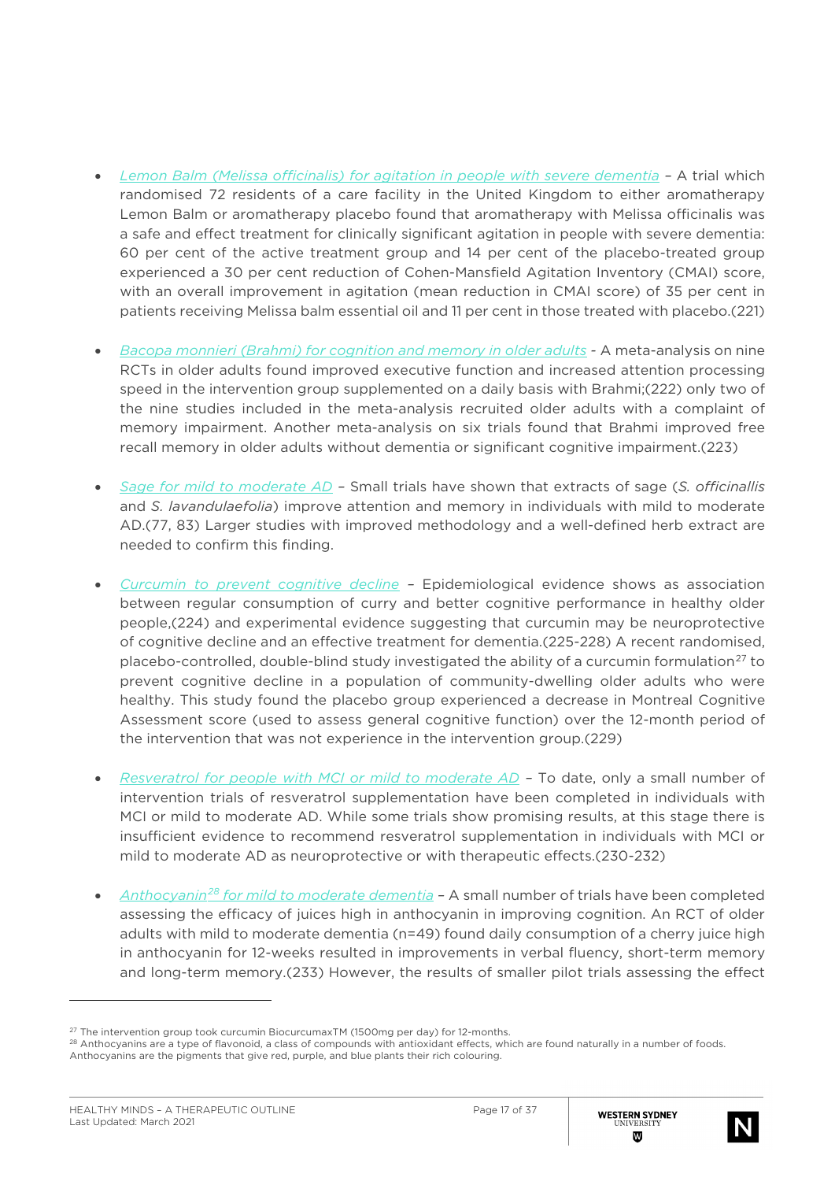- *Lemon Balm (Melissa officinalis) for agitation in people with severe dementia –* A trial which randomised 72 residents of a care facility in the United Kingdom to either aromatherapy Lemon Balm or aromatherapy placebo found that aromatherapy with Melissa officinalis was a safe and effect treatment for clinically significant agitation in people with severe dementia: 60 per cent of the active treatment group and 14 per cent of the placebo-treated group experienced a 30 per cent reduction of Cohen-Mansfield Agitation Inventory (CMAI) score, with an overall improvement in agitation (mean reduction in CMAI score) of 35 per cent in patients receiving Melissa balm essential oil and 11 per cent in those treated with placebo.(221)
- *Bacopa monnieri (Brahmi) for cognition and memory in older adults* A meta-analysis on nine RCTs in older adults found improved executive function and increased attention processing speed in the intervention group supplemented on a daily basis with Brahmi;(222) only two of the nine studies included in the meta-analysis recruited older adults with a complaint of memory impairment. Another meta-analysis on six trials found that Brahmi improved free recall memory in older adults without dementia or significant cognitive impairment.(223)
- *Sage for mild to moderate AD –* Small trials have shown that extracts of sage (*S. officinallis* and *S. lavandulaefolia*) improve attention and memory in individuals with mild to moderate AD.(77, 83) Larger studies with improved methodology and a well-defined herb extract are needed to confirm this finding.
- *Curcumin to prevent cognitive decline –* Epidemiological evidence shows as association between regular consumption of curry and better cognitive performance in healthy older people,(224) and experimental evidence suggesting that curcumin may be neuroprotective of cognitive decline and an effective treatment for dementia.(225-228) A recent randomised, placebo-controlled, double-blind study investigated the ability of a curcumin formulation<sup>[27](#page-16-0)</sup> to prevent cognitive decline in a population of community-dwelling older adults who were healthy. This study found the placebo group experienced a decrease in Montreal Cognitive Assessment score (used to assess general cognitive function) over the 12-month period of the intervention that was not experience in the intervention group.(229)
- *Resveratrol for people with MCI or mild to moderate AD* To date, only a small number of intervention trials of resveratrol supplementation have been completed in individuals with MCI or mild to moderate AD. While some trials show promising results, at this stage there is insufficient evidence to recommend resveratrol supplementation in individuals with MCI or mild to moderate AD as neuroprotective or with therapeutic effects.(230-232)
- *Anthocyanin[28](#page-16-1) for mild to moderate dementia –* A small number of trials have been completed assessing the efficacy of juices high in anthocyanin in improving cognition. An RCT of older adults with mild to moderate dementia (n=49) found daily consumption of a cherry juice high in anthocyanin for 12-weeks resulted in improvements in verbal fluency, short-term memory and long-term memory.(233) However, the results of smaller pilot trials assessing the effect



<span id="page-16-0"></span> $27$  The intervention group took curcumin BiocurcumaxTM (1500mg per day) for 12-months.

<span id="page-16-1"></span><sup>28</sup> Anthocyanins are a type of flavonoid, a class of compounds with antioxidant effects, which are found naturally in a number of foods. Anthocyanins are the pigments that give red, purple, and blue plants their rich colouring.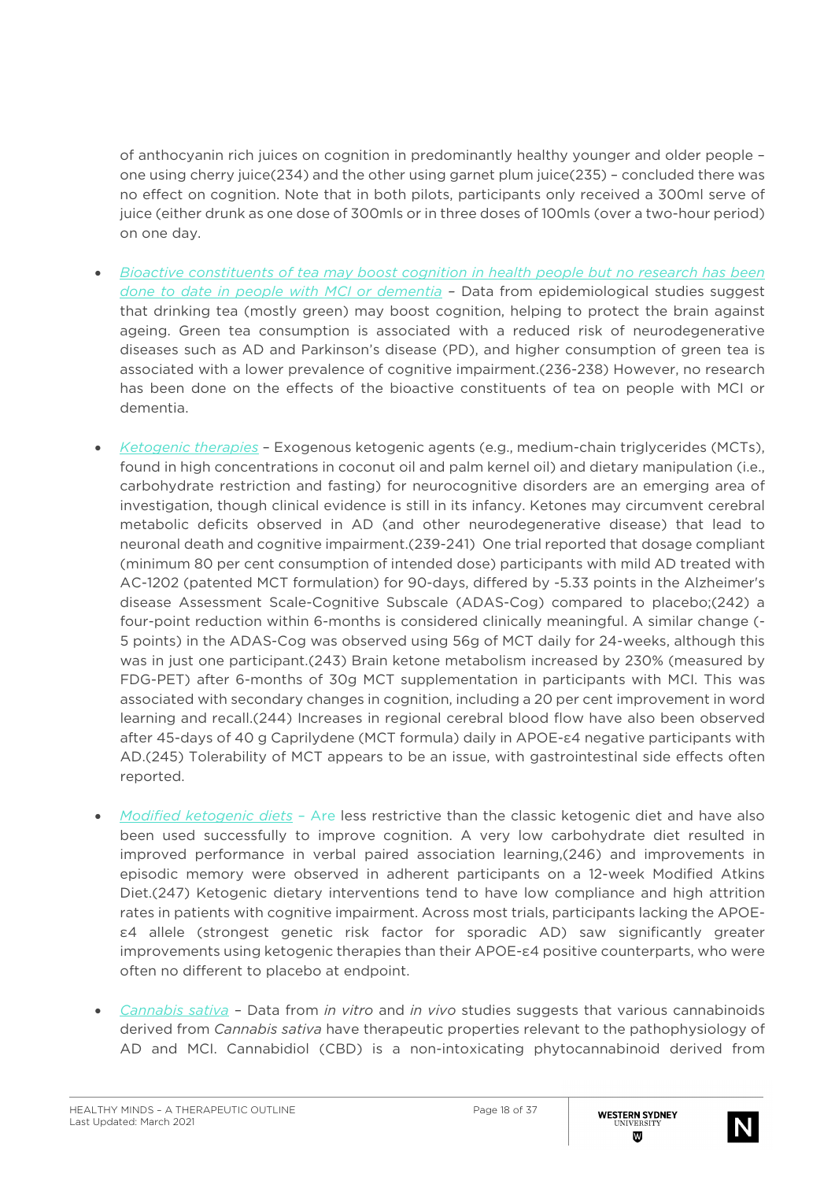of anthocyanin rich juices on cognition in predominantly healthy younger and older people – one using cherry juice(234) and the other using garnet plum juice(235) – concluded there was no effect on cognition. Note that in both pilots, participants only received a 300ml serve of juice (either drunk as one dose of 300mls or in three doses of 100mls (over a two-hour period) on one day.

- *Bioactive constituents of tea may boost cognition in health people but no research has been done to date in people with MCI or dementia –* Data from epidemiological studies suggest that drinking tea (mostly green) may boost cognition, helping to protect the brain against ageing. Green tea consumption is associated with a reduced risk of neurodegenerative diseases such as AD and Parkinson's disease (PD), and higher consumption of green tea is associated with a lower prevalence of cognitive impairment.(236-238) However, no research has been done on the effects of the bioactive constituents of tea on people with MCI or dementia.
- *Ketogenic therapies* Exogenous ketogenic agents (e.g., medium-chain triglycerides (MCTs), found in high concentrations in coconut oil and palm kernel oil) and dietary manipulation (i.e., carbohydrate restriction and fasting) for neurocognitive disorders are an emerging area of investigation, though clinical evidence is still in its infancy. Ketones may circumvent cerebral metabolic deficits observed in AD (and other neurodegenerative disease) that lead to neuronal death and cognitive impairment.(239-241) One trial reported that dosage compliant (minimum 80 per cent consumption of intended dose) participants with mild AD treated with AC-1202 (patented MCT formulation) for 90-days, differed by -5.33 points in the Alzheimer's disease Assessment Scale-Cognitive Subscale (ADAS-Cog) compared to placebo;(242) a four-point reduction within 6-months is considered clinically meaningful. A similar change (- 5 points) in the ADAS-Cog was observed using 56g of MCT daily for 24-weeks, although this was in just one participant.(243) Brain ketone metabolism increased by 230% (measured by FDG-PET) after 6-months of 30g MCT supplementation in participants with MCI. This was associated with secondary changes in cognition, including a 20 per cent improvement in word learning and recall.(244) Increases in regional cerebral blood flow have also been observed after 45-days of 40 g Caprilydene (MCT formula) daily in APOE-ε4 negative participants with AD.(245) Tolerability of MCT appears to be an issue, with gastrointestinal side effects often reported.
- *Modified ketogenic diets* Are less restrictive than the classic ketogenic diet and have also been used successfully to improve cognition. A very low carbohydrate diet resulted in improved performance in verbal paired association learning,(246) and improvements in episodic memory were observed in adherent participants on a 12-week Modified Atkins Diet.(247) Ketogenic dietary interventions tend to have low compliance and high attrition rates in patients with cognitive impairment. Across most trials, participants lacking the APOEε4 allele (strongest genetic risk factor for sporadic AD) saw significantly greater improvements using ketogenic therapies than their APOE-ε4 positive counterparts, who were often no different to placebo at endpoint.
- *Cannabis sativa* Data from *in vitro* and *in vivo* studies suggests that various cannabinoids derived from *Cannabis sativa* have therapeutic properties relevant to the pathophysiology of AD and MCI. Cannabidiol (CBD) is a non-intoxicating phytocannabinoid derived from

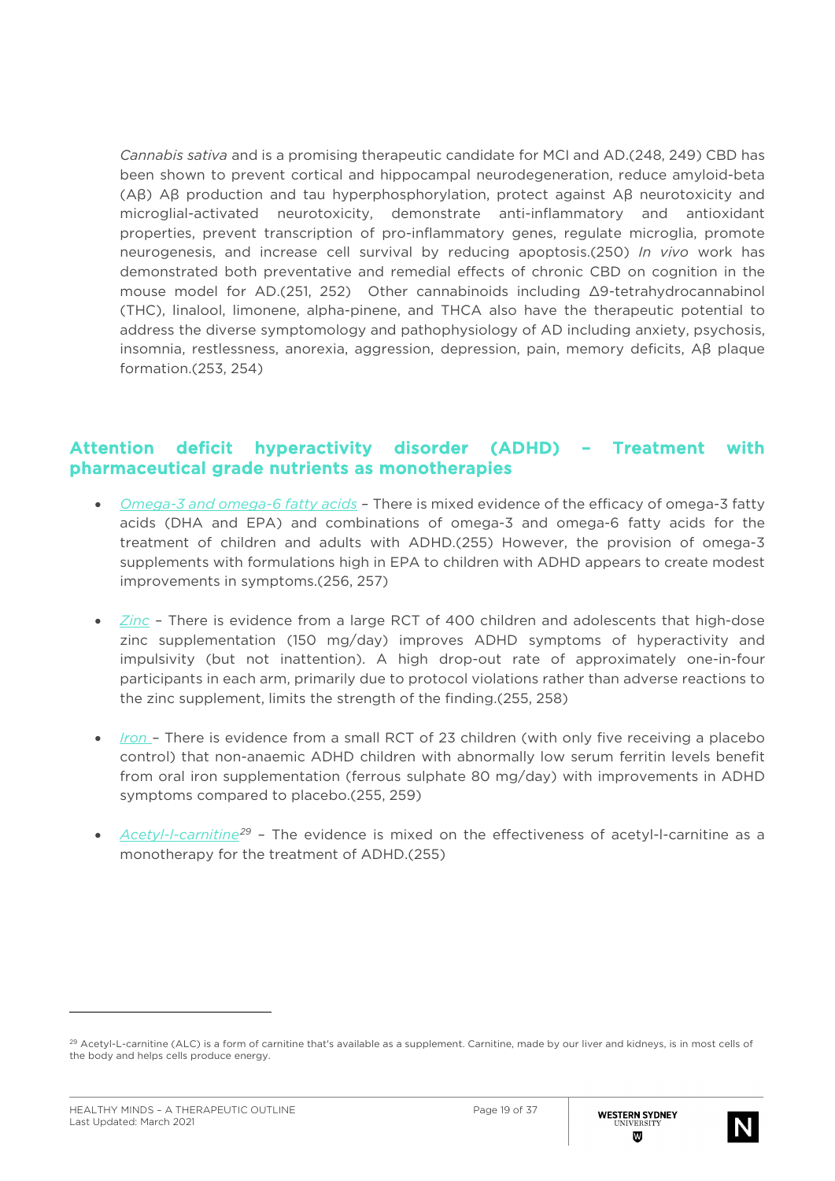*Cannabis sativa* and is a promising therapeutic candidate for MCI and AD.(248, 249) CBD has been shown to prevent cortical and hippocampal neurodegeneration, reduce amyloid-beta (Aβ) Aβ production and tau hyperphosphorylation, protect against Aβ neurotoxicity and microglial-activated neurotoxicity, demonstrate anti-inflammatory and antioxidant properties, prevent transcription of pro-inflammatory genes, regulate microglia, promote neurogenesis, and increase cell survival by reducing apoptosis.(250) *In vivo* work has demonstrated both preventative and remedial effects of chronic CBD on cognition in the mouse model for AD.(251, 252) Other cannabinoids including Δ9-tetrahydrocannabinol (THC), linalool, limonene, alpha-pinene, and THCA also have the therapeutic potential to address the diverse symptomology and pathophysiology of AD including anxiety, psychosis, insomnia, restlessness, anorexia, aggression, depression, pain, memory deficits, Aβ plaque formation.(253, 254)

#### Attention deficit hyperactivity disorder (ADHD) – Treatment with pharmaceutical grade nutrients as monotherapies

- *Omega-3 and omega-6 fatty acids* There is mixed evidence of the efficacy of omega-3 fatty acids (DHA and EPA) and combinations of omega-3 and omega-6 fatty acids for the treatment of children and adults with ADHD.(255) However, the provision of omega-3 supplements with formulations high in EPA to children with ADHD appears to create modest improvements in symptoms.(256, 257)
- *Zinc* There is evidence from a large RCT of 400 children and adolescents that high-dose zinc supplementation (150 mg/day) improves ADHD symptoms of hyperactivity and impulsivity (but not inattention). A high drop-out rate of approximately one-in-four participants in each arm, primarily due to protocol violations rather than adverse reactions to the zinc supplement, limits the strength of the finding.(255, 258)
- *Iron*  There is evidence from a small RCT of 23 children (with only five receiving a placebo control) that non-anaemic ADHD children with abnormally low serum ferritin levels benefit from oral iron supplementation (ferrous sulphate 80 mg/day) with improvements in ADHD symptoms compared to placebo.(255, 259)
- *Acetyl-l-carnitine[29](#page-18-0)* The evidence is mixed on the effectiveness of acetyl-l-carnitine as a monotherapy for the treatment of ADHD.(255)



<span id="page-18-0"></span><sup>&</sup>lt;sup>29</sup> Acetyl-L-carnitine (ALC) is a form of carnitine that's available as a supplement. Carnitine, made by our liver and kidneys, is in most cells of the body and helps cells produce energy.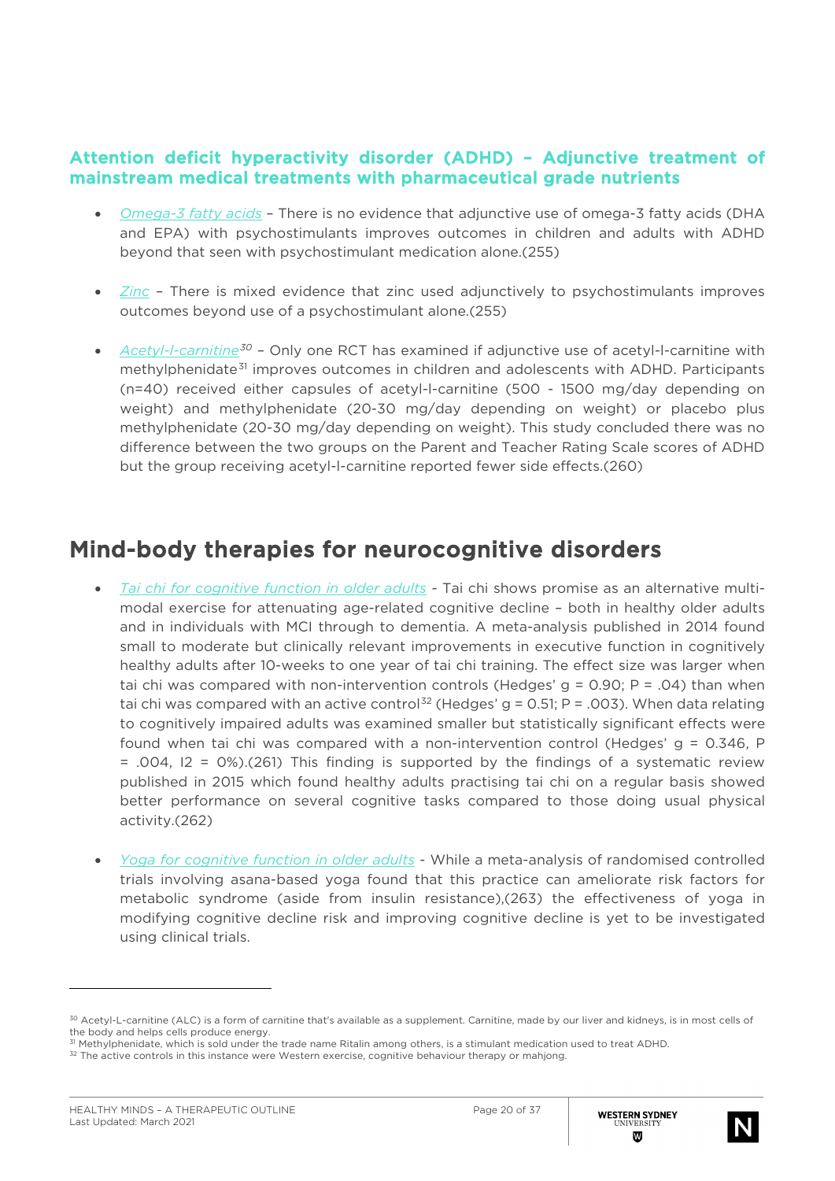### Attention deficit hyperactivity disorder (ADHD) – Adjunctive treatment of mainstream medical treatments with pharmaceutical grade nutrients

- *Omega-3 fatty acids* There is no evidence that adjunctive use of omega-3 fatty acids (DHA and EPA) with psychostimulants improves outcomes in children and adults with ADHD beyond that seen with psychostimulant medication alone.(255)
- *Zinc* There is mixed evidence that zinc used adjunctively to psychostimulants improves outcomes beyond use of a psychostimulant alone.(255)
- *Acetyl-l-carnitine[30](#page-19-0) –* Only one RCT has examined if adjunctive use of acetyl-l-carnitine with methylphenidate<sup>[31](#page-19-1)</sup> improves outcomes in children and adolescents with ADHD. Participants (n=40) received either capsules of acetyl-l-carnitine (500 - 1500 mg/day depending on weight) and methylphenidate (20-30 mg/day depending on weight) or placebo plus methylphenidate (20-30 mg/day depending on weight). This study concluded there was no difference between the two groups on the Parent and Teacher Rating Scale scores of ADHD but the group receiving acetyl-l-carnitine reported fewer side effects.(260)

## Mind-body therapies for neurocognitive disorders

- *Tai chi for cognitive function in older adults -* Tai chi shows promise as an alternative multimodal exercise for attenuating age-related cognitive decline – both in healthy older adults and in individuals with MCI through to dementia. A meta-analysis published in 2014 found small to moderate but clinically relevant improvements in executive function in cognitively healthy adults after 10-weeks to one year of tai chi training. The effect size was larger when tai chi was compared with non-intervention controls (Hedges'  $q = 0.90$ ; P = .04) than when tai chi was compared with an active control<sup>[32](#page-19-2)</sup> (Hedges' g = 0.51; P = .003). When data relating to cognitively impaired adults was examined smaller but statistically significant effects were found when tai chi was compared with a non-intervention control (Hedges'  $g = 0.346$ , P = .004, I2 = 0%).(261) This finding is supported by the findings of a systematic review published in 2015 which found healthy adults practising tai chi on a regular basis showed better performance on several cognitive tasks compared to those doing usual physical activity.(262)
- *Yoga for cognitive function in older adults -* While a meta-analysis of randomised controlled trials involving asana-based yoga found that this practice can ameliorate risk factors for metabolic syndrome (aside from insulin resistance),(263) the effectiveness of yoga in modifying cognitive decline risk and improving cognitive decline is yet to be investigated using clinical trials.



<span id="page-19-0"></span><sup>30</sup> Acetyl-L-carnitine (ALC) is a form of carnitine that's available as a supplement. Carnitine, made by our liver and kidneys, is in most cells of the body and helps cells produce energy.

<sup>&</sup>lt;sup>31</sup> Methylphenidate, which is sold under the trade name Ritalin among others, is a stimulant medication used to treat ADHD.

<span id="page-19-2"></span><span id="page-19-1"></span><sup>&</sup>lt;sup>32</sup> The active controls in this instance were Western exercise, cognitive behaviour therapy or mahjong.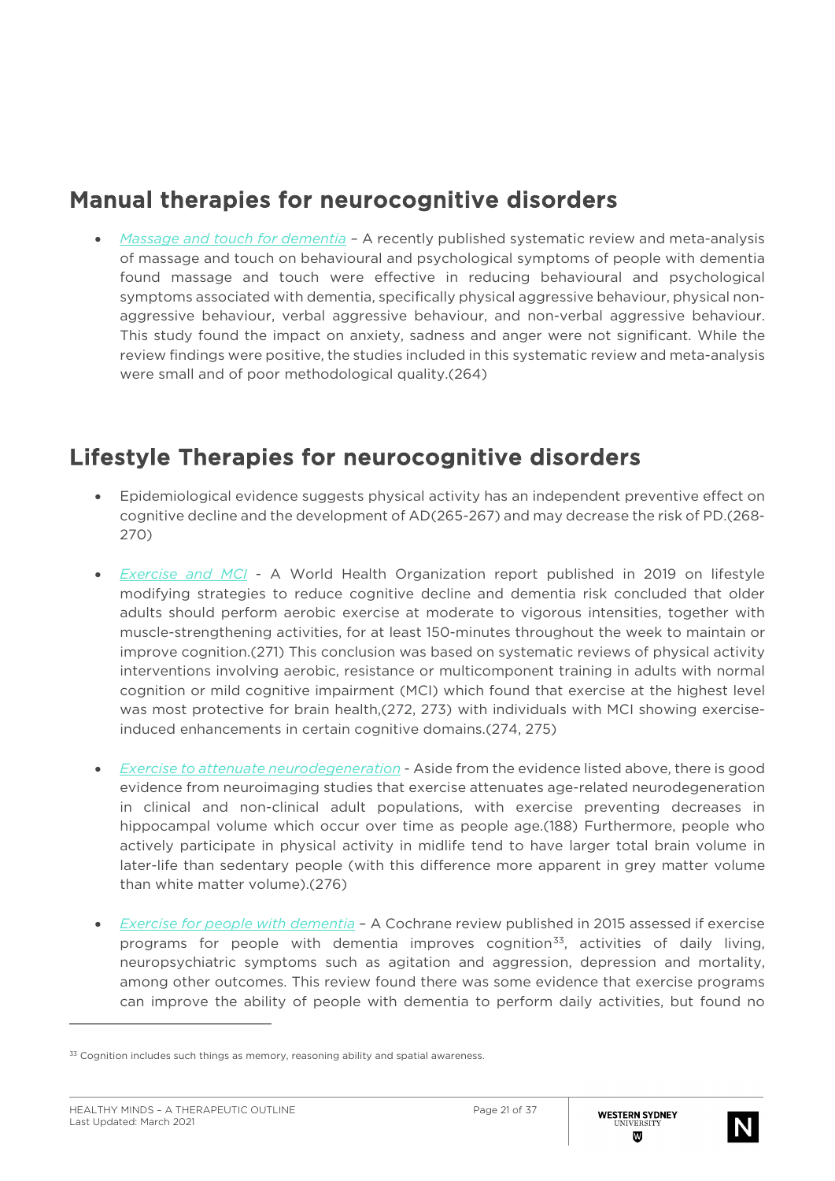## Manual therapies for neurocognitive disorders

• *Massage and touch for dementia –* A recently published systematic review and meta-analysis of massage and touch on behavioural and psychological symptoms of people with dementia found massage and touch were effective in reducing behavioural and psychological symptoms associated with dementia, specifically physical aggressive behaviour, physical nonaggressive behaviour, verbal aggressive behaviour, and non-verbal aggressive behaviour. This study found the impact on anxiety, sadness and anger were not significant. While the review findings were positive, the studies included in this systematic review and meta-analysis were small and of poor methodological quality.(264)

## Lifestyle Therapies for neurocognitive disorders

- Epidemiological evidence suggests physical activity has an independent preventive effect on cognitive decline and the development of AD(265-267) and may decrease the risk of PD.(268- 270)
- *Exercise and MCI* A World Health Organization report published in 2019 on lifestyle modifying strategies to reduce cognitive decline and dementia risk concluded that older adults should perform aerobic exercise at moderate to vigorous intensities, together with muscle-strengthening activities, for at least 150-minutes throughout the week to maintain or improve cognition.(271) This conclusion was based on systematic reviews of physical activity interventions involving aerobic, resistance or multicomponent training in adults with normal cognition or mild cognitive impairment (MCI) which found that exercise at the highest level was most protective for brain health,(272, 273) with individuals with MCI showing exerciseinduced enhancements in certain cognitive domains.(274, 275)
- *Exercise to attenuate neurodegeneration* Aside from the evidence listed above, there is good evidence from neuroimaging studies that exercise attenuates age-related neurodegeneration in clinical and non-clinical adult populations, with exercise preventing decreases in hippocampal volume which occur over time as people age.(188) Furthermore, people who actively participate in physical activity in midlife tend to have larger total brain volume in later-life than sedentary people (with this difference more apparent in grey matter volume than white matter volume).(276)
- *Exercise for people with dementia* A Cochrane review published in 2015 assessed if exercise programs for people with dementia improves cognition<sup>[33](#page-20-0)</sup>, activities of daily living, neuropsychiatric symptoms such as agitation and aggression, depression and mortality, among other outcomes. This review found there was some evidence that exercise programs can improve the ability of people with dementia to perform daily activities, but found no



<span id="page-20-0"></span><sup>&</sup>lt;sup>33</sup> Cognition includes such things as memory, reasoning ability and spatial awareness.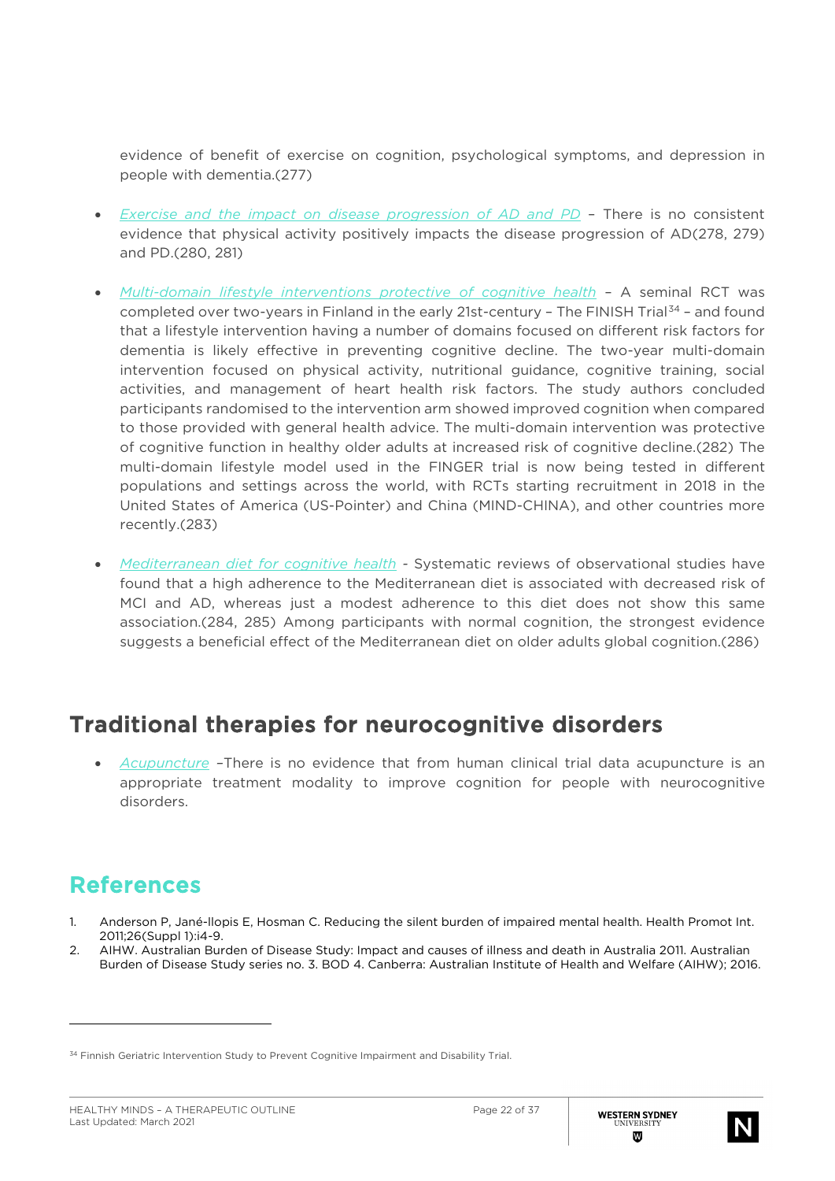evidence of benefit of exercise on cognition, psychological symptoms, and depression in people with dementia.(277)

- *Exercise and the impact on disease progression of AD and PD –* There is no consistent evidence that physical activity positively impacts the disease progression of AD(278, 279) and PD.(280, 281)
- *Multi-domain lifestyle interventions protective of cognitive health* A seminal RCT was completed over two-years in Finland in the early 21st-century - The FINISH Trial<sup>[34](#page-21-0)</sup> - and found that a lifestyle intervention having a number of domains focused on different risk factors for dementia is likely effective in preventing cognitive decline. The two-year multi-domain intervention focused on physical activity, nutritional guidance, cognitive training, social activities, and management of heart health risk factors. The study authors concluded participants randomised to the intervention arm showed improved cognition when compared to those provided with general health advice. The multi-domain intervention was protective of cognitive function in healthy older adults at increased risk of cognitive decline.(282) The multi-domain lifestyle model used in the FINGER trial is now being tested in different populations and settings across the world, with RCTs starting recruitment in 2018 in the United States of America (US-Pointer) and China (MIND-CHINA), and other countries more recently.(283)
- *Mediterranean diet for cognitive health -* Systematic reviews of observational studies have found that a high adherence to the Mediterranean diet is associated with decreased risk of MCI and AD, whereas just a modest adherence to this diet does not show this same association.(284, 285) Among participants with normal cognition, the strongest evidence suggests a beneficial effect of the Mediterranean diet on older adults global cognition.(286)

# Traditional therapies for neurocognitive disorders

• *Acupuncture –*There is no evidence that from human clinical trial data acupuncture is an appropriate treatment modality to improve cognition for people with neurocognitive disorders.

# References

- 1. Anderson P, Jané-llopis E, Hosman C. Reducing the silent burden of impaired mental health. Health Promot Int. 2011;26(Suppl 1):i4-9.
- 2. AIHW. Australian Burden of Disease Study: Impact and causes of illness and death in Australia 2011. Australian Burden of Disease Study series no. 3. BOD 4. Canberra: Australian Institute of Health and Welfare (AIHW); 2016.



<span id="page-21-0"></span><sup>34</sup> Finnish Geriatric Intervention Study to Prevent Cognitive Impairment and Disability Trial.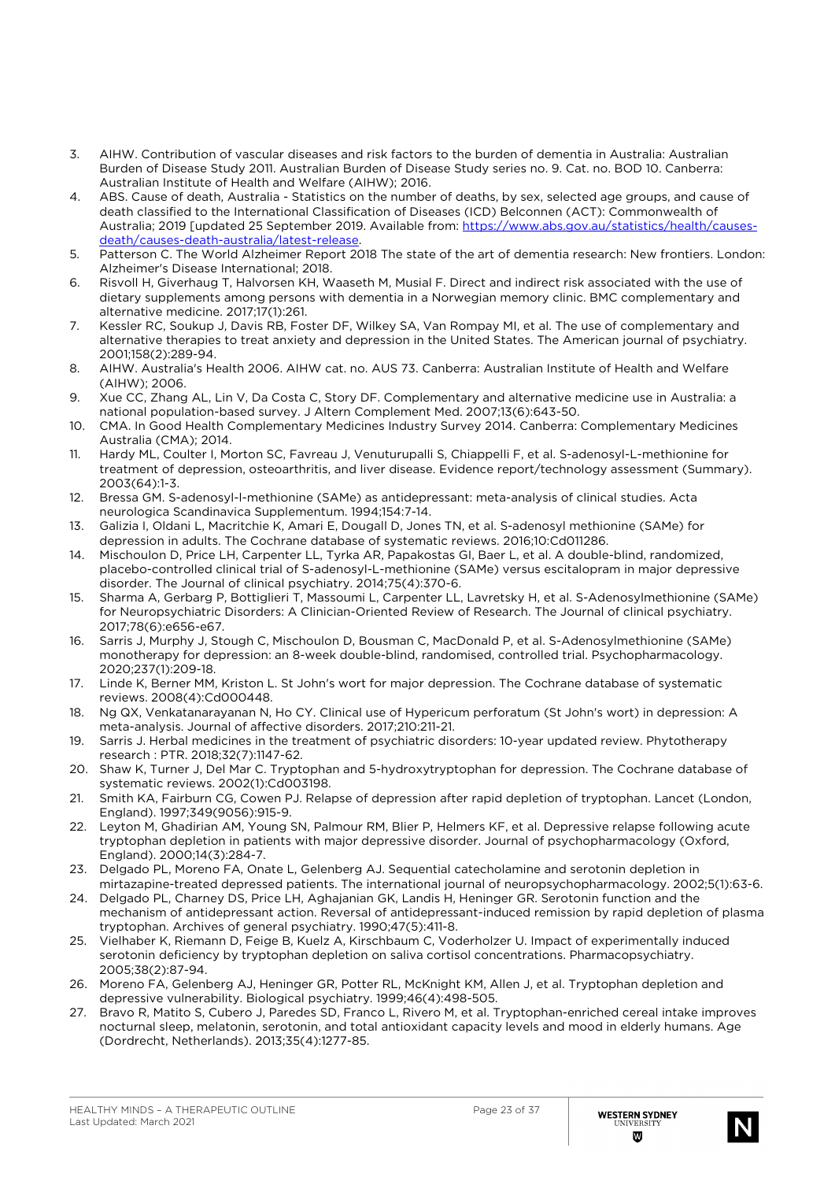- 3. AIHW. Contribution of vascular diseases and risk factors to the burden of dementia in Australia: Australian Burden of Disease Study 2011. Australian Burden of Disease Study series no. 9. Cat. no. BOD 10. Canberra: Australian Institute of Health and Welfare (AIHW); 2016.
- 4. ABS. Cause of death, Australia Statistics on the number of deaths, by sex, selected age groups, and cause of death classified to the International Classification of Diseases (ICD) Belconnen (ACT): Commonwealth of Australia; 2019 [updated 25 September 2019. Available from: [https://www.abs.gov.au/statistics/health/causes](https://www.abs.gov.au/statistics/health/causes-death/causes-death-australia/latest-release)[death/causes-death-australia/latest-release.](https://www.abs.gov.au/statistics/health/causes-death/causes-death-australia/latest-release)
- 5. Patterson C. The World Alzheimer Report 2018 The state of the art of dementia research: New frontiers. London: Alzheimer's Disease International; 2018.
- 6. Risvoll H, Giverhaug T, Halvorsen KH, Waaseth M, Musial F. Direct and indirect risk associated with the use of dietary supplements among persons with dementia in a Norwegian memory clinic. BMC complementary and alternative medicine. 2017;17(1):261.
- 7. Kessler RC, Soukup J, Davis RB, Foster DF, Wilkey SA, Van Rompay MI, et al. The use of complementary and alternative therapies to treat anxiety and depression in the United States. The American journal of psychiatry. 2001;158(2):289-94.
- 8. AIHW. Australia's Health 2006. AIHW cat. no. AUS 73. Canberra: Australian Institute of Health and Welfare (AIHW); 2006.
- 9. Xue CC, Zhang AL, Lin V, Da Costa C, Story DF. Complementary and alternative medicine use in Australia: a national population-based survey. J Altern Complement Med. 2007;13(6):643-50.
- 10. CMA. In Good Health Complementary Medicines Industry Survey 2014. Canberra: Complementary Medicines Australia (CMA); 2014.
- 11. Hardy ML, Coulter I, Morton SC, Favreau J, Venuturupalli S, Chiappelli F, et al. S-adenosyl-L-methionine for treatment of depression, osteoarthritis, and liver disease. Evidence report/technology assessment (Summary). 2003(64):1-3.
- 12. Bressa GM. S-adenosyl-l-methionine (SAMe) as antidepressant: meta-analysis of clinical studies. Acta neurologica Scandinavica Supplementum. 1994;154:7-14.
- 13. Galizia I, Oldani L, Macritchie K, Amari E, Dougall D, Jones TN, et al. S-adenosyl methionine (SAMe) for depression in adults. The Cochrane database of systematic reviews. 2016;10:Cd011286.
- 14. Mischoulon D, Price LH, Carpenter LL, Tyrka AR, Papakostas GI, Baer L, et al. A double-blind, randomized, placebo-controlled clinical trial of S-adenosyl-L-methionine (SAMe) versus escitalopram in major depressive disorder. The Journal of clinical psychiatry. 2014;75(4):370-6.
- 15. Sharma A, Gerbarg P, Bottiglieri T, Massoumi L, Carpenter LL, Lavretsky H, et al. S-Adenosylmethionine (SAMe) for Neuropsychiatric Disorders: A Clinician-Oriented Review of Research. The Journal of clinical psychiatry. 2017;78(6):e656-e67.
- 16. Sarris J, Murphy J, Stough C, Mischoulon D, Bousman C, MacDonald P, et al. S-Adenosylmethionine (SAMe) monotherapy for depression: an 8-week double-blind, randomised, controlled trial. Psychopharmacology. 2020;237(1):209-18.
- 17. Linde K, Berner MM, Kriston L. St John's wort for major depression. The Cochrane database of systematic reviews. 2008(4):Cd000448.
- 18. Ng QX, Venkatanarayanan N, Ho CY. Clinical use of Hypericum perforatum (St John's wort) in depression: A meta-analysis. Journal of affective disorders. 2017;210:211-21.
- 19. Sarris J. Herbal medicines in the treatment of psychiatric disorders: 10-year updated review. Phytotherapy research : PTR. 2018;32(7):1147-62.
- 20. Shaw K, Turner J, Del Mar C. Tryptophan and 5-hydroxytryptophan for depression. The Cochrane database of systematic reviews. 2002(1):Cd003198.
- 21. Smith KA, Fairburn CG, Cowen PJ. Relapse of depression after rapid depletion of tryptophan. Lancet (London, England). 1997;349(9056):915-9.
- 22. Leyton M, Ghadirian AM, Young SN, Palmour RM, Blier P, Helmers KF, et al. Depressive relapse following acute tryptophan depletion in patients with major depressive disorder. Journal of psychopharmacology (Oxford, England). 2000;14(3):284-7.
- 23. Delgado PL, Moreno FA, Onate L, Gelenberg AJ. Sequential catecholamine and serotonin depletion in mirtazapine-treated depressed patients. The international journal of neuropsychopharmacology. 2002;5(1):63-6.
- 24. Delgado PL, Charney DS, Price LH, Aghajanian GK, Landis H, Heninger GR. Serotonin function and the mechanism of antidepressant action. Reversal of antidepressant-induced remission by rapid depletion of plasma tryptophan. Archives of general psychiatry. 1990;47(5):411-8.
- 25. Vielhaber K, Riemann D, Feige B, Kuelz A, Kirschbaum C, Voderholzer U. Impact of experimentally induced serotonin deficiency by tryptophan depletion on saliva cortisol concentrations. Pharmacopsychiatry. 2005;38(2):87-94.
- 26. Moreno FA, Gelenberg AJ, Heninger GR, Potter RL, McKnight KM, Allen J, et al. Tryptophan depletion and depressive vulnerability. Biological psychiatry. 1999;46(4):498-505.
- 27. Bravo R, Matito S, Cubero J, Paredes SD, Franco L, Rivero M, et al. Tryptophan-enriched cereal intake improves nocturnal sleep, melatonin, serotonin, and total antioxidant capacity levels and mood in elderly humans. Age (Dordrecht, Netherlands). 2013;35(4):1277-85.

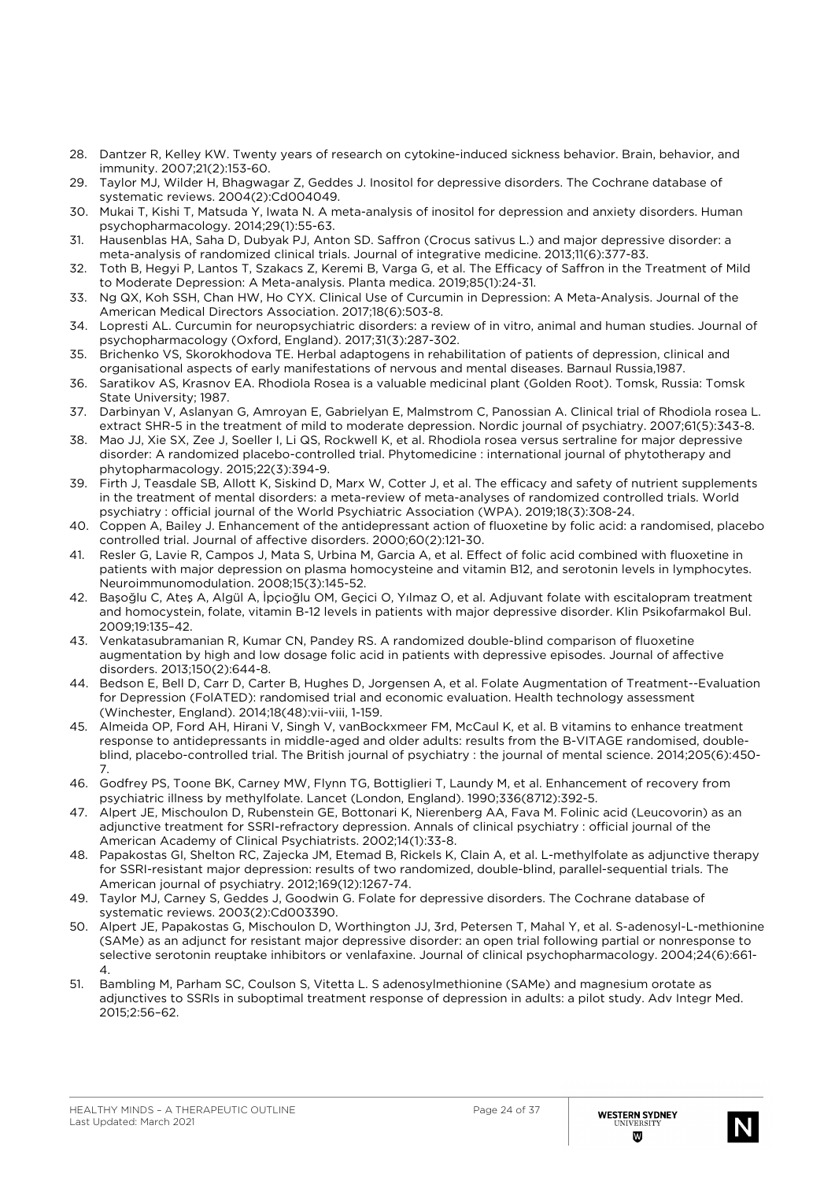- 28. Dantzer R, Kelley KW. Twenty years of research on cytokine-induced sickness behavior. Brain, behavior, and immunity. 2007;21(2):153-60.
- 29. Taylor MJ, Wilder H, Bhagwagar Z, Geddes J. Inositol for depressive disorders. The Cochrane database of systematic reviews. 2004(2):Cd004049.
- 30. Mukai T, Kishi T, Matsuda Y, Iwata N. A meta-analysis of inositol for depression and anxiety disorders. Human psychopharmacology. 2014;29(1):55-63.
- 31. Hausenblas HA, Saha D, Dubyak PJ, Anton SD. Saffron (Crocus sativus L.) and major depressive disorder: a meta-analysis of randomized clinical trials. Journal of integrative medicine. 2013;11(6):377-83.
- 32. Toth B, Hegyi P, Lantos T, Szakacs Z, Keremi B, Varga G, et al. The Efficacy of Saffron in the Treatment of Mild to Moderate Depression: A Meta-analysis. Planta medica. 2019;85(1):24-31.
- 33. Ng QX, Koh SSH, Chan HW, Ho CYX. Clinical Use of Curcumin in Depression: A Meta-Analysis. Journal of the American Medical Directors Association. 2017;18(6):503-8.
- 34. Lopresti AL. Curcumin for neuropsychiatric disorders: a review of in vitro, animal and human studies. Journal of psychopharmacology (Oxford, England). 2017;31(3):287-302.
- 35. Brichenko VS, Skorokhodova TE. Herbal adaptogens in rehabilitation of patients of depression, clinical and organisational aspects of early manifestations of nervous and mental diseases. Barnaul Russia,1987.
- 36. Saratikov AS, Krasnov EA. Rhodiola Rosea is a valuable medicinal plant (Golden Root). Tomsk, Russia: Tomsk State University; 1987.
- 37. Darbinyan V, Aslanyan G, Amroyan E, Gabrielyan E, Malmstrom C, Panossian A. Clinical trial of Rhodiola rosea L. extract SHR-5 in the treatment of mild to moderate depression. Nordic journal of psychiatry. 2007;61(5):343-8.
- 38. Mao JJ, Xie SX, Zee J, Soeller I, Li QS, Rockwell K, et al. Rhodiola rosea versus sertraline for major depressive disorder: A randomized placebo-controlled trial. Phytomedicine : international journal of phytotherapy and phytopharmacology. 2015;22(3):394-9.
- 39. Firth J, Teasdale SB, Allott K, Siskind D, Marx W, Cotter J, et al. The efficacy and safety of nutrient supplements in the treatment of mental disorders: a meta-review of meta-analyses of randomized controlled trials. World psychiatry : official journal of the World Psychiatric Association (WPA). 2019;18(3):308-24.
- 40. Coppen A, Bailey J. Enhancement of the antidepressant action of fluoxetine by folic acid: a randomised, placebo controlled trial. Journal of affective disorders. 2000;60(2):121-30.
- 41. Resler G, Lavie R, Campos J, Mata S, Urbina M, Garcia A, et al. Effect of folic acid combined with fluoxetine in patients with major depression on plasma homocysteine and vitamin B12, and serotonin levels in lymphocytes. Neuroimmunomodulation. 2008;15(3):145-52.
- 42. Başoğlu C, Ateş A, Algül A, İpçioğlu OM, Geçici O, Yılmaz O, et al. Adjuvant folate with escitalopram treatment and homocystein, folate, vitamin B-12 levels in patients with major depressive disorder. Klin Psikofarmakol Bul. 2009;19:135–42.
- 43. Venkatasubramanian R, Kumar CN, Pandey RS. A randomized double-blind comparison of fluoxetine augmentation by high and low dosage folic acid in patients with depressive episodes. Journal of affective disorders. 2013;150(2):644-8.
- 44. Bedson E, Bell D, Carr D, Carter B, Hughes D, Jorgensen A, et al. Folate Augmentation of Treatment--Evaluation for Depression (FolATED): randomised trial and economic evaluation. Health technology assessment (Winchester, England). 2014;18(48):vii-viii, 1-159.
- 45. Almeida OP, Ford AH, Hirani V, Singh V, vanBockxmeer FM, McCaul K, et al. B vitamins to enhance treatment response to antidepressants in middle-aged and older adults: results from the B-VITAGE randomised, doubleblind, placebo-controlled trial. The British journal of psychiatry : the journal of mental science. 2014;205(6):450- 7.
- 46. Godfrey PS, Toone BK, Carney MW, Flynn TG, Bottiglieri T, Laundy M, et al. Enhancement of recovery from psychiatric illness by methylfolate. Lancet (London, England). 1990;336(8712):392-5.
- 47. Alpert JE, Mischoulon D, Rubenstein GE, Bottonari K, Nierenberg AA, Fava M. Folinic acid (Leucovorin) as an adjunctive treatment for SSRI-refractory depression. Annals of clinical psychiatry : official journal of the American Academy of Clinical Psychiatrists. 2002;14(1):33-8.
- 48. Papakostas GI, Shelton RC, Zajecka JM, Etemad B, Rickels K, Clain A, et al. L-methylfolate as adjunctive therapy for SSRI-resistant major depression: results of two randomized, double-blind, parallel-sequential trials. The American journal of psychiatry. 2012;169(12):1267-74.
- 49. Taylor MJ, Carney S, Geddes J, Goodwin G. Folate for depressive disorders. The Cochrane database of systematic reviews. 2003(2):Cd003390.
- 50. Alpert JE, Papakostas G, Mischoulon D, Worthington JJ, 3rd, Petersen T, Mahal Y, et al. S-adenosyl-L-methionine (SAMe) as an adjunct for resistant major depressive disorder: an open trial following partial or nonresponse to selective serotonin reuptake inhibitors or venlafaxine. Journal of clinical psychopharmacology. 2004;24(6):661- 4.
- 51. Bambling M, Parham SC, Coulson S, Vitetta L. S adenosylmethionine (SAMe) and magnesium orotate as adjunctives to SSRIs in suboptimal treatment response of depression in adults: a pilot study. Adv Integr Med. 2015;2:56–62.

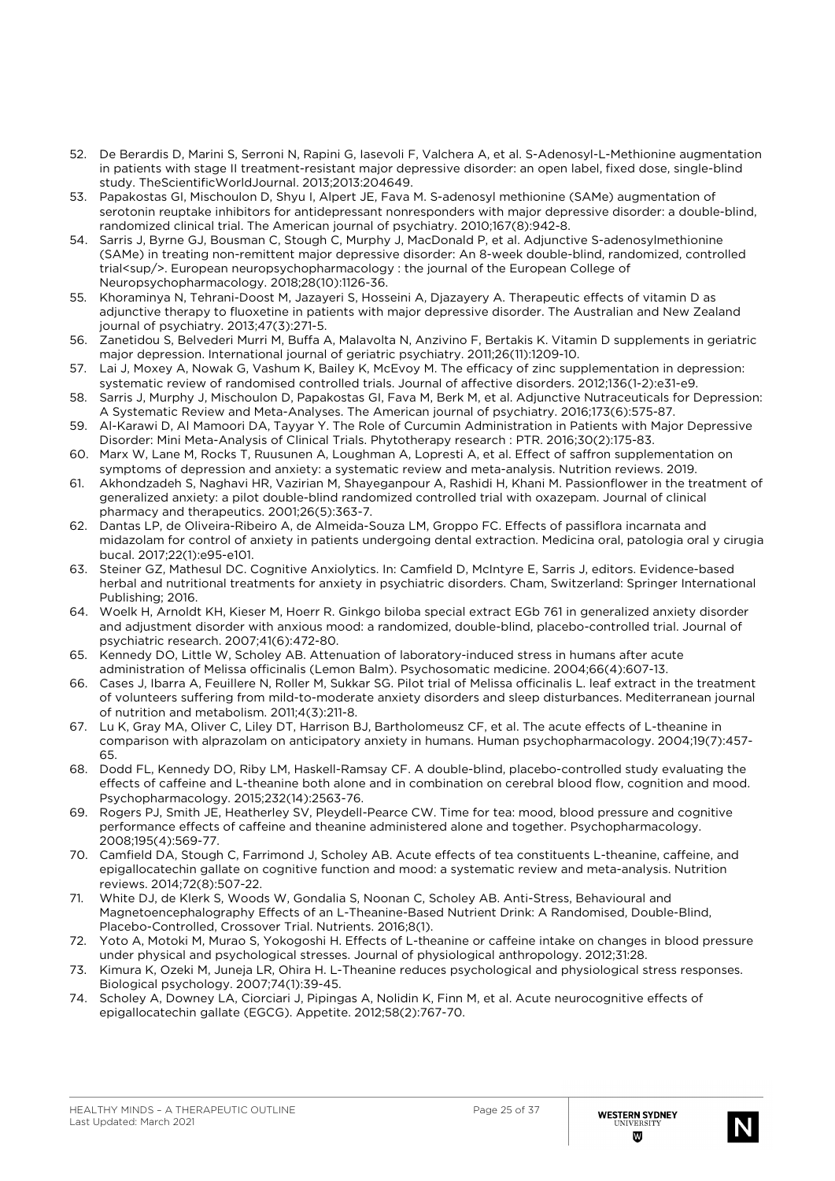- 52. De Berardis D, Marini S, Serroni N, Rapini G, Iasevoli F, Valchera A, et al. S-Adenosyl-L-Methionine augmentation in patients with stage II treatment-resistant major depressive disorder: an open label, fixed dose, single-blind study. TheScientificWorldJournal. 2013;2013:204649.
- 53. Papakostas GI, Mischoulon D, Shyu I, Alpert JE, Fava M. S-adenosyl methionine (SAMe) augmentation of serotonin reuptake inhibitors for antidepressant nonresponders with major depressive disorder: a double-blind, randomized clinical trial. The American journal of psychiatry. 2010;167(8):942-8.
- 54. Sarris J, Byrne GJ, Bousman C, Stough C, Murphy J, MacDonald P, et al. Adjunctive S-adenosylmethionine (SAMe) in treating non-remittent major depressive disorder: An 8-week double-blind, randomized, controlled trial<sup/>. European neuropsychopharmacology : the journal of the European College of Neuropsychopharmacology. 2018;28(10):1126-36.
- 55. Khoraminya N, Tehrani-Doost M, Jazayeri S, Hosseini A, Djazayery A. Therapeutic effects of vitamin D as adjunctive therapy to fluoxetine in patients with major depressive disorder. The Australian and New Zealand journal of psychiatry. 2013;47(3):271-5.
- 56. Zanetidou S, Belvederi Murri M, Buffa A, Malavolta N, Anzivino F, Bertakis K. Vitamin D supplements in geriatric major depression. International journal of geriatric psychiatry. 2011;26(11):1209-10.
- 57. Lai J, Moxey A, Nowak G, Vashum K, Bailey K, McEvoy M. The efficacy of zinc supplementation in depression: systematic review of randomised controlled trials. Journal of affective disorders. 2012;136(1-2):e31-e9.
- 58. Sarris J, Murphy J, Mischoulon D, Papakostas GI, Fava M, Berk M, et al. Adjunctive Nutraceuticals for Depression: A Systematic Review and Meta-Analyses. The American journal of psychiatry. 2016;173(6):575-87.
- 59. Al-Karawi D, Al Mamoori DA, Tayyar Y. The Role of Curcumin Administration in Patients with Major Depressive Disorder: Mini Meta-Analysis of Clinical Trials. Phytotherapy research : PTR. 2016;30(2):175-83.
- 60. Marx W, Lane M, Rocks T, Ruusunen A, Loughman A, Lopresti A, et al. Effect of saffron supplementation on symptoms of depression and anxiety: a systematic review and meta-analysis. Nutrition reviews. 2019.
- 61. Akhondzadeh S, Naghavi HR, Vazirian M, Shayeganpour A, Rashidi H, Khani M. Passionflower in the treatment of generalized anxiety: a pilot double-blind randomized controlled trial with oxazepam. Journal of clinical pharmacy and therapeutics. 2001;26(5):363-7.
- 62. Dantas LP, de Oliveira-Ribeiro A, de Almeida-Souza LM, Groppo FC. Effects of passiflora incarnata and midazolam for control of anxiety in patients undergoing dental extraction. Medicina oral, patologia oral y cirugia bucal. 2017;22(1):e95-e101.
- 63. Steiner GZ, Mathesul DC. Cognitive Anxiolytics. In: Camfield D, McIntyre E, Sarris J, editors. Evidence-based herbal and nutritional treatments for anxiety in psychiatric disorders. Cham, Switzerland: Springer International Publishing; 2016.
- 64. Woelk H, Arnoldt KH, Kieser M, Hoerr R. Ginkgo biloba special extract EGb 761 in generalized anxiety disorder and adjustment disorder with anxious mood: a randomized, double-blind, placebo-controlled trial. Journal of psychiatric research. 2007;41(6):472-80.
- 65. Kennedy DO, Little W, Scholey AB. Attenuation of laboratory-induced stress in humans after acute administration of Melissa officinalis (Lemon Balm). Psychosomatic medicine. 2004;66(4):607-13.
- 66. Cases J, Ibarra A, Feuillere N, Roller M, Sukkar SG. Pilot trial of Melissa officinalis L. leaf extract in the treatment of volunteers suffering from mild-to-moderate anxiety disorders and sleep disturbances. Mediterranean journal of nutrition and metabolism. 2011;4(3):211-8.
- 67. Lu K, Gray MA, Oliver C, Liley DT, Harrison BJ, Bartholomeusz CF, et al. The acute effects of L-theanine in comparison with alprazolam on anticipatory anxiety in humans. Human psychopharmacology. 2004;19(7):457- 65.
- 68. Dodd FL, Kennedy DO, Riby LM, Haskell-Ramsay CF. A double-blind, placebo-controlled study evaluating the effects of caffeine and L-theanine both alone and in combination on cerebral blood flow, cognition and mood. Psychopharmacology. 2015;232(14):2563-76.
- 69. Rogers PJ, Smith JE, Heatherley SV, Pleydell-Pearce CW. Time for tea: mood, blood pressure and cognitive performance effects of caffeine and theanine administered alone and together. Psychopharmacology. 2008;195(4):569-77.
- 70. Camfield DA, Stough C, Farrimond J, Scholey AB. Acute effects of tea constituents L-theanine, caffeine, and epigallocatechin gallate on cognitive function and mood: a systematic review and meta-analysis. Nutrition reviews. 2014;72(8):507-22.
- 71. White DJ, de Klerk S, Woods W, Gondalia S, Noonan C, Scholey AB. Anti-Stress, Behavioural and Magnetoencephalography Effects of an L-Theanine-Based Nutrient Drink: A Randomised, Double-Blind, Placebo-Controlled, Crossover Trial. Nutrients. 2016;8(1).
- 72. Yoto A, Motoki M, Murao S, Yokogoshi H. Effects of L-theanine or caffeine intake on changes in blood pressure under physical and psychological stresses. Journal of physiological anthropology. 2012;31:28.
- 73. Kimura K, Ozeki M, Juneja LR, Ohira H. L-Theanine reduces psychological and physiological stress responses. Biological psychology. 2007;74(1):39-45.
- 74. Scholey A, Downey LA, Ciorciari J, Pipingas A, Nolidin K, Finn M, et al. Acute neurocognitive effects of epigallocatechin gallate (EGCG). Appetite. 2012;58(2):767-70.

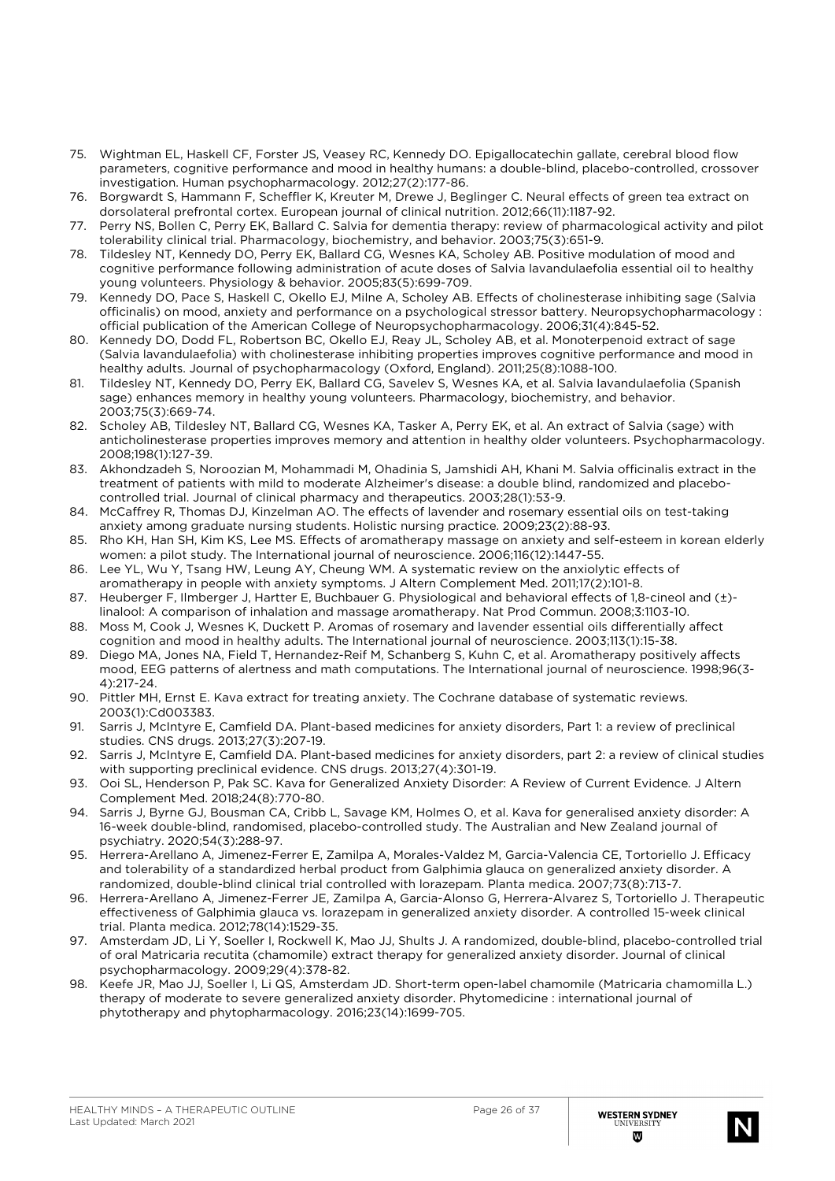- 75. Wightman EL, Haskell CF, Forster JS, Veasey RC, Kennedy DO. Epigallocatechin gallate, cerebral blood flow parameters, cognitive performance and mood in healthy humans: a double-blind, placebo-controlled, crossover investigation. Human psychopharmacology. 2012;27(2):177-86.
- 76. Borgwardt S, Hammann F, Scheffler K, Kreuter M, Drewe J, Beglinger C. Neural effects of green tea extract on dorsolateral prefrontal cortex. European journal of clinical nutrition. 2012;66(11):1187-92.
- 77. Perry NS, Bollen C, Perry EK, Ballard C. Salvia for dementia therapy: review of pharmacological activity and pilot tolerability clinical trial. Pharmacology, biochemistry, and behavior. 2003;75(3):651-9.
- 78. Tildesley NT, Kennedy DO, Perry EK, Ballard CG, Wesnes KA, Scholey AB. Positive modulation of mood and cognitive performance following administration of acute doses of Salvia lavandulaefolia essential oil to healthy young volunteers. Physiology & behavior. 2005;83(5):699-709.
- 79. Kennedy DO, Pace S, Haskell C, Okello EJ, Milne A, Scholey AB. Effects of cholinesterase inhibiting sage (Salvia officinalis) on mood, anxiety and performance on a psychological stressor battery. Neuropsychopharmacology : official publication of the American College of Neuropsychopharmacology. 2006;31(4):845-52.
- 80. Kennedy DO, Dodd FL, Robertson BC, Okello EJ, Reay JL, Scholey AB, et al. Monoterpenoid extract of sage (Salvia lavandulaefolia) with cholinesterase inhibiting properties improves cognitive performance and mood in healthy adults. Journal of psychopharmacology (Oxford, England). 2011;25(8):1088-100.
- 81. Tildesley NT, Kennedy DO, Perry EK, Ballard CG, Savelev S, Wesnes KA, et al. Salvia lavandulaefolia (Spanish sage) enhances memory in healthy young volunteers. Pharmacology, biochemistry, and behavior. 2003;75(3):669-74.
- 82. Scholey AB, Tildesley NT, Ballard CG, Wesnes KA, Tasker A, Perry EK, et al. An extract of Salvia (sage) with anticholinesterase properties improves memory and attention in healthy older volunteers. Psychopharmacology. 2008;198(1):127-39.
- 83. Akhondzadeh S, Noroozian M, Mohammadi M, Ohadinia S, Jamshidi AH, Khani M. Salvia officinalis extract in the treatment of patients with mild to moderate Alzheimer's disease: a double blind, randomized and placebocontrolled trial. Journal of clinical pharmacy and therapeutics. 2003;28(1):53-9.
- 84. McCaffrey R, Thomas DJ, Kinzelman AO. The effects of lavender and rosemary essential oils on test-taking anxiety among graduate nursing students. Holistic nursing practice. 2009;23(2):88-93.
- 85. Rho KH, Han SH, Kim KS, Lee MS. Effects of aromatherapy massage on anxiety and self-esteem in korean elderly women: a pilot study. The International journal of neuroscience. 2006;116(12):1447-55.
- 86. Lee YL, Wu Y, Tsang HW, Leung AY, Cheung WM. A systematic review on the anxiolytic effects of aromatherapy in people with anxiety symptoms. J Altern Complement Med. 2011;17(2):101-8.
- 87. Heuberger F, Ilmberger J, Hartter E, Buchbauer G. Physiological and behavioral effects of 1,8-cineol and (±)linalool: A comparison of inhalation and massage aromatherapy. Nat Prod Commun. 2008;3:1103-10.
- 88. Moss M, Cook J, Wesnes K, Duckett P. Aromas of rosemary and lavender essential oils differentially affect cognition and mood in healthy adults. The International journal of neuroscience. 2003;113(1):15-38.
- 89. Diego MA, Jones NA, Field T, Hernandez-Reif M, Schanberg S, Kuhn C, et al. Aromatherapy positively affects mood, EEG patterns of alertness and math computations. The International journal of neuroscience. 1998;96(3- 4):217-24.
- 90. Pittler MH, Ernst E. Kava extract for treating anxiety. The Cochrane database of systematic reviews. 2003(1):Cd003383.
- 91. Sarris J, McIntyre E, Camfield DA. Plant-based medicines for anxiety disorders, Part 1: a review of preclinical studies. CNS drugs. 2013;27(3):207-19.
- 92. Sarris J, McIntyre E, Camfield DA. Plant-based medicines for anxiety disorders, part 2: a review of clinical studies with supporting preclinical evidence. CNS drugs. 2013;27(4):301-19.
- 93. Ooi SL, Henderson P, Pak SC. Kava for Generalized Anxiety Disorder: A Review of Current Evidence. J Altern Complement Med. 2018;24(8):770-80.
- 94. Sarris J, Byrne GJ, Bousman CA, Cribb L, Savage KM, Holmes O, et al. Kava for generalised anxiety disorder: A 16-week double-blind, randomised, placebo-controlled study. The Australian and New Zealand journal of psychiatry. 2020;54(3):288-97.
- 95. Herrera-Arellano A, Jimenez-Ferrer E, Zamilpa A, Morales-Valdez M, Garcia-Valencia CE, Tortoriello J. Efficacy and tolerability of a standardized herbal product from Galphimia glauca on generalized anxiety disorder. A randomized, double-blind clinical trial controlled with lorazepam. Planta medica. 2007;73(8):713-7.
- 96. Herrera-Arellano A, Jimenez-Ferrer JE, Zamilpa A, Garcia-Alonso G, Herrera-Alvarez S, Tortoriello J. Therapeutic effectiveness of Galphimia glauca vs. lorazepam in generalized anxiety disorder. A controlled 15-week clinical trial. Planta medica. 2012;78(14):1529-35.
- 97. Amsterdam JD, Li Y, Soeller I, Rockwell K, Mao JJ, Shults J. A randomized, double-blind, placebo-controlled trial of oral Matricaria recutita (chamomile) extract therapy for generalized anxiety disorder. Journal of clinical psychopharmacology. 2009;29(4):378-82.
- 98. Keefe JR, Mao JJ, Soeller I, Li QS, Amsterdam JD. Short-term open-label chamomile (Matricaria chamomilla L.) therapy of moderate to severe generalized anxiety disorder. Phytomedicine : international journal of phytotherapy and phytopharmacology. 2016;23(14):1699-705.

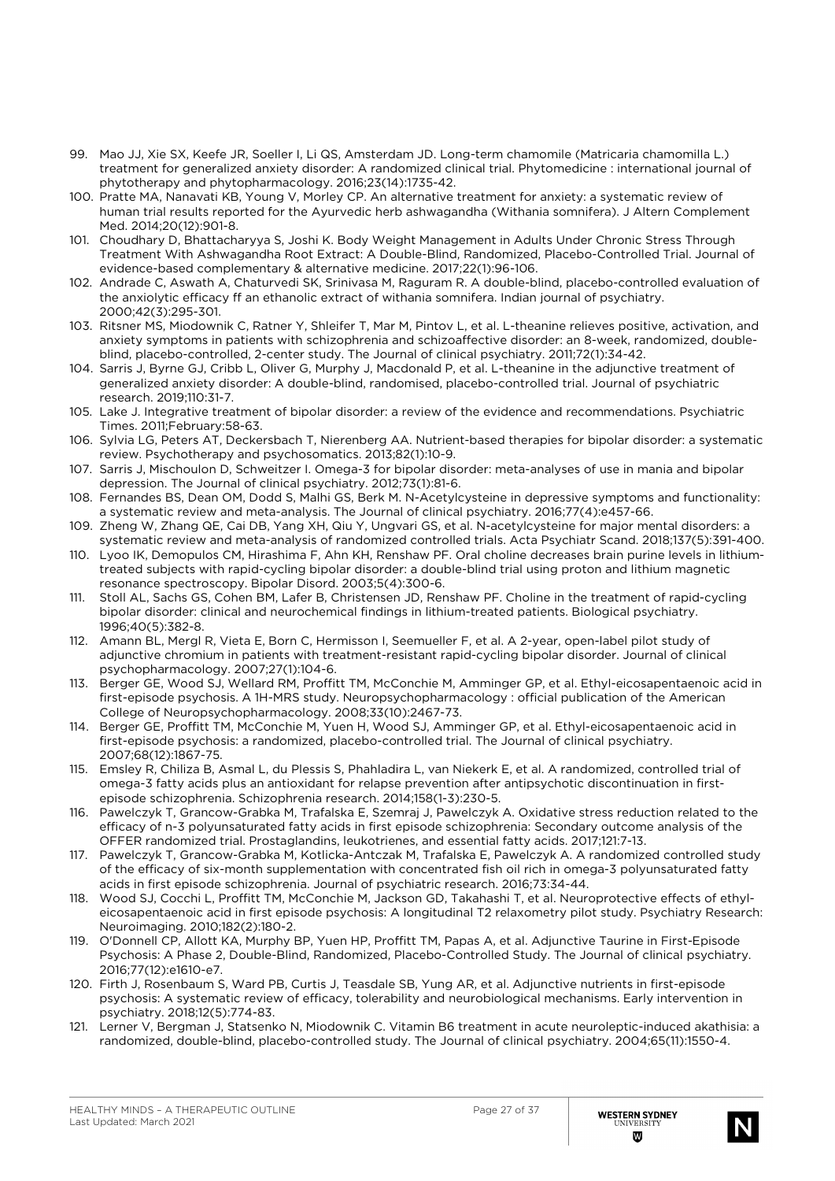- 99. Mao JJ, Xie SX, Keefe JR, Soeller I, Li QS, Amsterdam JD. Long-term chamomile (Matricaria chamomilla L.) treatment for generalized anxiety disorder: A randomized clinical trial. Phytomedicine : international journal of phytotherapy and phytopharmacology. 2016;23(14):1735-42.
- 100. Pratte MA, Nanavati KB, Young V, Morley CP. An alternative treatment for anxiety: a systematic review of human trial results reported for the Ayurvedic herb ashwagandha (Withania somnifera). J Altern Complement Med. 2014;20(12):901-8.
- 101. Choudhary D, Bhattacharyya S, Joshi K. Body Weight Management in Adults Under Chronic Stress Through Treatment With Ashwagandha Root Extract: A Double-Blind, Randomized, Placebo-Controlled Trial. Journal of evidence-based complementary & alternative medicine. 2017;22(1):96-106.
- 102. Andrade C, Aswath A, Chaturvedi SK, Srinivasa M, Raguram R. A double-blind, placebo-controlled evaluation of the anxiolytic efficacy ff an ethanolic extract of withania somnifera. Indian journal of psychiatry. 2000;42(3):295-301.
- 103. Ritsner MS, Miodownik C, Ratner Y, Shleifer T, Mar M, Pintov L, et al. L-theanine relieves positive, activation, and anxiety symptoms in patients with schizophrenia and schizoaffective disorder: an 8-week, randomized, doubleblind, placebo-controlled, 2-center study. The Journal of clinical psychiatry. 2011;72(1):34-42.
- 104. Sarris J, Byrne GJ, Cribb L, Oliver G, Murphy J, Macdonald P, et al. L-theanine in the adjunctive treatment of generalized anxiety disorder: A double-blind, randomised, placebo-controlled trial. Journal of psychiatric research. 2019;110:31-7.
- 105. Lake J. Integrative treatment of bipolar disorder: a review of the evidence and recommendations. Psychiatric Times. 2011;February:58-63.
- 106. Sylvia LG, Peters AT, Deckersbach T, Nierenberg AA. Nutrient-based therapies for bipolar disorder: a systematic review. Psychotherapy and psychosomatics. 2013;82(1):10-9.
- 107. Sarris J, Mischoulon D, Schweitzer I. Omega-3 for bipolar disorder: meta-analyses of use in mania and bipolar depression. The Journal of clinical psychiatry. 2012;73(1):81-6.
- 108. Fernandes BS, Dean OM, Dodd S, Malhi GS, Berk M. N-Acetylcysteine in depressive symptoms and functionality: a systematic review and meta-analysis. The Journal of clinical psychiatry. 2016;77(4):e457-66.
- 109. Zheng W, Zhang QE, Cai DB, Yang XH, Qiu Y, Ungvari GS, et al. N-acetylcysteine for major mental disorders: a systematic review and meta-analysis of randomized controlled trials. Acta Psychiatr Scand. 2018;137(5):391-400.
- 110. Lyoo IK, Demopulos CM, Hirashima F, Ahn KH, Renshaw PF. Oral choline decreases brain purine levels in lithiumtreated subjects with rapid-cycling bipolar disorder: a double-blind trial using proton and lithium magnetic resonance spectroscopy. Bipolar Disord. 2003;5(4):300-6.
- 111. Stoll AL, Sachs GS, Cohen BM, Lafer B, Christensen JD, Renshaw PF. Choline in the treatment of rapid-cycling bipolar disorder: clinical and neurochemical findings in lithium-treated patients. Biological psychiatry. 1996;40(5):382-8.
- 112. Amann BL, Mergl R, Vieta E, Born C, Hermisson I, Seemueller F, et al. A 2-year, open-label pilot study of adjunctive chromium in patients with treatment-resistant rapid-cycling bipolar disorder. Journal of clinical psychopharmacology. 2007;27(1):104-6.
- 113. Berger GE, Wood SJ, Wellard RM, Proffitt TM, McConchie M, Amminger GP, et al. Ethyl-eicosapentaenoic acid in first-episode psychosis. A 1H-MRS study. Neuropsychopharmacology : official publication of the American College of Neuropsychopharmacology. 2008;33(10):2467-73.
- 114. Berger GE, Proffitt TM, McConchie M, Yuen H, Wood SJ, Amminger GP, et al. Ethyl-eicosapentaenoic acid in first-episode psychosis: a randomized, placebo-controlled trial. The Journal of clinical psychiatry. 2007;68(12):1867-75.
- 115. Emsley R, Chiliza B, Asmal L, du Plessis S, Phahladira L, van Niekerk E, et al. A randomized, controlled trial of omega-3 fatty acids plus an antioxidant for relapse prevention after antipsychotic discontinuation in firstepisode schizophrenia. Schizophrenia research. 2014;158(1-3):230-5.
- 116. Pawelczyk T, Grancow-Grabka M, Trafalska E, Szemraj J, Pawelczyk A. Oxidative stress reduction related to the efficacy of n-3 polyunsaturated fatty acids in first episode schizophrenia: Secondary outcome analysis of the OFFER randomized trial. Prostaglandins, leukotrienes, and essential fatty acids. 2017;121:7-13.
- 117. Pawelczyk T, Grancow-Grabka M, Kotlicka-Antczak M, Trafalska E, Pawelczyk A. A randomized controlled study of the efficacy of six-month supplementation with concentrated fish oil rich in omega-3 polyunsaturated fatty acids in first episode schizophrenia. Journal of psychiatric research. 2016;73:34-44.
- 118. Wood SJ, Cocchi L, Proffitt TM, McConchie M, Jackson GD, Takahashi T, et al. Neuroprotective effects of ethyleicosapentaenoic acid in first episode psychosis: A longitudinal T2 relaxometry pilot study. Psychiatry Research: Neuroimaging. 2010;182(2):180-2.
- 119. O'Donnell CP, Allott KA, Murphy BP, Yuen HP, Proffitt TM, Papas A, et al. Adjunctive Taurine in First-Episode Psychosis: A Phase 2, Double-Blind, Randomized, Placebo-Controlled Study. The Journal of clinical psychiatry. 2016;77(12):e1610-e7.
- 120. Firth J, Rosenbaum S, Ward PB, Curtis J, Teasdale SB, Yung AR, et al. Adjunctive nutrients in first-episode psychosis: A systematic review of efficacy, tolerability and neurobiological mechanisms. Early intervention in psychiatry. 2018;12(5):774-83.
- 121. Lerner V, Bergman J, Statsenko N, Miodownik C. Vitamin B6 treatment in acute neuroleptic-induced akathisia: a randomized, double-blind, placebo-controlled study. The Journal of clinical psychiatry. 2004;65(11):1550-4.

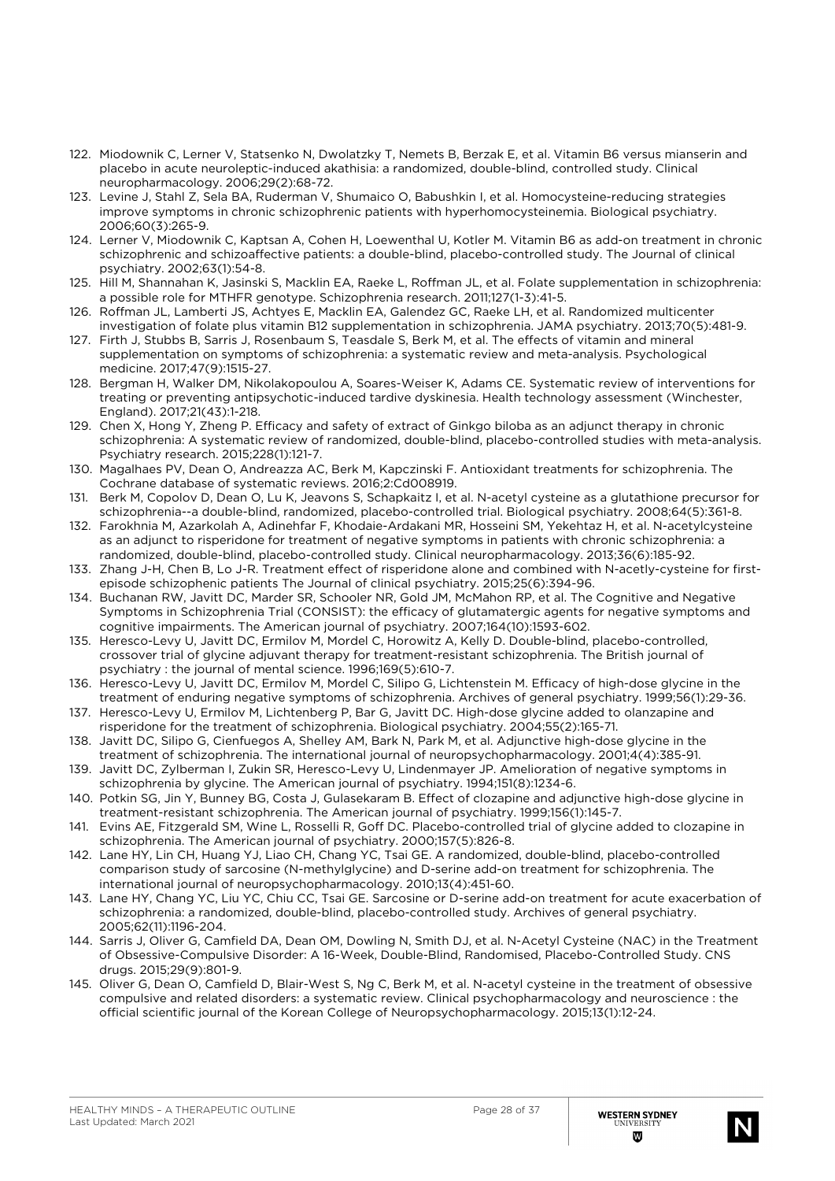- 122. Miodownik C, Lerner V, Statsenko N, Dwolatzky T, Nemets B, Berzak E, et al. Vitamin B6 versus mianserin and placebo in acute neuroleptic-induced akathisia: a randomized, double-blind, controlled study. Clinical neuropharmacology. 2006;29(2):68-72.
- 123. Levine J, Stahl Z, Sela BA, Ruderman V, Shumaico O, Babushkin I, et al. Homocysteine-reducing strategies improve symptoms in chronic schizophrenic patients with hyperhomocysteinemia. Biological psychiatry. 2006;60(3):265-9.
- 124. Lerner V, Miodownik C, Kaptsan A, Cohen H, Loewenthal U, Kotler M. Vitamin B6 as add-on treatment in chronic schizophrenic and schizoaffective patients: a double-blind, placebo-controlled study. The Journal of clinical psychiatry. 2002;63(1):54-8.
- 125. Hill M, Shannahan K, Jasinski S, Macklin EA, Raeke L, Roffman JL, et al. Folate supplementation in schizophrenia: a possible role for MTHFR genotype. Schizophrenia research. 2011;127(1-3):41-5.
- 126. Roffman JL, Lamberti JS, Achtyes E, Macklin EA, Galendez GC, Raeke LH, et al. Randomized multicenter investigation of folate plus vitamin B12 supplementation in schizophrenia. JAMA psychiatry. 2013;70(5):481-9.
- 127. Firth J, Stubbs B, Sarris J, Rosenbaum S, Teasdale S, Berk M, et al. The effects of vitamin and mineral supplementation on symptoms of schizophrenia: a systematic review and meta-analysis. Psychological medicine. 2017;47(9):1515-27.
- 128. Bergman H, Walker DM, Nikolakopoulou A, Soares-Weiser K, Adams CE. Systematic review of interventions for treating or preventing antipsychotic-induced tardive dyskinesia. Health technology assessment (Winchester, England). 2017;21(43):1-218.
- 129. Chen X, Hong Y, Zheng P. Efficacy and safety of extract of Ginkgo biloba as an adjunct therapy in chronic schizophrenia: A systematic review of randomized, double-blind, placebo-controlled studies with meta-analysis. Psychiatry research. 2015;228(1):121-7.
- 130. Magalhaes PV, Dean O, Andreazza AC, Berk M, Kapczinski F. Antioxidant treatments for schizophrenia. The Cochrane database of systematic reviews. 2016;2:Cd008919.
- 131. Berk M, Copolov D, Dean O, Lu K, Jeavons S, Schapkaitz I, et al. N-acetyl cysteine as a glutathione precursor for schizophrenia--a double-blind, randomized, placebo-controlled trial. Biological psychiatry. 2008;64(5):361-8.
- 132. Farokhnia M, Azarkolah A, Adinehfar F, Khodaie-Ardakani MR, Hosseini SM, Yekehtaz H, et al. N-acetylcysteine as an adjunct to risperidone for treatment of negative symptoms in patients with chronic schizophrenia: a randomized, double-blind, placebo-controlled study. Clinical neuropharmacology. 2013;36(6):185-92.
- 133. Zhang J-H, Chen B, Lo J-R. Treatment effect of risperidone alone and combined with N-acetly-cysteine for firstepisode schizophenic patients The Journal of clinical psychiatry. 2015;25(6):394-96.
- 134. Buchanan RW, Javitt DC, Marder SR, Schooler NR, Gold JM, McMahon RP, et al. The Cognitive and Negative Symptoms in Schizophrenia Trial (CONSIST): the efficacy of glutamatergic agents for negative symptoms and cognitive impairments. The American journal of psychiatry. 2007;164(10):1593-602.
- 135. Heresco-Levy U, Javitt DC, Ermilov M, Mordel C, Horowitz A, Kelly D. Double-blind, placebo-controlled, crossover trial of glycine adjuvant therapy for treatment-resistant schizophrenia. The British journal of psychiatry : the journal of mental science. 1996;169(5):610-7.
- 136. Heresco-Levy U, Javitt DC, Ermilov M, Mordel C, Silipo G, Lichtenstein M. Efficacy of high-dose glycine in the treatment of enduring negative symptoms of schizophrenia. Archives of general psychiatry. 1999;56(1):29-36.
- 137. Heresco-Levy U, Ermilov M, Lichtenberg P, Bar G, Javitt DC. High-dose glycine added to olanzapine and risperidone for the treatment of schizophrenia. Biological psychiatry. 2004;55(2):165-71.
- 138. Javitt DC, Silipo G, Cienfuegos A, Shelley AM, Bark N, Park M, et al. Adjunctive high-dose glycine in the treatment of schizophrenia. The international journal of neuropsychopharmacology. 2001;4(4):385-91.
- 139. Javitt DC, Zylberman I, Zukin SR, Heresco-Levy U, Lindenmayer JP. Amelioration of negative symptoms in schizophrenia by glycine. The American journal of psychiatry. 1994;151(8):1234-6.
- 140. Potkin SG, Jin Y, Bunney BG, Costa J, Gulasekaram B. Effect of clozapine and adjunctive high-dose glycine in treatment-resistant schizophrenia. The American journal of psychiatry. 1999;156(1):145-7.
- 141. Evins AE, Fitzgerald SM, Wine L, Rosselli R, Goff DC. Placebo-controlled trial of glycine added to clozapine in schizophrenia. The American journal of psychiatry. 2000;157(5):826-8.
- 142. Lane HY, Lin CH, Huang YJ, Liao CH, Chang YC, Tsai GE. A randomized, double-blind, placebo-controlled comparison study of sarcosine (N-methylglycine) and D-serine add-on treatment for schizophrenia. The international journal of neuropsychopharmacology. 2010;13(4):451-60.
- 143. Lane HY, Chang YC, Liu YC, Chiu CC, Tsai GE. Sarcosine or D-serine add-on treatment for acute exacerbation of schizophrenia: a randomized, double-blind, placebo-controlled study. Archives of general psychiatry. 2005;62(11):1196-204.
- 144. Sarris J, Oliver G, Camfield DA, Dean OM, Dowling N, Smith DJ, et al. N-Acetyl Cysteine (NAC) in the Treatment of Obsessive-Compulsive Disorder: A 16-Week, Double-Blind, Randomised, Placebo-Controlled Study. CNS drugs. 2015;29(9):801-9.
- 145. Oliver G, Dean O, Camfield D, Blair-West S, Ng C, Berk M, et al. N-acetyl cysteine in the treatment of obsessive compulsive and related disorders: a systematic review. Clinical psychopharmacology and neuroscience : the official scientific journal of the Korean College of Neuropsychopharmacology. 2015;13(1):12-24.

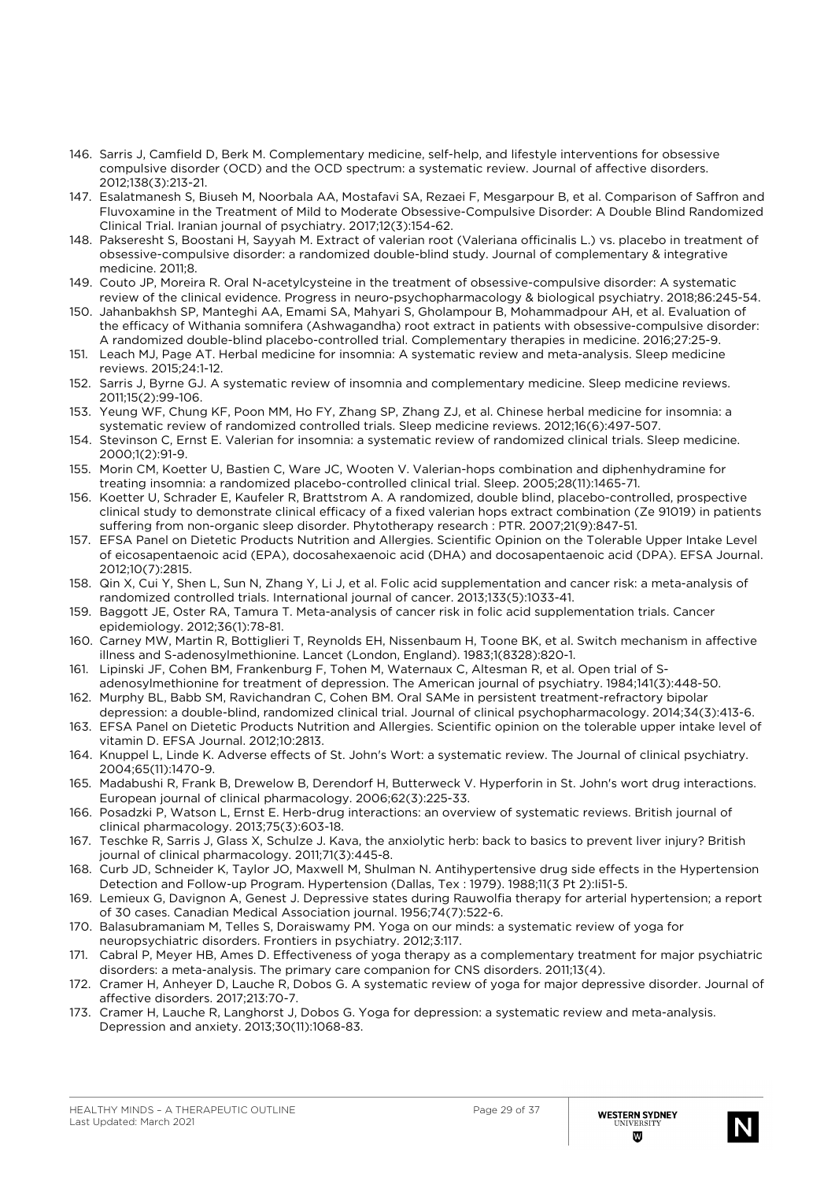- 146. Sarris J, Camfield D, Berk M. Complementary medicine, self-help, and lifestyle interventions for obsessive compulsive disorder (OCD) and the OCD spectrum: a systematic review. Journal of affective disorders. 2012;138(3):213-21.
- 147. Esalatmanesh S, Biuseh M, Noorbala AA, Mostafavi SA, Rezaei F, Mesgarpour B, et al. Comparison of Saffron and Fluvoxamine in the Treatment of Mild to Moderate Obsessive-Compulsive Disorder: A Double Blind Randomized Clinical Trial. Iranian journal of psychiatry. 2017;12(3):154-62.
- 148. Pakseresht S, Boostani H, Sayyah M. Extract of valerian root (Valeriana officinalis L.) vs. placebo in treatment of obsessive-compulsive disorder: a randomized double-blind study. Journal of complementary & integrative medicine. 2011;8.
- 149. Couto JP, Moreira R. Oral N-acetylcysteine in the treatment of obsessive-compulsive disorder: A systematic review of the clinical evidence. Progress in neuro-psychopharmacology & biological psychiatry. 2018;86:245-54.
- 150. Jahanbakhsh SP, Manteghi AA, Emami SA, Mahyari S, Gholampour B, Mohammadpour AH, et al. Evaluation of the efficacy of Withania somnifera (Ashwagandha) root extract in patients with obsessive-compulsive disorder: A randomized double-blind placebo-controlled trial. Complementary therapies in medicine. 2016;27:25-9.
- 151. Leach MJ, Page AT. Herbal medicine for insomnia: A systematic review and meta-analysis. Sleep medicine reviews. 2015;24:1-12.
- 152. Sarris J, Byrne GJ. A systematic review of insomnia and complementary medicine. Sleep medicine reviews. 2011;15(2):99-106.
- 153. Yeung WF, Chung KF, Poon MM, Ho FY, Zhang SP, Zhang ZJ, et al. Chinese herbal medicine for insomnia: a systematic review of randomized controlled trials. Sleep medicine reviews. 2012;16(6):497-507.
- 154. Stevinson C, Ernst E. Valerian for insomnia: a systematic review of randomized clinical trials. Sleep medicine. 2000;1(2):91-9.
- 155. Morin CM, Koetter U, Bastien C, Ware JC, Wooten V. Valerian-hops combination and diphenhydramine for treating insomnia: a randomized placebo-controlled clinical trial. Sleep. 2005;28(11):1465-71.
- 156. Koetter U, Schrader E, Kaufeler R, Brattstrom A. A randomized, double blind, placebo-controlled, prospective clinical study to demonstrate clinical efficacy of a fixed valerian hops extract combination (Ze 91019) in patients suffering from non-organic sleep disorder. Phytotherapy research : PTR. 2007;21(9):847-51.
- 157. EFSA Panel on Dietetic Products Nutrition and Allergies. Scientific Opinion on the Tolerable Upper Intake Level of eicosapentaenoic acid (EPA), docosahexaenoic acid (DHA) and docosapentaenoic acid (DPA). EFSA Journal. 2012;10(7):2815.
- 158. Qin X, Cui Y, Shen L, Sun N, Zhang Y, Li J, et al. Folic acid supplementation and cancer risk: a meta-analysis of randomized controlled trials. International journal of cancer. 2013;133(5):1033-41.
- 159. Baggott JE, Oster RA, Tamura T. Meta-analysis of cancer risk in folic acid supplementation trials. Cancer epidemiology. 2012;36(1):78-81.
- 160. Carney MW, Martin R, Bottiglieri T, Reynolds EH, Nissenbaum H, Toone BK, et al. Switch mechanism in affective illness and S-adenosylmethionine. Lancet (London, England). 1983;1(8328):820-1.
- 161. Lipinski JF, Cohen BM, Frankenburg F, Tohen M, Waternaux C, Altesman R, et al. Open trial of Sadenosylmethionine for treatment of depression. The American journal of psychiatry. 1984;141(3):448-50.
- 162. Murphy BL, Babb SM, Ravichandran C, Cohen BM. Oral SAMe in persistent treatment-refractory bipolar depression: a double-blind, randomized clinical trial. Journal of clinical psychopharmacology. 2014;34(3):413-6.
- 163. EFSA Panel on Dietetic Products Nutrition and Allergies. Scientific opinion on the tolerable upper intake level of vitamin D. EFSA Journal. 2012;10:2813.
- 164. Knuppel L, Linde K. Adverse effects of St. John's Wort: a systematic review. The Journal of clinical psychiatry. 2004;65(11):1470-9.
- 165. Madabushi R, Frank B, Drewelow B, Derendorf H, Butterweck V. Hyperforin in St. John's wort drug interactions. European journal of clinical pharmacology. 2006;62(3):225-33.
- 166. Posadzki P, Watson L, Ernst E. Herb-drug interactions: an overview of systematic reviews. British journal of clinical pharmacology. 2013;75(3):603-18.
- 167. Teschke R, Sarris J, Glass X, Schulze J. Kava, the anxiolytic herb: back to basics to prevent liver injury? British journal of clinical pharmacology. 2011;71(3):445-8.
- 168. Curb JD, Schneider K, Taylor JO, Maxwell M, Shulman N. Antihypertensive drug side effects in the Hypertension Detection and Follow-up Program. Hypertension (Dallas, Tex : 1979). 1988;11(3 Pt 2):Ii51-5.
- 169. Lemieux G, Davignon A, Genest J. Depressive states during Rauwolfia therapy for arterial hypertension; a report of 30 cases. Canadian Medical Association journal. 1956;74(7):522-6.
- 170. Balasubramaniam M, Telles S, Doraiswamy PM. Yoga on our minds: a systematic review of yoga for neuropsychiatric disorders. Frontiers in psychiatry. 2012;3:117.
- 171. Cabral P, Meyer HB, Ames D. Effectiveness of yoga therapy as a complementary treatment for major psychiatric disorders: a meta-analysis. The primary care companion for CNS disorders. 2011;13(4).
- 172. Cramer H, Anheyer D, Lauche R, Dobos G. A systematic review of yoga for major depressive disorder. Journal of affective disorders. 2017;213:70-7.
- 173. Cramer H, Lauche R, Langhorst J, Dobos G. Yoga for depression: a systematic review and meta-analysis. Depression and anxiety. 2013;30(11):1068-83.

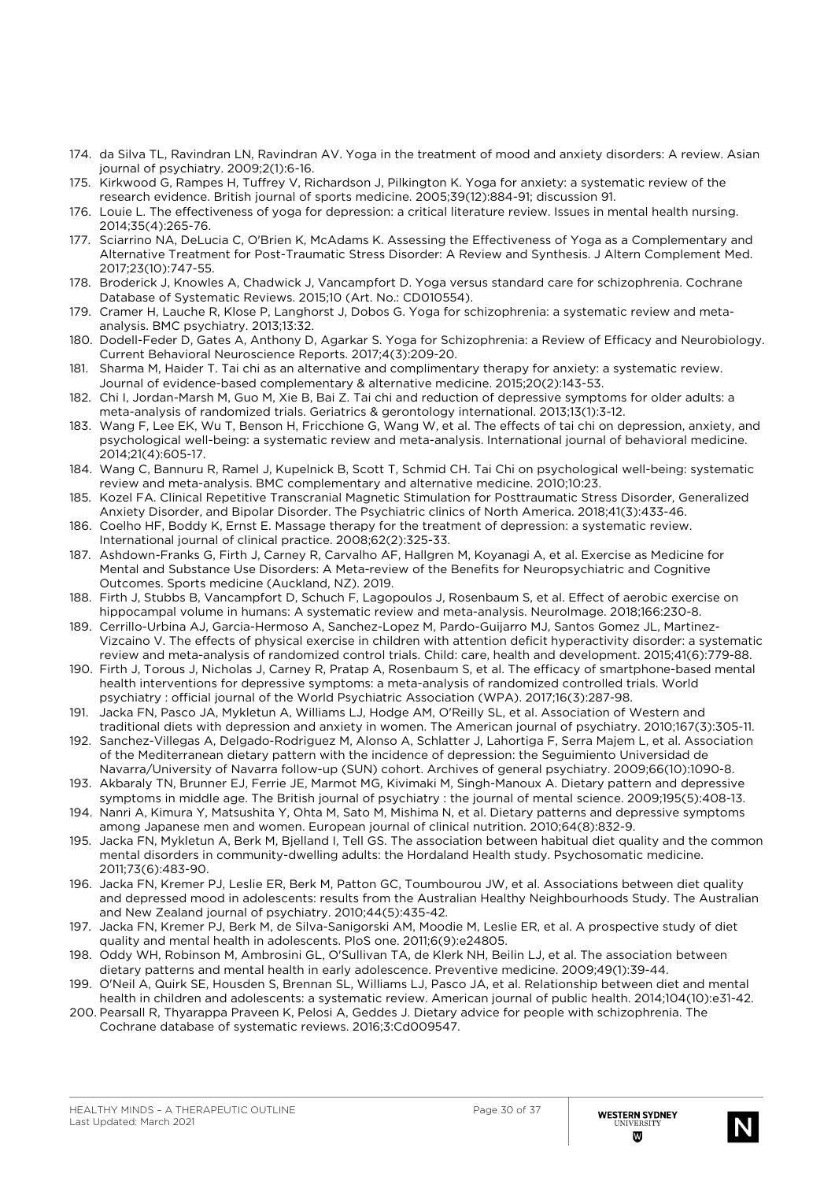- 174. da Silva TL, Ravindran LN, Ravindran AV. Yoga in the treatment of mood and anxiety disorders: A review. Asian journal of psychiatry. 2009;2(1):6-16.
- 175. Kirkwood G, Rampes H, Tuffrey V, Richardson J, Pilkington K. Yoga for anxiety: a systematic review of the research evidence. British journal of sports medicine. 2005;39(12):884-91; discussion 91.
- 176. Louie L. The effectiveness of yoga for depression: a critical literature review. Issues in mental health nursing. 2014;35(4):265-76.
- 177. Sciarrino NA, DeLucia C, O'Brien K, McAdams K. Assessing the Effectiveness of Yoga as a Complementary and Alternative Treatment for Post-Traumatic Stress Disorder: A Review and Synthesis. J Altern Complement Med. 2017;23(10):747-55.
- 178. Broderick J, Knowles A, Chadwick J, Vancampfort D. Yoga versus standard care for schizophrenia. Cochrane Database of Systematic Reviews. 2015;10 (Art. No.: CD010554).
- 179. Cramer H, Lauche R, Klose P, Langhorst J, Dobos G. Yoga for schizophrenia: a systematic review and metaanalysis. BMC psychiatry. 2013;13:32.
- 180. Dodell-Feder D, Gates A, Anthony D, Agarkar S. Yoga for Schizophrenia: a Review of Efficacy and Neurobiology. Current Behavioral Neuroscience Reports. 2017;4(3):209-20.
- 181. Sharma M, Haider T. Tai chi as an alternative and complimentary therapy for anxiety: a systematic review. Journal of evidence-based complementary & alternative medicine. 2015;20(2):143-53.
- 182. Chi I, Jordan-Marsh M, Guo M, Xie B, Bai Z. Tai chi and reduction of depressive symptoms for older adults: a meta-analysis of randomized trials. Geriatrics & gerontology international. 2013;13(1):3-12.
- 183. Wang F, Lee EK, Wu T, Benson H, Fricchione G, Wang W, et al. The effects of tai chi on depression, anxiety, and psychological well-being: a systematic review and meta-analysis. International journal of behavioral medicine. 2014;21(4):605-17.
- 184. Wang C, Bannuru R, Ramel J, Kupelnick B, Scott T, Schmid CH. Tai Chi on psychological well-being: systematic review and meta-analysis. BMC complementary and alternative medicine. 2010;10:23.
- 185. Kozel FA. Clinical Repetitive Transcranial Magnetic Stimulation for Posttraumatic Stress Disorder, Generalized Anxiety Disorder, and Bipolar Disorder. The Psychiatric clinics of North America. 2018;41(3):433-46.
- 186. Coelho HF, Boddy K, Ernst E. Massage therapy for the treatment of depression: a systematic review. International journal of clinical practice. 2008;62(2):325-33.
- 187. Ashdown-Franks G, Firth J, Carney R, Carvalho AF, Hallgren M, Koyanagi A, et al. Exercise as Medicine for Mental and Substance Use Disorders: A Meta-review of the Benefits for Neuropsychiatric and Cognitive Outcomes. Sports medicine (Auckland, NZ). 2019.
- 188. Firth J, Stubbs B, Vancampfort D, Schuch F, Lagopoulos J, Rosenbaum S, et al. Effect of aerobic exercise on hippocampal volume in humans: A systematic review and meta-analysis. NeuroImage. 2018;166:230-8.
- 189. Cerrillo-Urbina AJ, Garcia-Hermoso A, Sanchez-Lopez M, Pardo-Guijarro MJ, Santos Gomez JL, Martinez-Vizcaino V. The effects of physical exercise in children with attention deficit hyperactivity disorder: a systematic review and meta-analysis of randomized control trials. Child: care, health and development. 2015;41(6):779-88.
- 190. Firth J, Torous J, Nicholas J, Carney R, Pratap A, Rosenbaum S, et al. The efficacy of smartphone-based mental health interventions for depressive symptoms: a meta-analysis of randomized controlled trials. World psychiatry : official journal of the World Psychiatric Association (WPA). 2017;16(3):287-98.
- 191. Jacka FN, Pasco JA, Mykletun A, Williams LJ, Hodge AM, O'Reilly SL, et al. Association of Western and traditional diets with depression and anxiety in women. The American journal of psychiatry. 2010;167(3):305-11.
- 192. Sanchez-Villegas A, Delgado-Rodriguez M, Alonso A, Schlatter J, Lahortiga F, Serra Majem L, et al. Association of the Mediterranean dietary pattern with the incidence of depression: the Seguimiento Universidad de Navarra/University of Navarra follow-up (SUN) cohort. Archives of general psychiatry. 2009;66(10):1090-8.
- 193. Akbaraly TN, Brunner EJ, Ferrie JE, Marmot MG, Kivimaki M, Singh-Manoux A. Dietary pattern and depressive symptoms in middle age. The British journal of psychiatry : the journal of mental science. 2009;195(5):408-13.
- 194. Nanri A, Kimura Y, Matsushita Y, Ohta M, Sato M, Mishima N, et al. Dietary patterns and depressive symptoms among Japanese men and women. European journal of clinical nutrition. 2010;64(8):832-9.
- 195. Jacka FN, Mykletun A, Berk M, Bjelland I, Tell GS. The association between habitual diet quality and the common mental disorders in community-dwelling adults: the Hordaland Health study. Psychosomatic medicine. 2011;73(6):483-90.
- 196. Jacka FN, Kremer PJ, Leslie ER, Berk M, Patton GC, Toumbourou JW, et al. Associations between diet quality and depressed mood in adolescents: results from the Australian Healthy Neighbourhoods Study. The Australian and New Zealand journal of psychiatry. 2010;44(5):435-42.
- 197. Jacka FN, Kremer PJ, Berk M, de Silva-Sanigorski AM, Moodie M, Leslie ER, et al. A prospective study of diet quality and mental health in adolescents. PloS one. 2011;6(9):e24805.
- 198. Oddy WH, Robinson M, Ambrosini GL, O'Sullivan TA, de Klerk NH, Beilin LJ, et al. The association between dietary patterns and mental health in early adolescence. Preventive medicine. 2009;49(1):39-44.
- 199. O'Neil A, Quirk SE, Housden S, Brennan SL, Williams LJ, Pasco JA, et al. Relationship between diet and mental health in children and adolescents: a systematic review. American journal of public health. 2014;104(10):e31-42.
- 200. Pearsall R, Thyarappa Praveen K, Pelosi A, Geddes J. Dietary advice for people with schizophrenia. The Cochrane database of systematic reviews. 2016;3:Cd009547.

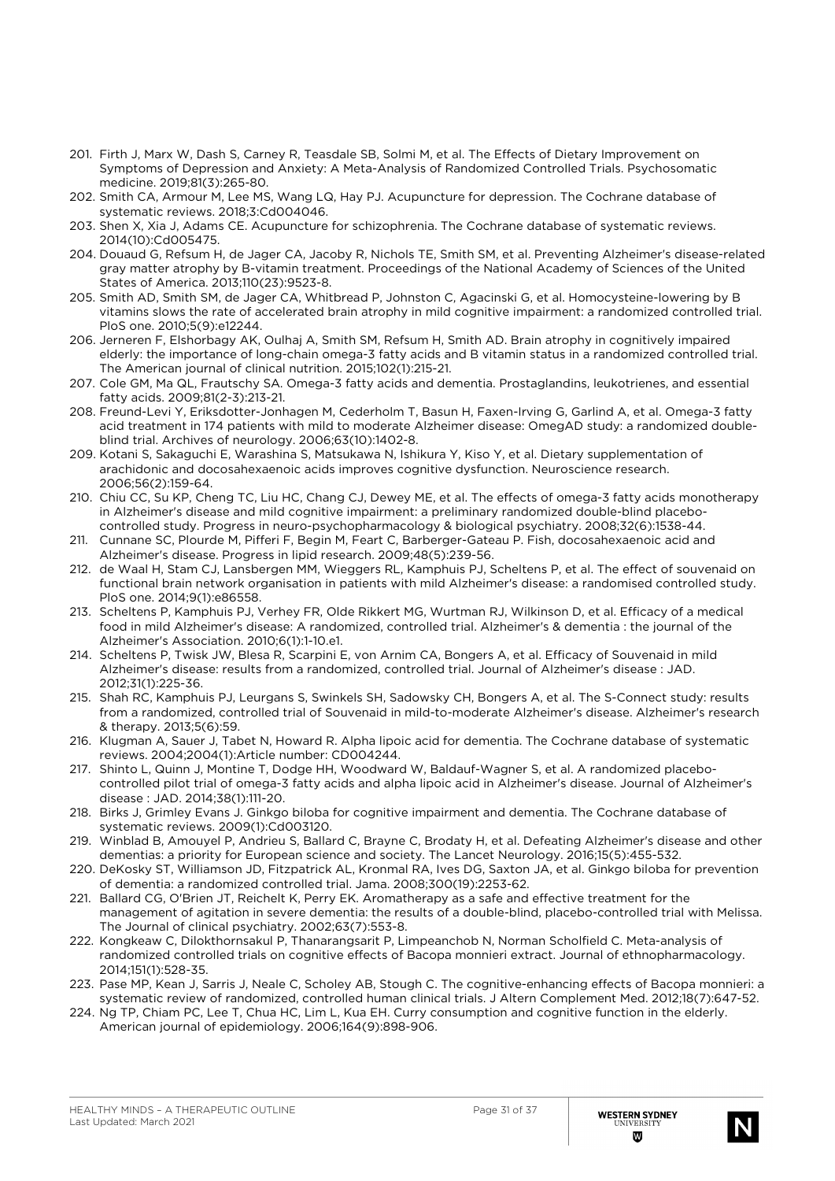- 201. Firth J, Marx W, Dash S, Carney R, Teasdale SB, Solmi M, et al. The Effects of Dietary Improvement on Symptoms of Depression and Anxiety: A Meta-Analysis of Randomized Controlled Trials. Psychosomatic medicine. 2019;81(3):265-80.
- 202. Smith CA, Armour M, Lee MS, Wang LQ, Hay PJ. Acupuncture for depression. The Cochrane database of systematic reviews. 2018;3:Cd004046.
- 203. Shen X, Xia J, Adams CE. Acupuncture for schizophrenia. The Cochrane database of systematic reviews. 2014(10):Cd005475.
- 204. Douaud G, Refsum H, de Jager CA, Jacoby R, Nichols TE, Smith SM, et al. Preventing Alzheimer's disease-related gray matter atrophy by B-vitamin treatment. Proceedings of the National Academy of Sciences of the United States of America. 2013;110(23):9523-8.
- 205. Smith AD, Smith SM, de Jager CA, Whitbread P, Johnston C, Agacinski G, et al. Homocysteine-lowering by B vitamins slows the rate of accelerated brain atrophy in mild cognitive impairment: a randomized controlled trial. PloS one. 2010;5(9):e12244.
- 206. Jerneren F, Elshorbagy AK, Oulhaj A, Smith SM, Refsum H, Smith AD. Brain atrophy in cognitively impaired elderly: the importance of long-chain omega-3 fatty acids and B vitamin status in a randomized controlled trial. The American journal of clinical nutrition. 2015;102(1):215-21.
- 207. Cole GM, Ma QL, Frautschy SA. Omega-3 fatty acids and dementia. Prostaglandins, leukotrienes, and essential fatty acids. 2009;81(2-3):213-21.
- 208. Freund-Levi Y, Eriksdotter-Jonhagen M, Cederholm T, Basun H, Faxen-Irving G, Garlind A, et al. Omega-3 fatty acid treatment in 174 patients with mild to moderate Alzheimer disease: OmegAD study: a randomized doubleblind trial. Archives of neurology. 2006;63(10):1402-8.
- 209. Kotani S, Sakaguchi E, Warashina S, Matsukawa N, Ishikura Y, Kiso Y, et al. Dietary supplementation of arachidonic and docosahexaenoic acids improves cognitive dysfunction. Neuroscience research. 2006;56(2):159-64.
- 210. Chiu CC, Su KP, Cheng TC, Liu HC, Chang CJ, Dewey ME, et al. The effects of omega-3 fatty acids monotherapy in Alzheimer's disease and mild cognitive impairment: a preliminary randomized double-blind placebocontrolled study. Progress in neuro-psychopharmacology & biological psychiatry. 2008;32(6):1538-44.
- 211. Cunnane SC, Plourde M, Pifferi F, Begin M, Feart C, Barberger-Gateau P. Fish, docosahexaenoic acid and Alzheimer's disease. Progress in lipid research. 2009;48(5):239-56.
- 212. de Waal H, Stam CJ, Lansbergen MM, Wieggers RL, Kamphuis PJ, Scheltens P, et al. The effect of souvenaid on functional brain network organisation in patients with mild Alzheimer's disease: a randomised controlled study. PloS one. 2014;9(1):e86558.
- 213. Scheltens P, Kamphuis PJ, Verhey FR, Olde Rikkert MG, Wurtman RJ, Wilkinson D, et al. Efficacy of a medical food in mild Alzheimer's disease: A randomized, controlled trial. Alzheimer's & dementia : the journal of the Alzheimer's Association. 2010;6(1):1-10.e1.
- 214. Scheltens P, Twisk JW, Blesa R, Scarpini E, von Arnim CA, Bongers A, et al. Efficacy of Souvenaid in mild Alzheimer's disease: results from a randomized, controlled trial. Journal of Alzheimer's disease : JAD. 2012;31(1):225-36.
- 215. Shah RC, Kamphuis PJ, Leurgans S, Swinkels SH, Sadowsky CH, Bongers A, et al. The S-Connect study: results from a randomized, controlled trial of Souvenaid in mild-to-moderate Alzheimer's disease. Alzheimer's research & therapy. 2013;5(6):59.
- 216. Klugman A, Sauer J, Tabet N, Howard R. Alpha lipoic acid for dementia. The Cochrane database of systematic reviews. 2004;2004(1):Article number: CD004244.
- 217. Shinto L, Quinn J, Montine T, Dodge HH, Woodward W, Baldauf-Wagner S, et al. A randomized placebocontrolled pilot trial of omega-3 fatty acids and alpha lipoic acid in Alzheimer's disease. Journal of Alzheimer's disease : JAD. 2014;38(1):111-20.
- 218. Birks J, Grimley Evans J. Ginkgo biloba for cognitive impairment and dementia. The Cochrane database of systematic reviews. 2009(1):Cd003120.
- 219. Winblad B, Amouyel P, Andrieu S, Ballard C, Brayne C, Brodaty H, et al. Defeating Alzheimer's disease and other dementias: a priority for European science and society. The Lancet Neurology. 2016;15(5):455-532.
- 220. DeKosky ST, Williamson JD, Fitzpatrick AL, Kronmal RA, Ives DG, Saxton JA, et al. Ginkgo biloba for prevention of dementia: a randomized controlled trial. Jama. 2008;300(19):2253-62.
- 221. Ballard CG, O'Brien JT, Reichelt K, Perry EK. Aromatherapy as a safe and effective treatment for the management of agitation in severe dementia: the results of a double-blind, placebo-controlled trial with Melissa. The Journal of clinical psychiatry. 2002;63(7):553-8.
- 222. Kongkeaw C, Dilokthornsakul P, Thanarangsarit P, Limpeanchob N, Norman Scholfield C. Meta-analysis of randomized controlled trials on cognitive effects of Bacopa monnieri extract. Journal of ethnopharmacology. 2014;151(1):528-35.
- 223. Pase MP, Kean J, Sarris J, Neale C, Scholey AB, Stough C. The cognitive-enhancing effects of Bacopa monnieri: a systematic review of randomized, controlled human clinical trials. J Altern Complement Med. 2012;18(7):647-52.
- 224. Ng TP, Chiam PC, Lee T, Chua HC, Lim L, Kua EH. Curry consumption and cognitive function in the elderly. American journal of epidemiology. 2006;164(9):898-906.

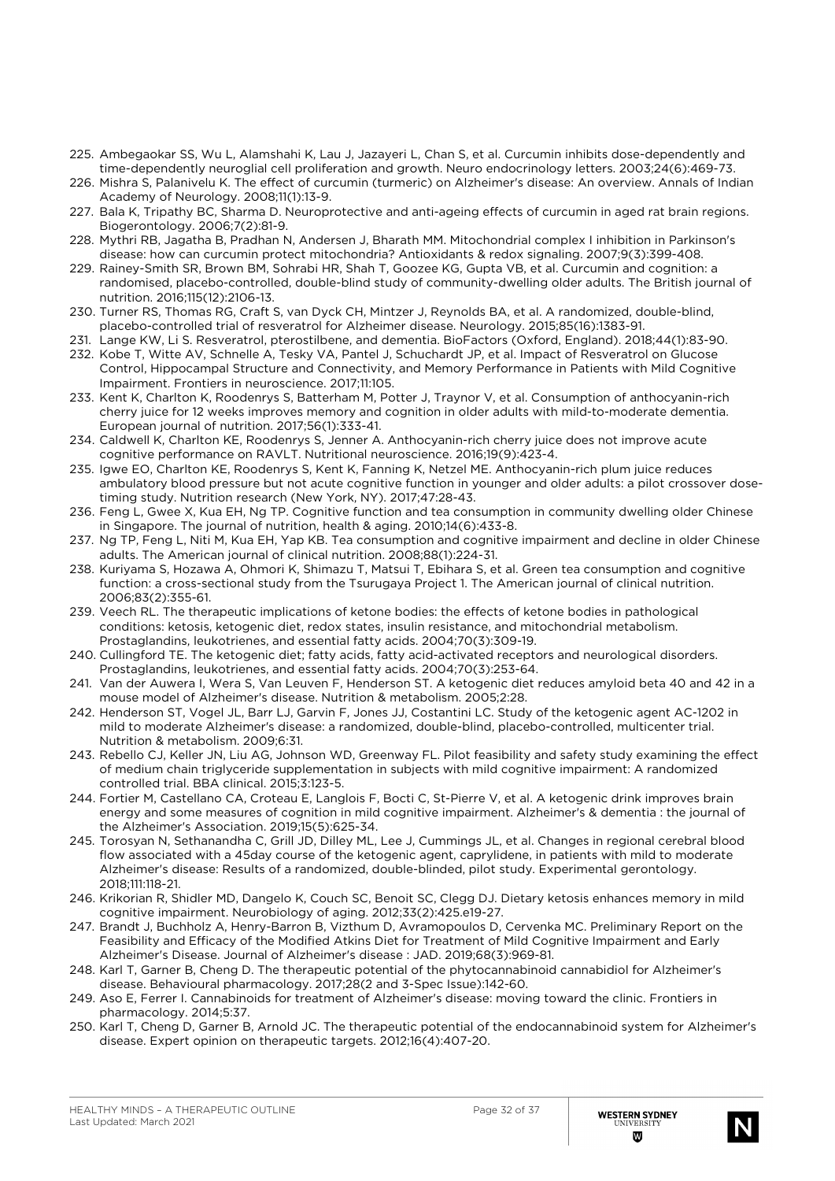- 225. Ambegaokar SS, Wu L, Alamshahi K, Lau J, Jazayeri L, Chan S, et al. Curcumin inhibits dose-dependently and time-dependently neuroglial cell proliferation and growth. Neuro endocrinology letters. 2003;24(6):469-73.
- 226. Mishra S, Palanivelu K. The effect of curcumin (turmeric) on Alzheimer's disease: An overview. Annals of Indian Academy of Neurology. 2008;11(1):13-9.
- 227. Bala K, Tripathy BC, Sharma D. Neuroprotective and anti-ageing effects of curcumin in aged rat brain regions. Biogerontology. 2006;7(2):81-9.
- 228. Mythri RB, Jagatha B, Pradhan N, Andersen J, Bharath MM. Mitochondrial complex I inhibition in Parkinson's disease: how can curcumin protect mitochondria? Antioxidants & redox signaling. 2007;9(3):399-408.
- 229. Rainey-Smith SR, Brown BM, Sohrabi HR, Shah T, Goozee KG, Gupta VB, et al. Curcumin and cognition: a randomised, placebo-controlled, double-blind study of community-dwelling older adults. The British journal of nutrition. 2016;115(12):2106-13.
- 230. Turner RS, Thomas RG, Craft S, van Dyck CH, Mintzer J, Reynolds BA, et al. A randomized, double-blind, placebo-controlled trial of resveratrol for Alzheimer disease. Neurology. 2015;85(16):1383-91.
- 231. Lange KW, Li S. Resveratrol, pterostilbene, and dementia. BioFactors (Oxford, England). 2018;44(1):83-90.
- 232. Kobe T, Witte AV, Schnelle A, Tesky VA, Pantel J, Schuchardt JP, et al. Impact of Resveratrol on Glucose Control, Hippocampal Structure and Connectivity, and Memory Performance in Patients with Mild Cognitive Impairment. Frontiers in neuroscience. 2017;11:105.
- 233. Kent K, Charlton K, Roodenrys S, Batterham M, Potter J, Traynor V, et al. Consumption of anthocyanin-rich cherry juice for 12 weeks improves memory and cognition in older adults with mild-to-moderate dementia. European journal of nutrition. 2017;56(1):333-41.
- 234. Caldwell K, Charlton KE, Roodenrys S, Jenner A. Anthocyanin-rich cherry juice does not improve acute cognitive performance on RAVLT. Nutritional neuroscience. 2016;19(9):423-4.
- 235. Igwe EO, Charlton KE, Roodenrys S, Kent K, Fanning K, Netzel ME. Anthocyanin-rich plum juice reduces ambulatory blood pressure but not acute cognitive function in younger and older adults: a pilot crossover dosetiming study. Nutrition research (New York, NY). 2017;47:28-43.
- 236. Feng L, Gwee X, Kua EH, Ng TP. Cognitive function and tea consumption in community dwelling older Chinese in Singapore. The journal of nutrition, health & aging. 2010;14(6):433-8.
- 237. Ng TP, Feng L, Niti M, Kua EH, Yap KB. Tea consumption and cognitive impairment and decline in older Chinese adults. The American journal of clinical nutrition. 2008;88(1):224-31.
- 238. Kuriyama S, Hozawa A, Ohmori K, Shimazu T, Matsui T, Ebihara S, et al. Green tea consumption and cognitive function: a cross-sectional study from the Tsurugaya Project 1. The American journal of clinical nutrition. 2006;83(2):355-61.
- 239. Veech RL. The therapeutic implications of ketone bodies: the effects of ketone bodies in pathological conditions: ketosis, ketogenic diet, redox states, insulin resistance, and mitochondrial metabolism. Prostaglandins, leukotrienes, and essential fatty acids. 2004;70(3):309-19.
- 240. Cullingford TE. The ketogenic diet; fatty acids, fatty acid-activated receptors and neurological disorders. Prostaglandins, leukotrienes, and essential fatty acids. 2004;70(3):253-64.
- 241. Van der Auwera I, Wera S, Van Leuven F, Henderson ST. A ketogenic diet reduces amyloid beta 40 and 42 in a mouse model of Alzheimer's disease. Nutrition & metabolism. 2005;2:28.
- 242. Henderson ST, Vogel JL, Barr LJ, Garvin F, Jones JJ, Costantini LC. Study of the ketogenic agent AC-1202 in mild to moderate Alzheimer's disease: a randomized, double-blind, placebo-controlled, multicenter trial. Nutrition & metabolism. 2009;6:31.
- 243. Rebello CJ, Keller JN, Liu AG, Johnson WD, Greenway FL. Pilot feasibility and safety study examining the effect of medium chain triglyceride supplementation in subjects with mild cognitive impairment: A randomized controlled trial. BBA clinical. 2015;3:123-5.
- 244. Fortier M, Castellano CA, Croteau E, Langlois F, Bocti C, St-Pierre V, et al. A ketogenic drink improves brain energy and some measures of cognition in mild cognitive impairment. Alzheimer's & dementia : the journal of the Alzheimer's Association. 2019;15(5):625-34.
- 245. Torosyan N, Sethanandha C, Grill JD, Dilley ML, Lee J, Cummings JL, et al. Changes in regional cerebral blood flow associated with a 45day course of the ketogenic agent, caprylidene, in patients with mild to moderate Alzheimer's disease: Results of a randomized, double-blinded, pilot study. Experimental gerontology. 2018;111:118-21.
- 246. Krikorian R, Shidler MD, Dangelo K, Couch SC, Benoit SC, Clegg DJ. Dietary ketosis enhances memory in mild cognitive impairment. Neurobiology of aging. 2012;33(2):425.e19-27.
- 247. Brandt J, Buchholz A, Henry-Barron B, Vizthum D, Avramopoulos D, Cervenka MC. Preliminary Report on the Feasibility and Efficacy of the Modified Atkins Diet for Treatment of Mild Cognitive Impairment and Early Alzheimer's Disease. Journal of Alzheimer's disease : JAD. 2019;68(3):969-81.
- 248. Karl T, Garner B, Cheng D. The therapeutic potential of the phytocannabinoid cannabidiol for Alzheimer's disease. Behavioural pharmacology. 2017;28(2 and 3-Spec Issue):142-60.
- 249. Aso E, Ferrer I. Cannabinoids for treatment of Alzheimer's disease: moving toward the clinic. Frontiers in pharmacology. 2014;5:37.
- 250. Karl T, Cheng D, Garner B, Arnold JC. The therapeutic potential of the endocannabinoid system for Alzheimer's disease. Expert opinion on therapeutic targets. 2012;16(4):407-20.

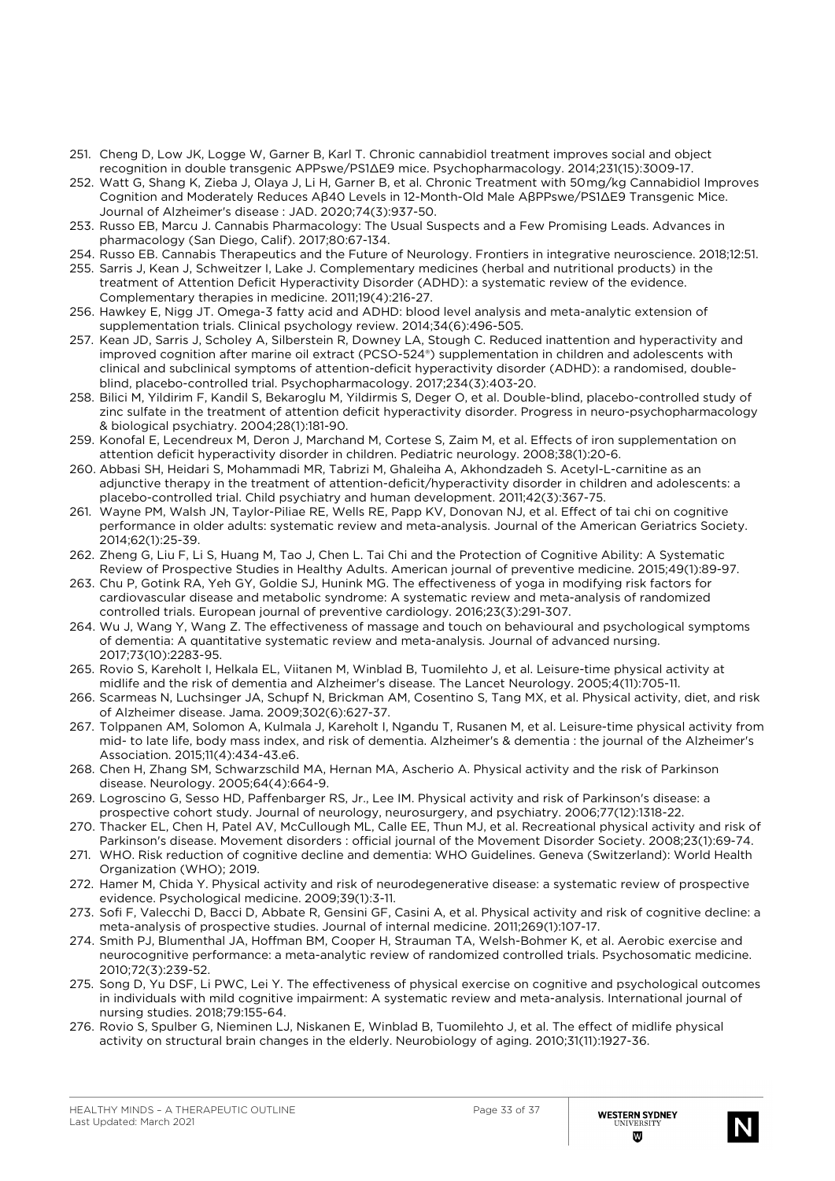- 251. Cheng D, Low JK, Logge W, Garner B, Karl T. Chronic cannabidiol treatment improves social and object recognition in double transgenic APPswe/PS1∆E9 mice. Psychopharmacology. 2014;231(15):3009-17.
- 252. Watt G, Shang K, Zieba J, Olaya J, Li H, Garner B, et al. Chronic Treatment with 50 mg/kg Cannabidiol Improves Cognition and Moderately Reduces Aβ40 Levels in 12-Month-Old Male AβPPswe/PS1ΔE9 Transgenic Mice. Journal of Alzheimer's disease : JAD. 2020;74(3):937-50.
- 253. Russo EB, Marcu J. Cannabis Pharmacology: The Usual Suspects and a Few Promising Leads. Advances in pharmacology (San Diego, Calif). 2017;80:67-134.
- 254. Russo EB. Cannabis Therapeutics and the Future of Neurology. Frontiers in integrative neuroscience. 2018;12:51.
- 255. Sarris J, Kean J, Schweitzer I, Lake J. Complementary medicines (herbal and nutritional products) in the treatment of Attention Deficit Hyperactivity Disorder (ADHD): a systematic review of the evidence. Complementary therapies in medicine. 2011;19(4):216-27.
- 256. Hawkey E, Nigg JT. Omega-3 fatty acid and ADHD: blood level analysis and meta-analytic extension of supplementation trials. Clinical psychology review. 2014;34(6):496-505.
- 257. Kean JD, Sarris J, Scholey A, Silberstein R, Downey LA, Stough C. Reduced inattention and hyperactivity and improved cognition after marine oil extract (PCSO-524®) supplementation in children and adolescents with clinical and subclinical symptoms of attention-deficit hyperactivity disorder (ADHD): a randomised, doubleblind, placebo-controlled trial. Psychopharmacology. 2017;234(3):403-20.
- 258. Bilici M, Yildirim F, Kandil S, Bekaroglu M, Yildirmis S, Deger O, et al. Double-blind, placebo-controlled study of zinc sulfate in the treatment of attention deficit hyperactivity disorder. Progress in neuro-psychopharmacology & biological psychiatry. 2004;28(1):181-90.
- 259. Konofal E, Lecendreux M, Deron J, Marchand M, Cortese S, Zaim M, et al. Effects of iron supplementation on attention deficit hyperactivity disorder in children. Pediatric neurology. 2008;38(1):20-6.
- 260. Abbasi SH, Heidari S, Mohammadi MR, Tabrizi M, Ghaleiha A, Akhondzadeh S. Acetyl-L-carnitine as an adjunctive therapy in the treatment of attention-deficit/hyperactivity disorder in children and adolescents: a placebo-controlled trial. Child psychiatry and human development. 2011;42(3):367-75.
- 261. Wayne PM, Walsh JN, Taylor-Piliae RE, Wells RE, Papp KV, Donovan NJ, et al. Effect of tai chi on cognitive performance in older adults: systematic review and meta-analysis. Journal of the American Geriatrics Society. 2014;62(1):25-39.
- 262. Zheng G, Liu F, Li S, Huang M, Tao J, Chen L. Tai Chi and the Protection of Cognitive Ability: A Systematic Review of Prospective Studies in Healthy Adults. American journal of preventive medicine. 2015;49(1):89-97.
- 263. Chu P, Gotink RA, Yeh GY, Goldie SJ, Hunink MG. The effectiveness of yoga in modifying risk factors for cardiovascular disease and metabolic syndrome: A systematic review and meta-analysis of randomized controlled trials. European journal of preventive cardiology. 2016;23(3):291-307.
- 264. Wu J, Wang Y, Wang Z. The effectiveness of massage and touch on behavioural and psychological symptoms of dementia: A quantitative systematic review and meta-analysis. Journal of advanced nursing. 2017;73(10):2283-95.
- 265. Rovio S, Kareholt I, Helkala EL, Viitanen M, Winblad B, Tuomilehto J, et al. Leisure-time physical activity at midlife and the risk of dementia and Alzheimer's disease. The Lancet Neurology. 2005;4(11):705-11.
- 266. Scarmeas N, Luchsinger JA, Schupf N, Brickman AM, Cosentino S, Tang MX, et al. Physical activity, diet, and risk of Alzheimer disease. Jama. 2009;302(6):627-37.
- 267. Tolppanen AM, Solomon A, Kulmala J, Kareholt I, Ngandu T, Rusanen M, et al. Leisure-time physical activity from mid- to late life, body mass index, and risk of dementia. Alzheimer's & dementia : the journal of the Alzheimer's Association. 2015;11(4):434-43.e6.
- 268. Chen H, Zhang SM, Schwarzschild MA, Hernan MA, Ascherio A. Physical activity and the risk of Parkinson disease. Neurology. 2005;64(4):664-9.
- 269. Logroscino G, Sesso HD, Paffenbarger RS, Jr., Lee IM. Physical activity and risk of Parkinson's disease: a prospective cohort study. Journal of neurology, neurosurgery, and psychiatry. 2006;77(12):1318-22.
- 270. Thacker EL, Chen H, Patel AV, McCullough ML, Calle EE, Thun MJ, et al. Recreational physical activity and risk of Parkinson's disease. Movement disorders : official journal of the Movement Disorder Society. 2008;23(1):69-74.
- 271. WHO. Risk reduction of cognitive decline and dementia: WHO Guidelines. Geneva (Switzerland): World Health Organization (WHO); 2019.
- 272. Hamer M, Chida Y. Physical activity and risk of neurodegenerative disease: a systematic review of prospective evidence. Psychological medicine. 2009;39(1):3-11.
- 273. Sofi F, Valecchi D, Bacci D, Abbate R, Gensini GF, Casini A, et al. Physical activity and risk of cognitive decline: a meta-analysis of prospective studies. Journal of internal medicine. 2011;269(1):107-17.
- 274. Smith PJ, Blumenthal JA, Hoffman BM, Cooper H, Strauman TA, Welsh-Bohmer K, et al. Aerobic exercise and neurocognitive performance: a meta-analytic review of randomized controlled trials. Psychosomatic medicine. 2010;72(3):239-52.
- 275. Song D, Yu DSF, Li PWC, Lei Y. The effectiveness of physical exercise on cognitive and psychological outcomes in individuals with mild cognitive impairment: A systematic review and meta-analysis. International journal of nursing studies. 2018;79:155-64.
- 276. Rovio S, Spulber G, Nieminen LJ, Niskanen E, Winblad B, Tuomilehto J, et al. The effect of midlife physical activity on structural brain changes in the elderly. Neurobiology of aging. 2010;31(11):1927-36.

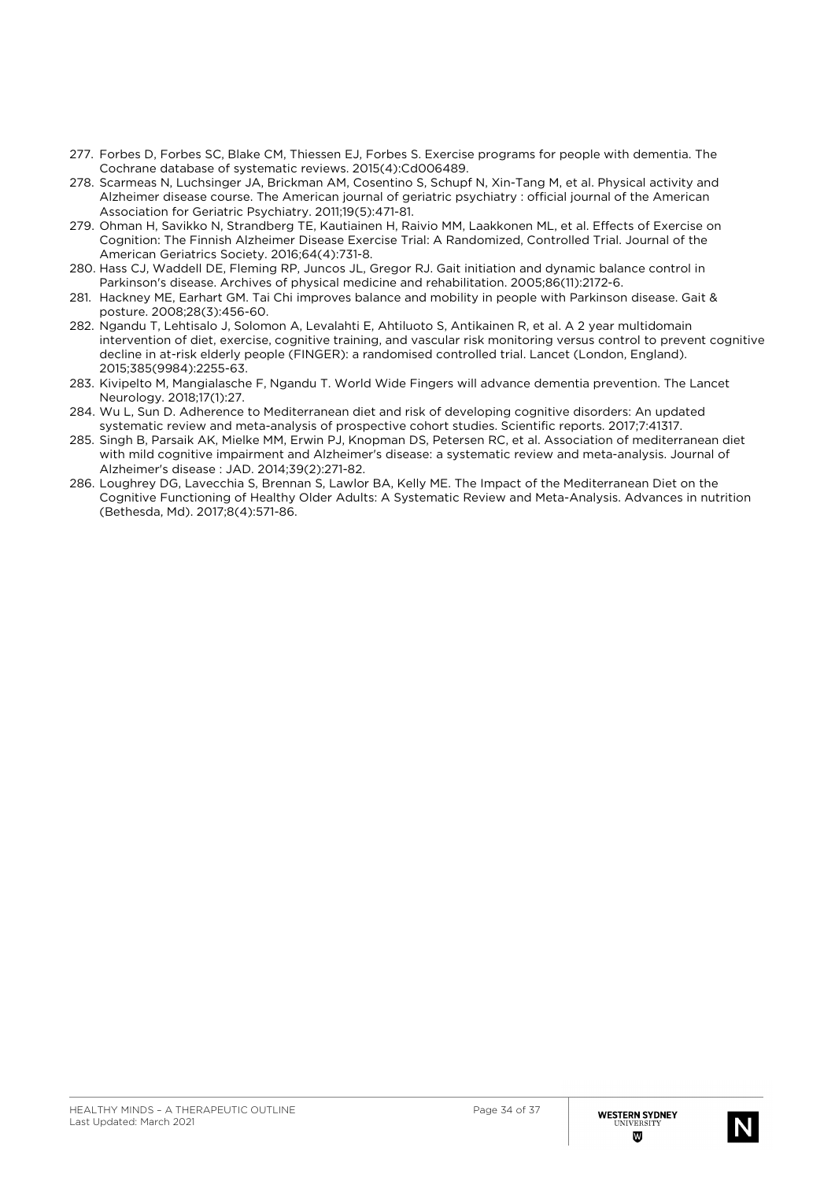- 277. Forbes D, Forbes SC, Blake CM, Thiessen EJ, Forbes S. Exercise programs for people with dementia. The Cochrane database of systematic reviews. 2015(4):Cd006489.
- 278. Scarmeas N, Luchsinger JA, Brickman AM, Cosentino S, Schupf N, Xin-Tang M, et al. Physical activity and Alzheimer disease course. The American journal of geriatric psychiatry : official journal of the American Association for Geriatric Psychiatry. 2011;19(5):471-81.
- 279. Ohman H, Savikko N, Strandberg TE, Kautiainen H, Raivio MM, Laakkonen ML, et al. Effects of Exercise on Cognition: The Finnish Alzheimer Disease Exercise Trial: A Randomized, Controlled Trial. Journal of the American Geriatrics Society. 2016;64(4):731-8.
- 280. Hass CJ, Waddell DE, Fleming RP, Juncos JL, Gregor RJ. Gait initiation and dynamic balance control in Parkinson's disease. Archives of physical medicine and rehabilitation. 2005;86(11):2172-6.
- 281. Hackney ME, Earhart GM. Tai Chi improves balance and mobility in people with Parkinson disease. Gait & posture. 2008;28(3):456-60.
- 282. Ngandu T, Lehtisalo J, Solomon A, Levalahti E, Ahtiluoto S, Antikainen R, et al. A 2 year multidomain intervention of diet, exercise, cognitive training, and vascular risk monitoring versus control to prevent cognitive decline in at-risk elderly people (FINGER): a randomised controlled trial. Lancet (London, England). 2015;385(9984):2255-63.
- 283. Kivipelto M, Mangialasche F, Ngandu T. World Wide Fingers will advance dementia prevention. The Lancet Neurology. 2018;17(1):27.
- 284. Wu L, Sun D. Adherence to Mediterranean diet and risk of developing cognitive disorders: An updated systematic review and meta-analysis of prospective cohort studies. Scientific reports. 2017;7:41317.
- 285. Singh B, Parsaik AK, Mielke MM, Erwin PJ, Knopman DS, Petersen RC, et al. Association of mediterranean diet with mild cognitive impairment and Alzheimer's disease: a systematic review and meta-analysis. Journal of Alzheimer's disease : JAD. 2014;39(2):271-82.
- 286. Loughrey DG, Lavecchia S, Brennan S, Lawlor BA, Kelly ME. The Impact of the Mediterranean Diet on the Cognitive Functioning of Healthy Older Adults: A Systematic Review and Meta-Analysis. Advances in nutrition (Bethesda, Md). 2017;8(4):571-86.